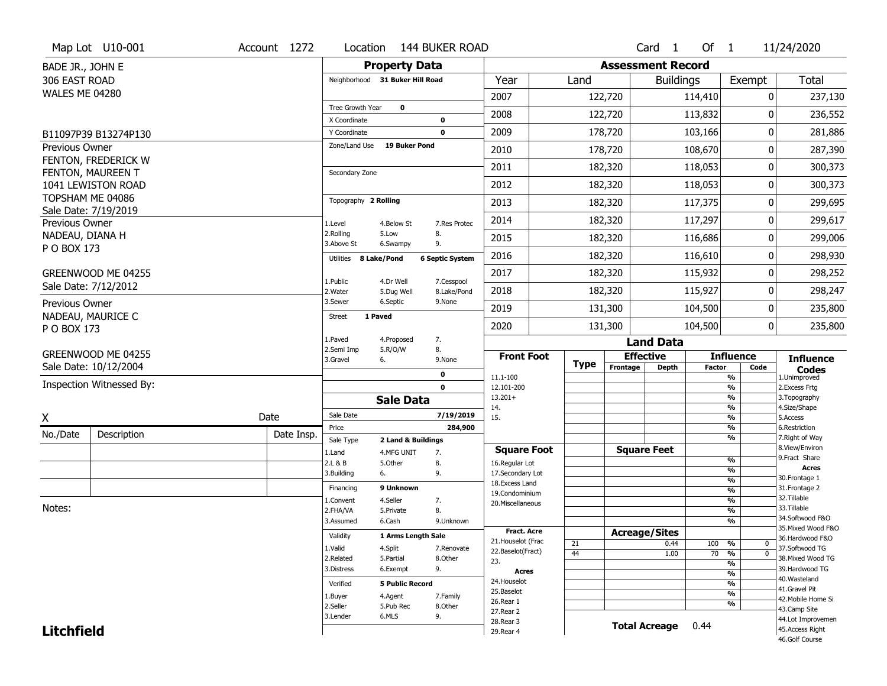|                                   | Map Lot U10-001          | Account 1272 | Location                        | <b>144 BUKER ROAD</b>                                |                                     |             |                          | Card 1           | Of $1$        |                                           | 11/24/2020                           |
|-----------------------------------|--------------------------|--------------|---------------------------------|------------------------------------------------------|-------------------------------------|-------------|--------------------------|------------------|---------------|-------------------------------------------|--------------------------------------|
| BADE JR., JOHN E                  |                          |              |                                 | <b>Property Data</b>                                 |                                     |             | <b>Assessment Record</b> |                  |               |                                           |                                      |
| 306 EAST ROAD                     |                          |              | Neighborhood 31 Buker Hill Road |                                                      | Year                                | Land        |                          | <b>Buildings</b> |               | Exempt                                    | <b>Total</b>                         |
| <b>WALES ME 04280</b>             |                          |              |                                 |                                                      | 2007                                |             | 122,720                  |                  | 114,410       | 0                                         | 237,130                              |
|                                   |                          |              | Tree Growth Year                | $\mathbf 0$                                          | 2008                                |             | 122,720                  |                  | 113,832       | 0                                         | 236,552                              |
|                                   |                          |              | X Coordinate                    | $\mathbf 0$                                          |                                     |             |                          |                  |               |                                           |                                      |
|                                   | B11097P39 B13274P130     |              | Y Coordinate<br>Zone/Land Use   | $\mathbf 0$<br><b>19 Buker Pond</b>                  | 2009                                |             | 178,720                  |                  | 103,166       | 0                                         | 281,886                              |
| Previous Owner                    | FENTON, FREDERICK W      |              |                                 |                                                      | 2010                                |             | 178,720                  |                  | 108,670       | 0                                         | 287,390                              |
|                                   | FENTON, MAUREEN T        |              | Secondary Zone                  |                                                      | 2011                                |             | 182,320                  |                  | 118,053       | 0                                         | 300,373                              |
|                                   | 1041 LEWISTON ROAD       |              |                                 |                                                      | 2012                                |             | 182,320                  |                  | 118,053       | 0                                         | 300,373                              |
|                                   | TOPSHAM ME 04086         |              | Topography 2 Rolling            |                                                      | 2013                                |             | 182,320                  |                  | 117,375       | 0                                         | 299,695                              |
|                                   | Sale Date: 7/19/2019     |              |                                 |                                                      | 2014                                |             | 182,320                  |                  | 117,297       | 0                                         | 299,617                              |
| Previous Owner<br>NADEAU, DIANA H |                          |              | 1.Level<br>2.Rolling            | 4.Below St<br>7.Res Protec<br>5.Low<br>8.            |                                     |             |                          |                  |               |                                           |                                      |
| P O BOX 173                       |                          |              | 3.Above St                      | 6.Swampy<br>9.                                       | 2015                                |             | 182,320                  |                  | 116,686       | 0                                         | 299,006                              |
|                                   |                          |              | 8 Lake/Pond<br>Utilities        | <b>6 Septic System</b>                               | 2016                                |             | 182,320                  |                  | 116,610       | 0                                         | 298,930                              |
|                                   | GREENWOOD ME 04255       |              |                                 |                                                      | 2017                                |             | 182,320                  |                  | 115,932       | 0                                         | 298,252                              |
|                                   | Sale Date: 7/12/2012     |              | 1.Public<br>2. Water            | 4.Dr Well<br>7.Cesspool<br>5.Dug Well<br>8.Lake/Pond | 2018                                |             | 182,320                  |                  | 115,927       | 0                                         | 298,247                              |
| Previous Owner                    |                          |              | 3.Sewer                         | 6.Septic<br>9.None                                   | 2019                                |             | 131,300                  |                  | 104,500       | 0                                         | 235,800                              |
|                                   | NADEAU, MAURICE C        |              | 1 Paved<br>Street               |                                                      | 2020                                |             | 131,300                  |                  | 104,500       | 0                                         | 235,800                              |
| P O BOX 173                       |                          |              | 1.Paved                         | 7.<br>4.Proposed                                     |                                     |             |                          | <b>Land Data</b> |               |                                           |                                      |
|                                   | GREENWOOD ME 04255       |              | 2.Semi Imp                      | 8.<br>5.R/O/W                                        | <b>Front Foot</b>                   |             | <b>Effective</b>         |                  |               | <b>Influence</b>                          |                                      |
|                                   | Sale Date: 10/12/2004    |              | 3.Gravel<br>6.                  | 9.None                                               |                                     | <b>Type</b> | Frontage                 | <b>Depth</b>     | <b>Factor</b> | Code                                      | <b>Influence</b><br><b>Codes</b>     |
|                                   | Inspection Witnessed By: |              |                                 | 0<br>$\mathbf 0$                                     | 11.1-100<br>12.101-200              |             |                          |                  |               | %<br>$\frac{9}{6}$                        | 1.Unimproved<br>2. Excess Frtg       |
|                                   |                          |              |                                 | <b>Sale Data</b>                                     | $13.201+$                           |             |                          |                  |               | $\frac{9}{6}$                             | 3. Topography                        |
|                                   |                          | Date         | Sale Date                       | 7/19/2019                                            | 14.                                 |             |                          |                  |               | $\frac{9}{6}$<br>$\frac{9}{6}$            | 4.Size/Shape                         |
| X                                 |                          |              | Price                           | 284,900                                              | 15.                                 |             |                          |                  |               | %                                         | 5.Access<br>6.Restriction            |
| No./Date                          | Description              | Date Insp.   | Sale Type                       |                                                      |                                     |             |                          |                  |               |                                           | 7. Right of Way                      |
|                                   |                          |              |                                 | 2 Land & Buildings                                   |                                     |             |                          |                  |               | %                                         |                                      |
|                                   |                          |              | 1.Land                          | 4.MFG UNIT<br>7.                                     | <b>Square Foot</b>                  |             | <b>Square Feet</b>       |                  |               |                                           | 8.View/Environ                       |
|                                   |                          |              | 2.L & B                         | 5.Other<br>8.                                        | 16.Regular Lot                      |             |                          |                  |               | $\frac{9}{6}$<br>$\overline{\frac{9}{6}}$ | 9.Fract Share<br><b>Acres</b>        |
|                                   |                          |              | 3.Building<br>6.                | 9.                                                   | 17.Secondary Lot<br>18. Excess Land |             |                          |                  |               | $\frac{9}{6}$                             | 30. Frontage 1                       |
|                                   |                          |              | Financing                       | 9 Unknown                                            | 19.Condominium                      |             |                          |                  |               | $\frac{9}{6}$                             | 31. Frontage 2                       |
| Notes:                            |                          |              | L.Convent                       | 4.Seller<br>7.                                       | 20.Miscellaneous                    |             |                          |                  |               | $\frac{9}{6}$                             | 32.Tillable<br>33.Tillable           |
|                                   |                          |              | 2.FHA/VA<br>3.Assumed           | 8.<br>5.Private<br>6.Cash<br>9.Unknown               |                                     |             |                          |                  |               | $\frac{9}{6}$<br>$\overline{\frac{9}{6}}$ | 34.Softwood F&O                      |
|                                   |                          |              |                                 |                                                      | Fract. Acre                         |             |                          |                  |               |                                           | 35. Mixed Wood F&O                   |
|                                   |                          |              | Validity                        | 1 Arms Length Sale                                   | 21. Houselot (Frac                  | 21          | <b>Acreage/Sites</b>     | 0.44             | 100           | %<br>0                                    | 36.Hardwood F&O                      |
|                                   |                          |              | 1.Valid                         | 4.Split<br>7.Renovate                                | 22.Baselot(Fract)                   | 44          |                          | 1.00             | 70            | %<br>$\mathbf 0$                          | 37.Softwood TG                       |
|                                   |                          |              | 2.Related<br>3.Distress         | 5.Partial<br>8.Other                                 | 23.                                 |             |                          |                  |               | $\frac{9}{6}$                             | 38. Mixed Wood TG<br>39.Hardwood TG  |
|                                   |                          |              |                                 | 9.<br>6.Exempt                                       | <b>Acres</b>                        |             |                          |                  |               | $\frac{9}{6}$                             | 40. Wasteland                        |
|                                   |                          |              | Verified                        | <b>5 Public Record</b>                               | 24. Houselot<br>25.Baselot          |             |                          |                  |               | $\frac{9}{6}$                             | 41.Gravel Pit                        |
|                                   |                          |              | 1.Buyer                         | 4.Agent<br>7.Family                                  | 26.Rear 1                           |             |                          |                  |               | $\frac{9}{6}$<br>%                        | 42. Mobile Home Si                   |
|                                   |                          |              | 2.Seller                        | 5.Pub Rec<br>8.Other                                 | 27.Rear 2                           |             |                          |                  |               |                                           | 43.Camp Site                         |
| <b>Litchfield</b>                 |                          |              | 3.Lender                        | 6.MLS<br>9.                                          | 28. Rear 3<br>29. Rear 4            |             | <b>Total Acreage</b>     |                  | 0.44          |                                           | 44.Lot Improvemen<br>45.Access Right |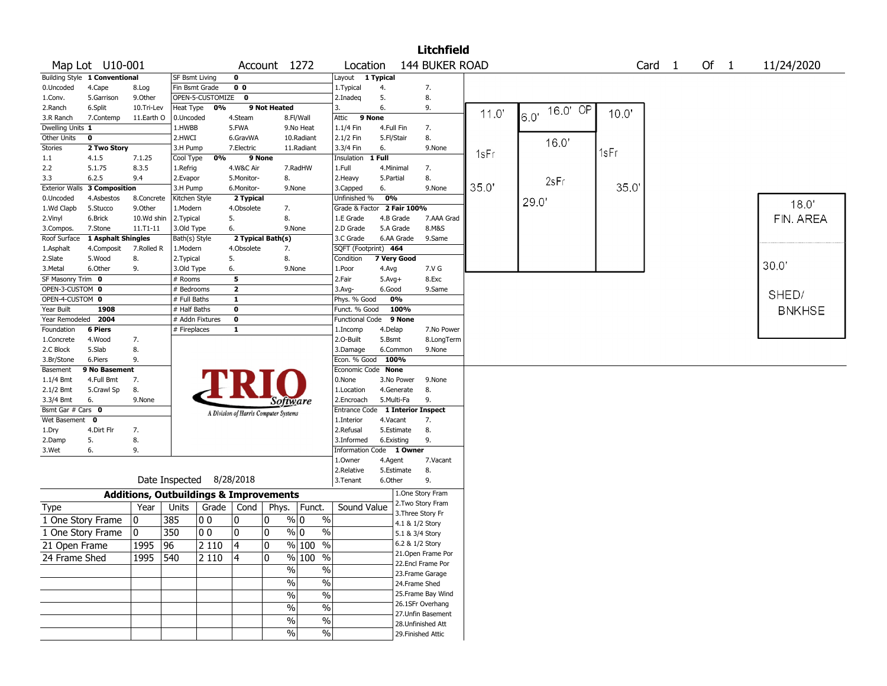|                              |                               |                    |                 |                  |                           |                                                   |                                   |                                         |                   | Litchfield                |       |          |       |                   |        |               |
|------------------------------|-------------------------------|--------------------|-----------------|------------------|---------------------------|---------------------------------------------------|-----------------------------------|-----------------------------------------|-------------------|---------------------------|-------|----------|-------|-------------------|--------|---------------|
|                              | Map Lot U10-001               |                    |                 |                  |                           | Account 1272                                      |                                   | Location                                |                   | 144 BUKER ROAD            |       |          |       | Card <sub>1</sub> | Of $1$ | 11/24/2020    |
|                              | Building Style 1 Conventional |                    | SF Bsmt Living  |                  | 0                         |                                                   |                                   | Layout                                  | 1 Typical         |                           |       |          |       |                   |        |               |
| 0.Uncoded                    | 4.Cape                        | 8.Log              | Fin Bsmt Grade  |                  | 0 <sub>0</sub>            |                                                   |                                   | 1. Typical                              | 4.                | 7.                        |       |          |       |                   |        |               |
| 1.Conv.                      | 5.Garrison                    | 9.0ther            |                 | OPEN-5-CUSTOMIZE | $\mathbf 0$               |                                                   |                                   | 2.Inadeq                                | 5.                | 8.                        |       |          |       |                   |        |               |
| 2.Ranch                      | 6.Split                       | 10.Tri-Lev         | Heat Type       | 0%               |                           | 9 Not Heated                                      |                                   | 3.                                      | 6.                | 9.                        | 11.0' | 16.0' OP | 10.0' |                   |        |               |
| 3.R Ranch                    | 7.Contemp                     | 11.Earth O         | 0.Uncoded       |                  | 4.Steam                   |                                                   | 8.Fl/Wall                         | Attic<br>9 None                         |                   |                           |       | 6.0'     |       |                   |        |               |
| Dwelling Units 1             |                               |                    | 1.HWBB          |                  | 5.FWA                     |                                                   | 9.No Heat                         | $1.1/4$ Fin                             | 4.Full Fin        | 7.                        |       |          |       |                   |        |               |
| Other Units                  | $\pmb{0}$                     |                    | 2.HWCI          |                  | 6.GravWA                  |                                                   | 10.Radiant                        | 2.1/2 Fin                               | 5.Fl/Stair        | 8.                        |       | 16.0'    |       |                   |        |               |
| <b>Stories</b>               | 2 Two Story                   |                    | 3.H Pump        |                  | 7.Electric                |                                                   | 11.Radiant                        | 3.3/4 Fin                               | 6.                | 9.None                    | 1sFr  |          | 1sFr  |                   |        |               |
| 1.1                          | 4.1.5                         | 7.1.25             | Cool Type       | 0%               | 9 None                    |                                                   |                                   | Insulation                              | 1 Full            |                           |       |          |       |                   |        |               |
| 2.2                          | 5.1.75                        | 8.3.5              | 1.Refrig        |                  | 4.W&C Air                 |                                                   | 7.RadHW                           | 1.Full                                  | 4.Minimal         | 7.                        |       |          |       |                   |        |               |
| 3.3                          | 6.2.5                         | 9.4                | 2.Evapor        |                  | 5.Monitor-                | 8.                                                |                                   | 2. Heavy                                | 5.Partial         | 8.                        |       | 2sFr     |       |                   |        |               |
| <b>Exterior Walls</b>        | <b>3 Composition</b>          |                    | 3.H Pump        |                  | 6.Monitor-                | 9.None                                            |                                   | 3.Capped                                | 6.                | 9.None                    | 35.0' |          | 35.0  |                   |        |               |
| 0.Uncoded                    | 4.Asbestos                    | 8.Concrete         | Kitchen Style   |                  | 2 Typical                 |                                                   |                                   | Unfinished %                            | 0%                |                           |       | 29.0'    |       |                   |        | 18.0'         |
| 1.Wd Clapb                   | 5.Stucco                      | 9.0ther            | 1.Modern        |                  | 4.Obsolete                | 7.                                                |                                   | Grade & Factor                          |                   | 2 Fair 100%               |       |          |       |                   |        |               |
| 2.Vinyl                      | 6.Brick                       | 10.Wd shin         | 2.Typical       |                  | 5.                        | 8.                                                |                                   | 1.E Grade                               | 4.B Grade         | 7.AAA Grad                |       |          |       |                   |        | FIN. AREA     |
| 3.Compos.                    | 7.Stone                       | $11. T1 - 11$      | 3.Old Type      |                  | 6.                        | 9.None                                            |                                   | 2.D Grade                               | 5.A Grade         | 8.M&S                     |       |          |       |                   |        |               |
| Roof Surface                 | 1 Asphalt Shingles            |                    | Bath(s) Style   |                  |                           | 2 Typical Bath(s)                                 |                                   | 3.C Grade                               | 6.AA Grade        | 9.Same                    |       |          |       |                   |        |               |
| 1.Asphalt                    | 4.Composit                    | 7.Rolled R         | 1.Modern        |                  | 4.Obsolete                | 7.                                                |                                   | SQFT (Footprint) 464                    |                   |                           |       |          |       |                   |        |               |
| 2.Slate                      | 5.Wood                        | 8.                 | 2. Typical      |                  | 5.                        | 8.                                                |                                   | Condition                               | 7 Very Good       |                           |       |          |       |                   |        | 30.0"         |
| 3.Metal                      | 6.Other                       | 9.                 | 3.Old Type      |                  | 6.                        | 9.None                                            |                                   | 1.Poor                                  | 4.Avg             | 7.V G                     |       |          |       |                   |        |               |
| SF Masonry Trim 0            |                               |                    | $#$ Rooms       |                  | 5                         |                                                   |                                   | 2.Fair                                  | $5.Avg+$          | 8.Exc                     |       |          |       |                   |        |               |
| OPEN-3-CUSTOM 0              |                               |                    | # Bedrooms      |                  | $\overline{2}$            |                                                   |                                   | 3.Avg-                                  | 6.Good            | 9.Same                    |       |          |       |                   |        | SHED/         |
| OPEN-4-CUSTOM 0              |                               |                    | # Full Baths    |                  | $\mathbf{1}$              |                                                   |                                   | Phys. % Good                            | 0%                |                           |       |          |       |                   |        |               |
| Year Built                   | 1908<br>2004                  |                    | # Half Baths    |                  | $\overline{\mathbf{0}}$   |                                                   |                                   | Funct. % Good<br><b>Functional Code</b> | 100%<br>9 None    |                           |       |          |       |                   |        | <b>BNKHSE</b> |
| Year Remodeled<br>Foundation | <b>6 Piers</b>                |                    | # Addn Fixtures |                  | $\pmb{0}$<br>$\mathbf{1}$ |                                                   |                                   |                                         |                   | 7.No Power                |       |          |       |                   |        |               |
|                              | 4.Wood                        | 7.                 | # Fireplaces    |                  |                           |                                                   |                                   | 1.Incomp<br>2.0-Built                   | 4.Delap<br>5.Bsmt | 8.LongTerm                |       |          |       |                   |        |               |
| 1.Concrete                   | 5.Slab                        | 8.                 |                 |                  |                           |                                                   |                                   | 3.Damage                                | 6.Common          | 9.None                    |       |          |       |                   |        |               |
| 2.C Block<br>3.Br/Stone      | 6.Piers                       | 9.                 |                 |                  |                           |                                                   |                                   | Econ. % Good                            | 100%              |                           |       |          |       |                   |        |               |
| Basement                     | 9 No Basement                 |                    |                 |                  |                           |                                                   |                                   | Economic Code None                      |                   |                           |       |          |       |                   |        |               |
| 1.1/4 Bmt                    | 4.Full Bmt                    | 7.                 |                 |                  |                           |                                                   |                                   | 0.None                                  | 3.No Power        | 9.None                    |       |          |       |                   |        |               |
| 2.1/2 Bmt                    | 5.Crawl Sp                    | 8.                 |                 |                  |                           |                                                   |                                   | 1.Location                              | 4.Generate        | 8.                        |       |          |       |                   |        |               |
| 3.3/4 Bmt                    | 6.                            | 9.None             |                 |                  |                           | Software                                          |                                   | 2.Encroach                              | 5.Multi-Fa        | 9.                        |       |          |       |                   |        |               |
| Bsmt Gar # Cars 0            |                               |                    |                 |                  |                           |                                                   |                                   | <b>Entrance Code</b>                    |                   | <b>1 Interior Inspect</b> |       |          |       |                   |        |               |
| Wet Basement                 | 0                             |                    |                 |                  |                           | A Division of Harris Computer Systems             |                                   | 1.Interior                              | 4.Vacant          | 7.                        |       |          |       |                   |        |               |
| 1.Dry                        | 4.Dirt Flr                    | 7.                 |                 |                  |                           |                                                   |                                   | 2.Refusal                               | 5.Estimate        | 8.                        |       |          |       |                   |        |               |
| 2.Damp                       | 5.                            | 8.                 |                 |                  |                           |                                                   |                                   | 3.Informed                              | 6.Existing        | 9.                        |       |          |       |                   |        |               |
| 3.Wet                        | 6.                            | 9.                 |                 |                  |                           |                                                   |                                   | <b>Information Code</b>                 |                   | 1 Owner                   |       |          |       |                   |        |               |
|                              |                               |                    |                 |                  |                           |                                                   |                                   | 1.Owner                                 | 4.Agent           | 7.Vacant                  |       |          |       |                   |        |               |
|                              |                               |                    |                 |                  |                           |                                                   |                                   | 2.Relative                              | 5.Estimate        | 8.                        |       |          |       |                   |        |               |
|                              |                               |                    | Date Inspected  |                  | 8/28/2018                 |                                                   |                                   | 3.Tenant                                | 6.Other           | 9.                        |       |          |       |                   |        |               |
|                              |                               |                    |                 |                  |                           | <b>Additions, Outbuildings &amp; Improvements</b> |                                   |                                         |                   | 1.One Story Fram          |       |          |       |                   |        |               |
|                              |                               |                    |                 |                  |                           |                                                   |                                   |                                         |                   | 2. Two Story Fram         |       |          |       |                   |        |               |
| Type                         |                               | Year               | Units           | Grade   Cond     |                           | Phys.                                             | Funct.                            | Sound Value                             |                   | 3. Three Story Fr         |       |          |       |                   |        |               |
|                              | 1 One Story Frame             | 0                  | 385             | O O              | 0                         | 0<br>% 0                                          | $\%$                              |                                         |                   | 4.1 & 1/2 Story           |       |          |       |                   |        |               |
|                              | 1 One Story Frame             | 0                  | 350             | O O              | 0                         | 0<br>% 0                                          | $\%$                              |                                         |                   | 5.1 & 3/4 Story           |       |          |       |                   |        |               |
| 21 Open Frame                |                               | $\overline{1}$ 995 | 96              | 2 1 1 0          | 4                         | 0                                                 | $\overline{\frac{0}{0}}$<br>% 100 |                                         |                   | 6.2 & 1/2 Story           |       |          |       |                   |        |               |
| 24 Frame Shed                |                               | 1995               | 540             | 2 1 1 0          | 4                         | 0                                                 | % 100 %                           |                                         |                   | 21. Open Frame Por        |       |          |       |                   |        |               |
|                              |                               |                    |                 |                  |                           |                                                   |                                   |                                         |                   | 22.Encl Frame Por         |       |          |       |                   |        |               |
|                              |                               |                    |                 |                  |                           | $\frac{1}{2}$                                     | $\%$                              |                                         |                   | 23. Frame Garage          |       |          |       |                   |        |               |
|                              |                               |                    |                 |                  |                           | $\sqrt{6}$                                        | $\%$                              |                                         |                   | 24.Frame Shed             |       |          |       |                   |        |               |
|                              |                               |                    |                 |                  |                           | $\sqrt{6}$                                        | $\overline{\frac{0}{6}}$          |                                         |                   | 25. Frame Bay Wind        |       |          |       |                   |        |               |
|                              |                               |                    |                 |                  |                           | $\sqrt{6}$                                        | $\%$                              |                                         |                   | 26.1SFr Overhang          |       |          |       |                   |        |               |
|                              |                               |                    |                 |                  |                           |                                                   |                                   |                                         |                   | 27.Unfin Basement         |       |          |       |                   |        |               |
|                              |                               |                    |                 |                  |                           | $\%$                                              | $\%$                              |                                         |                   | 28. Unfinished Att        |       |          |       |                   |        |               |
|                              |                               |                    |                 |                  |                           | $\%$                                              | $\%$                              |                                         |                   | 29. Finished Attic        |       |          |       |                   |        |               |
|                              |                               |                    |                 |                  |                           |                                                   |                                   |                                         |                   |                           |       |          |       |                   |        |               |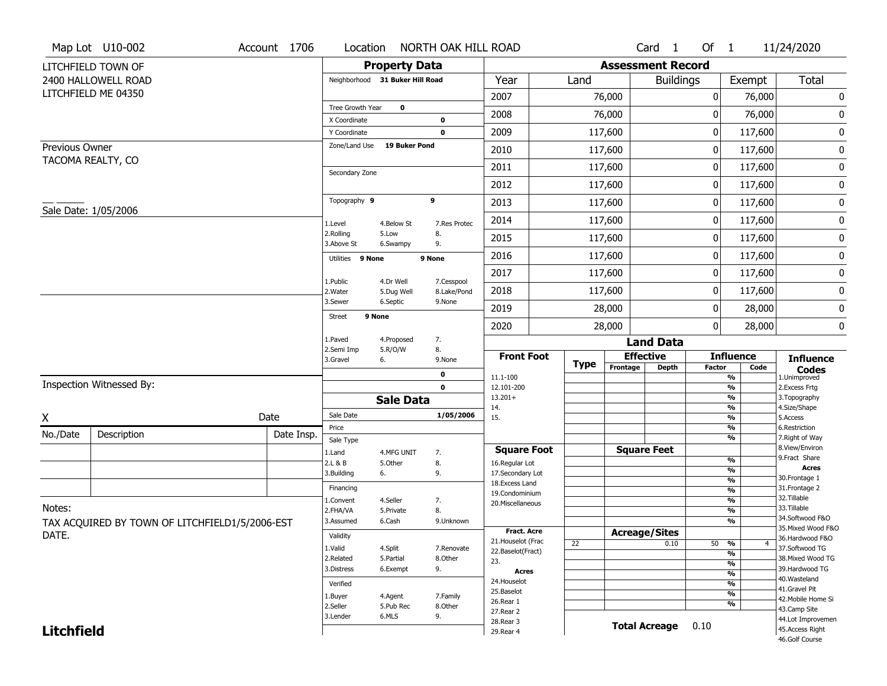|                   | Map Lot U10-002                                | Account 1706 | Location                     |                                 | NORTH OAK HILL ROAD       |                                   |             |                          | Card <sub>1</sub>    | Of $1$        |                       | 11/24/2020                           |
|-------------------|------------------------------------------------|--------------|------------------------------|---------------------------------|---------------------------|-----------------------------------|-------------|--------------------------|----------------------|---------------|-----------------------|--------------------------------------|
|                   | LITCHFIELD TOWN OF                             |              |                              | <b>Property Data</b>            |                           |                                   |             | <b>Assessment Record</b> |                      |               |                       |                                      |
|                   | 2400 HALLOWELL ROAD                            |              |                              | Neighborhood 31 Buker Hill Road |                           | Year                              | Land        |                          | <b>Buildings</b>     |               | Exempt                | <b>Total</b>                         |
|                   | LITCHFIELD ME 04350                            |              |                              |                                 |                           | 2007                              |             | 76,000                   |                      | 0             |                       | 0<br>76,000                          |
|                   |                                                |              | Tree Growth Year             | $\mathbf 0$                     |                           | 2008                              |             | 76,000                   |                      | 0             |                       | $\pmb{0}$<br>76,000                  |
|                   |                                                |              | X Coordinate<br>Y Coordinate |                                 | $\bf{0}$<br>$\mathbf 0$   | 2009                              |             | 117,600                  |                      | 0             | 117,600               | 0                                    |
| Previous Owner    |                                                |              | Zone/Land Use                | <b>19 Buker Pond</b>            |                           | 2010                              |             | 117,600                  |                      | 0             | 117,600               | $\pmb{0}$                            |
|                   | TACOMA REALTY, CO                              |              |                              |                                 |                           |                                   |             |                          |                      |               |                       |                                      |
|                   |                                                |              | Secondary Zone               |                                 |                           | 2011                              |             | 117,600                  |                      | 0             | 117,600               | 0                                    |
|                   |                                                |              |                              |                                 |                           | 2012                              |             | 117,600                  |                      | 0             | 117,600               | $\pmb{0}$                            |
|                   | Sale Date: 1/05/2006                           |              | Topography 9                 |                                 | 9                         | 2013                              |             | 117,600                  |                      | 0             | 117,600               | 0                                    |
|                   |                                                |              | 1.Level                      | 4.Below St                      | 7.Res Protec              | 2014                              |             | 117,600                  |                      | 0             | 117,600               | 0                                    |
|                   |                                                |              | 2.Rolling<br>3.Above St      | 5.Low<br>6.Swampy               | 8.<br>9.                  | 2015                              |             | 117,600                  |                      | 0             | 117,600               | 0                                    |
|                   |                                                |              | Utilities 9 None             |                                 | 9 None                    | 2016                              |             | 117,600                  |                      | 0             | 117,600               | $\pmb{0}$                            |
|                   |                                                |              |                              |                                 |                           | 2017                              |             | 117,600                  |                      | 0             | 117,600               | 0                                    |
|                   |                                                |              | 1.Public<br>2. Water         | 4.Dr Well<br>5.Dug Well         | 7.Cesspool<br>8.Lake/Pond | 2018                              |             | 117,600                  |                      | 0             | 117,600               | $\pmb{0}$                            |
|                   |                                                |              | 3.Sewer                      | 6.Septic                        | 9.None                    | 2019                              |             | 28,000                   |                      | 0             |                       | 0<br>28,000                          |
|                   |                                                |              | Street                       | 9 None                          |                           | 2020                              |             | 28,000                   |                      | 0             |                       | $\pmb{0}$<br>28,000                  |
|                   |                                                |              | 1.Paved                      | 4.Proposed                      | 7.                        |                                   |             |                          | <b>Land Data</b>     |               |                       |                                      |
|                   |                                                |              | 2.Semi Imp<br>3.Gravel       | 5.R/O/W<br>6.                   | 8.<br>9.None              | <b>Front Foot</b>                 |             | <b>Effective</b>         |                      |               | <b>Influence</b>      | <b>Influence</b>                     |
|                   |                                                |              |                              |                                 | 0                         | 11.1-100                          | <b>Type</b> | Frontage                 | <b>Depth</b>         | <b>Factor</b> | %                     | Code<br><b>Codes</b><br>1.Unimproved |
|                   | Inspection Witnessed By:                       |              |                              |                                 | $\mathbf 0$               | 12.101-200                        |             |                          |                      |               | %                     | 2.Excess Frtg                        |
|                   |                                                |              |                              | <b>Sale Data</b>                |                           | $13.201+$<br>14.                  |             |                          |                      |               | %<br>%                | 3. Topography<br>4.Size/Shape        |
| χ                 |                                                | Date         | Sale Date                    |                                 | 1/05/2006                 | 15.                               |             |                          |                      |               | %                     | 5.Access                             |
| No./Date          | Description                                    | Date Insp.   | Price                        |                                 |                           |                                   |             |                          |                      |               | %<br>%                | 6.Restriction<br>7. Right of Way     |
|                   |                                                |              | Sale Type<br>1.Land          | 4.MFG UNIT                      | 7.                        | <b>Square Foot</b>                |             | <b>Square Feet</b>       |                      |               |                       | 8.View/Environ                       |
|                   |                                                |              | 2.L & B                      | 5.Other                         | 8.                        | 16.Regular Lot                    |             |                          |                      |               | %                     | 9.Fract Share                        |
|                   |                                                |              | 3.Building                   | 6.                              | 9.                        | 17.Secondary Lot                  |             |                          |                      |               | %<br>$\frac{9}{6}$    | <b>Acres</b><br>30.Frontage 1        |
|                   |                                                |              | Financing                    |                                 |                           | 18. Excess Land<br>19.Condominium |             |                          |                      |               | %                     | 31. Frontage 2                       |
|                   |                                                |              | 1.Convent                    | 4.Seller                        | 7.                        | 20.Miscellaneous                  |             |                          |                      |               | $\frac{9}{6}$         | 32. Tillable                         |
| Notes:            |                                                |              | 2.FHA/VA                     | 5.Private                       | 8.                        |                                   |             |                          |                      |               | $\frac{9}{6}$         | 33.Tillable<br>34.Softwood F&O       |
|                   | TAX ACQUIRED BY TOWN OF LITCHFIELD1/5/2006-EST |              | 3.Assumed                    | 6.Cash                          | 9.Unknown                 | Fract. Acre                       |             |                          |                      |               | %                     | 35. Mixed Wood F&O                   |
| DATE.             |                                                |              | Validity                     |                                 |                           | 21. Houselot (Frac                | 22          | <b>Acreage/Sites</b>     | 0.10                 |               |                       | 36.Hardwood F&O                      |
|                   |                                                |              | 1.Valid                      | 4.Split                         | 7.Renovate                | 22.Baselot(Fract)                 |             |                          |                      |               | 50 %<br>$\frac{9}{6}$ | 4<br>37.Softwood TG                  |
|                   |                                                |              | 2.Related                    | 5.Partial                       | 8.Other                   | 23.                               |             |                          |                      |               | $\frac{9}{6}$         | 38. Mixed Wood TG                    |
|                   |                                                |              | 3.Distress                   | 6.Exempt                        | 9.                        | <b>Acres</b>                      |             |                          |                      |               | $\frac{9}{6}$         | 39.Hardwood TG<br>40. Wasteland      |
|                   |                                                |              | Verified                     |                                 |                           | 24. Houselot                      |             |                          |                      |               | $\frac{9}{6}$         | 41.Gravel Pit                        |
|                   |                                                |              | 1.Buyer                      | 4.Agent                         | 7.Family                  | 25.Baselot<br>26.Rear 1           |             |                          |                      |               | $\frac{9}{6}$         | 42. Mobile Home Si                   |
|                   |                                                |              | 2.Seller                     | 5.Pub Rec                       | 8.Other                   | 27.Rear 2                         |             |                          |                      |               | %                     | 43.Camp Site                         |
|                   |                                                |              | 3.Lender                     | 6.MLS                           | 9.                        | 28. Rear 3                        |             |                          | <b>Total Acreage</b> | 0.10          |                       | 44.Lot Improvemen                    |
| <b>Litchfield</b> |                                                |              |                              |                                 |                           | 29. Rear 4                        |             |                          |                      |               |                       | 45.Access Right<br>46.Golf Course    |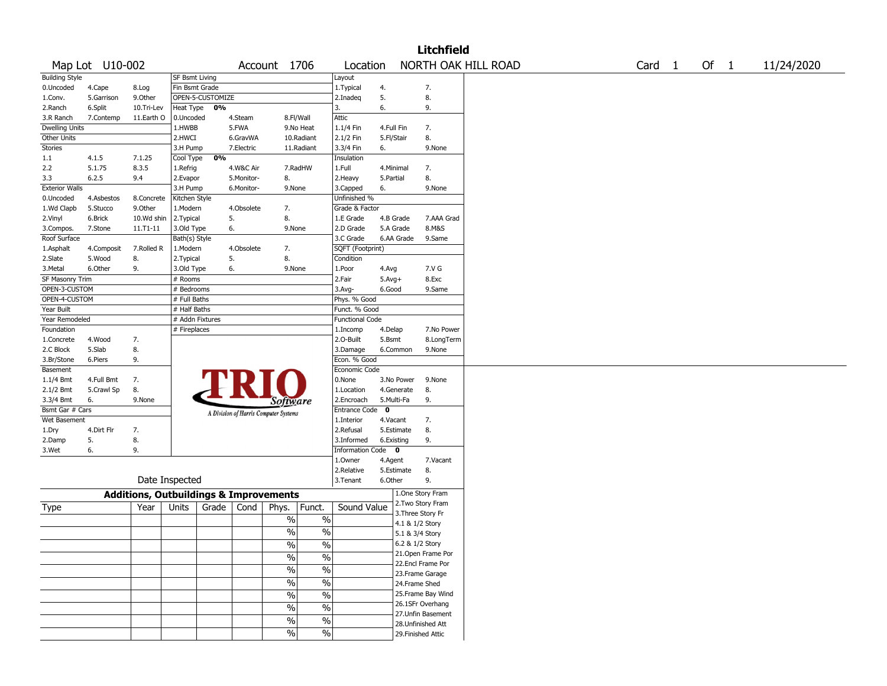|                           |                      |                                                   |                           |                  |            |                                       |               |                               |             |                        | <b>Litchfield</b>   |                     |  |        |        |            |
|---------------------------|----------------------|---------------------------------------------------|---------------------------|------------------|------------|---------------------------------------|---------------|-------------------------------|-------------|------------------------|---------------------|---------------------|--|--------|--------|------------|
|                           | Map Lot U10-002      |                                                   |                           |                  |            | Account 1706                          |               | Location                      |             |                        |                     | NORTH OAK HILL ROAD |  | Card 1 | Of $1$ | 11/24/2020 |
| <b>Building Style</b>     |                      |                                                   | <b>SF Bsmt Living</b>     |                  |            |                                       |               | Layout                        |             |                        |                     |                     |  |        |        |            |
| 0.Uncoded                 | 4.Cape               | 8.Log                                             | Fin Bsmt Grade            |                  |            |                                       |               | 1. Typical                    | 4.          |                        | 7.                  |                     |  |        |        |            |
| 1.Conv.                   | 5.Garrison           | 9.Other                                           |                           | OPEN-5-CUSTOMIZE |            |                                       |               | 2.Inadeg                      | 5.          |                        | 8.                  |                     |  |        |        |            |
| 2.Ranch                   | 6.Split              | 10.Tri-Lev                                        | Heat Type                 | 0%               |            |                                       |               | 3.                            | 6.          |                        | 9.                  |                     |  |        |        |            |
| 3.R Ranch                 | 7.Contemp            | 11.Earth O                                        | 0.Uncoded                 |                  | 4.Steam    |                                       | 8.Fl/Wall     | Attic                         |             |                        |                     |                     |  |        |        |            |
| <b>Dwelling Units</b>     |                      |                                                   | 1.HWBB                    |                  | 5.FWA      |                                       | 9.No Heat     | 1.1/4 Fin                     | 4.Full Fin  |                        | 7.                  |                     |  |        |        |            |
| Other Units               |                      |                                                   | 2.HWCI                    |                  | 6.GravWA   |                                       | 10.Radiant    | 2.1/2 Fin                     | 5.Fl/Stair  |                        | 8.                  |                     |  |        |        |            |
| <b>Stories</b>            |                      |                                                   | 3.H Pump                  |                  | 7.Electric |                                       | 11.Radiant    | 3.3/4 Fin                     | 6.          |                        | 9.None              |                     |  |        |        |            |
| 1.1                       | 4.1.5                | 7.1.25                                            | Cool Type                 | 0%               |            |                                       |               | Insulation                    |             |                        |                     |                     |  |        |        |            |
| 2.2                       | 5.1.75               | 8.3.5                                             | 1.Refrig                  |                  | 4.W&C Air  |                                       | 7.RadHW       | 1.Full                        |             | 4.Minimal              | 7.                  |                     |  |        |        |            |
| 3.3                       | 6.2.5                | 9.4                                               | 2.Evapor                  |                  | 5.Monitor- | 8.                                    |               | 2. Heavy                      | 5.Partial   |                        | 8.                  |                     |  |        |        |            |
| <b>Exterior Walls</b>     |                      |                                                   | 3.H Pump                  |                  | 6.Monitor- | 9.None                                |               | 3.Capped                      | 6.          |                        | 9.None              |                     |  |        |        |            |
| 0.Uncoded                 | 4.Asbestos           | 8.Concrete                                        | Kitchen Style             |                  |            |                                       |               | Unfinished %                  |             |                        |                     |                     |  |        |        |            |
| 1.Wd Clapb                | 5.Stucco             | 9.Other                                           | 1.Modern                  |                  | 4.Obsolete | 7.<br>8.                              |               | Grade & Factor                |             |                        |                     |                     |  |        |        |            |
| 2.Vinyl                   | 6.Brick              | 10.Wd shin                                        | 2.Typical                 |                  | 5.         |                                       |               | 1.E Grade                     |             | 4.B Grade<br>5.A Grade | 7.AAA Grad<br>8.M&S |                     |  |        |        |            |
| 3.Compos.<br>Roof Surface | 7.Stone              | 11.T1-11                                          | 3.Old Type                |                  | 6.         | 9.None                                |               | 2.D Grade<br>3.C Grade        |             | 6.AA Grade             | 9.Same              |                     |  |        |        |            |
|                           |                      | 7.Rolled R                                        | Bath(s) Style<br>1.Modern |                  | 4.Obsolete |                                       |               |                               |             |                        |                     |                     |  |        |        |            |
| 1.Asphalt<br>2.Slate      | 4.Composit<br>5.Wood | 8.                                                | 2. Typical                |                  | 5.         | 7.<br>8.                              |               | SQFT (Footprint)<br>Condition |             |                        |                     |                     |  |        |        |            |
| 3. Metal                  | 6.Other              | 9.                                                | 3.Old Type                |                  | 6.         | 9.None                                |               | 1.Poor                        | 4.Avg       |                        | 7.V G               |                     |  |        |        |            |
| SF Masonry Trim           |                      |                                                   | # Rooms                   |                  |            |                                       |               | 2.Fair                        | $5.Avg+$    |                        | 8.Exc               |                     |  |        |        |            |
| OPEN-3-CUSTOM             |                      |                                                   | # Bedrooms                |                  |            |                                       |               | 3.Avg-                        | 6.Good      |                        | 9.Same              |                     |  |        |        |            |
| OPEN-4-CUSTOM             |                      |                                                   | # Full Baths              |                  |            |                                       |               | Phys. % Good                  |             |                        |                     |                     |  |        |        |            |
| Year Built                |                      |                                                   | # Half Baths              |                  |            |                                       |               | Funct. % Good                 |             |                        |                     |                     |  |        |        |            |
| Year Remodeled            |                      |                                                   | # Addn Fixtures           |                  |            |                                       |               | <b>Functional Code</b>        |             |                        |                     |                     |  |        |        |            |
| Foundation                |                      |                                                   | # Fireplaces              |                  |            |                                       |               | 1.Incomp                      | 4.Delap     |                        | 7.No Power          |                     |  |        |        |            |
| 1.Concrete                | 4.Wood               | 7.                                                |                           |                  |            |                                       |               | 2.0-Built                     | 5.Bsmt      |                        | 8.LongTerm          |                     |  |        |        |            |
| 2.C Block                 | 5.Slab               | 8.                                                |                           |                  |            |                                       |               | 3.Damage                      |             | 6.Common               | 9.None              |                     |  |        |        |            |
| 3.Br/Stone                | 6.Piers              | 9.                                                |                           |                  |            |                                       |               | Econ. % Good                  |             |                        |                     |                     |  |        |        |            |
| Basement                  |                      |                                                   |                           |                  |            |                                       |               | Economic Code                 |             |                        |                     |                     |  |        |        |            |
| 1.1/4 Bmt                 | 4.Full Bmt           | 7.                                                |                           |                  |            |                                       |               | 0.None                        |             | 3.No Power             | 9.None              |                     |  |        |        |            |
| 2.1/2 Bmt                 | 5.Crawl Sp           | 8.                                                |                           |                  |            |                                       |               | 1.Location                    |             | 4.Generate             | 8.                  |                     |  |        |        |            |
| 3.3/4 Bmt                 | 6.                   | 9.None                                            |                           |                  |            | <i>Software</i>                       |               | 2.Encroach                    |             | 5.Multi-Fa             | 9.                  |                     |  |        |        |            |
| Bsmt Gar # Cars           |                      |                                                   |                           |                  |            | A Division of Harris Computer Systems |               | <b>Entrance Code</b>          | $\mathbf 0$ |                        |                     |                     |  |        |        |            |
| Wet Basement              |                      |                                                   |                           |                  |            |                                       |               | 1.Interior                    | 4.Vacant    |                        | 7.                  |                     |  |        |        |            |
| 1.Dry                     | 4.Dirt Flr           | 7.                                                |                           |                  |            |                                       |               | 2.Refusal                     |             | 5.Estimate             | 8.                  |                     |  |        |        |            |
| 2.Damp                    | 5.                   | 8.                                                |                           |                  |            |                                       |               | 3.Informed                    |             | 6.Existing             | 9.                  |                     |  |        |        |            |
| 3.Wet                     | 6.                   | 9.                                                |                           |                  |            |                                       |               | Information Code 0            |             |                        |                     |                     |  |        |        |            |
|                           |                      |                                                   |                           |                  |            |                                       |               | 1.Owner                       | 4.Agent     |                        | 7.Vacant            |                     |  |        |        |            |
|                           |                      |                                                   |                           |                  |            |                                       |               | 2.Relative                    |             | 5.Estimate             | 8.                  |                     |  |        |        |            |
|                           |                      | Date Inspected                                    |                           |                  |            |                                       |               | 3.Tenant                      | 6.Other     |                        | 9.                  |                     |  |        |        |            |
|                           |                      | <b>Additions, Outbuildings &amp; Improvements</b> |                           |                  |            |                                       |               |                               |             |                        | 1.One Story Fram    |                     |  |        |        |            |
| Type                      |                      | Year                                              | Units                     | Grade            | Cond       | Phys.                                 | Funct.        | Sound Value                   |             |                        | 2. Two Story Fram   |                     |  |        |        |            |
|                           |                      |                                                   |                           |                  |            |                                       |               |                               |             |                        | 3. Three Story Fr   |                     |  |        |        |            |
|                           |                      |                                                   |                           |                  |            | %                                     | $\%$          |                               |             |                        | 4.1 & 1/2 Story     |                     |  |        |        |            |
|                           |                      |                                                   |                           |                  |            | %                                     | $\%$          |                               |             |                        | 5.1 & 3/4 Story     |                     |  |        |        |            |
|                           |                      |                                                   |                           |                  |            | %                                     | %             |                               |             |                        | 6.2 & 1/2 Story     |                     |  |        |        |            |
|                           |                      |                                                   |                           |                  |            | $\frac{0}{6}$                         | $\frac{0}{6}$ |                               |             |                        | 21. Open Frame Por  |                     |  |        |        |            |
|                           |                      |                                                   |                           |                  |            | $\%$                                  | $\frac{0}{6}$ |                               |             |                        | 22.Encl Frame Por   |                     |  |        |        |            |
|                           |                      |                                                   |                           |                  |            |                                       |               |                               |             |                        | 23.Frame Garage     |                     |  |        |        |            |
|                           |                      |                                                   |                           |                  |            | %                                     | $\sqrt{6}$    |                               |             |                        | 24.Frame Shed       |                     |  |        |        |            |
|                           |                      |                                                   |                           |                  |            | $\%$                                  | $\sqrt{6}$    |                               |             |                        | 25. Frame Bay Wind  |                     |  |        |        |            |
|                           |                      |                                                   |                           |                  |            | $\%$                                  | $\sqrt{6}$    |                               |             |                        | 26.1SFr Overhang    |                     |  |        |        |            |
|                           |                      |                                                   |                           |                  |            | $\%$                                  | $\sqrt{6}$    |                               |             |                        | 27. Unfin Basement  |                     |  |        |        |            |
|                           |                      |                                                   |                           |                  |            |                                       |               |                               |             |                        | 28.Unfinished Att   |                     |  |        |        |            |
|                           |                      |                                                   |                           |                  |            | $\%$                                  | $\sqrt{6}$    |                               |             |                        | 29. Finished Attic  |                     |  |        |        |            |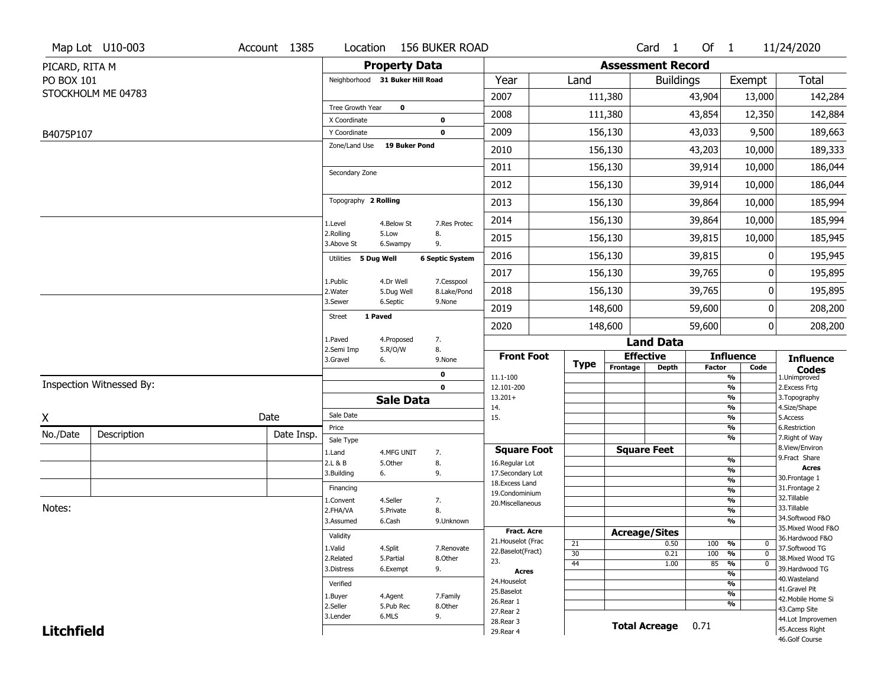|                   | Map Lot U10-003          | Account 1385 | Location                            |                       | <b>156 BUKER ROAD</b>  |                                    |                      |                          | Card <sub>1</sub> | Of 1          |                                   | 11/24/2020                          |
|-------------------|--------------------------|--------------|-------------------------------------|-----------------------|------------------------|------------------------------------|----------------------|--------------------------|-------------------|---------------|-----------------------------------|-------------------------------------|
| PICARD, RITA M    |                          |              |                                     | <b>Property Data</b>  |                        |                                    |                      | <b>Assessment Record</b> |                   |               |                                   |                                     |
| PO BOX 101        |                          |              | Neighborhood 31 Buker Hill Road     |                       |                        | Year                               | Land                 |                          | <b>Buildings</b>  |               | Exempt                            | <b>Total</b>                        |
|                   | STOCKHOLM ME 04783       |              |                                     |                       |                        | 2007                               |                      | 111,380                  |                   | 43,904        | 13,000                            | 142,284                             |
|                   |                          |              | Tree Growth Year                    | $\mathbf 0$           |                        | 2008                               |                      | 111,380                  |                   | 43,854        | 12,350                            | 142,884                             |
|                   |                          |              | X Coordinate                        |                       | $\mathbf 0$            |                                    |                      |                          |                   |               |                                   |                                     |
| B4075P107         |                          |              | Y Coordinate<br>Zone/Land Use       | <b>19 Buker Pond</b>  | $\mathbf 0$            | 2009                               |                      | 156,130                  |                   | 43,033        | 9,500                             | 189,663                             |
|                   |                          |              |                                     |                       |                        | 2010                               |                      | 156,130                  |                   | 43,203        | 10,000                            | 189,333                             |
|                   |                          |              | Secondary Zone                      |                       |                        | 2011                               |                      | 156,130                  |                   | 39,914        | 10,000                            | 186,044                             |
|                   |                          |              |                                     |                       |                        | 2012                               |                      | 156,130                  |                   | 39,914        | 10,000                            | 186,044                             |
|                   |                          |              | Topography 2 Rolling                |                       |                        | 2013                               |                      | 156,130                  |                   | 39,864        | 10,000                            | 185,994                             |
|                   |                          |              | 1.Level                             | 4.Below St            | 7.Res Protec           | 2014                               |                      | 156,130                  |                   | 39,864        | 10,000                            | 185,994                             |
|                   |                          |              | 2.Rolling<br>3.Above St             | 5.Low<br>6.Swampy     | 8.<br>9.               | 2015                               |                      | 156,130                  |                   | 39,815        | 10,000                            | 185,945                             |
|                   |                          |              | Utilities 5 Dug Well                |                       | <b>6 Septic System</b> | 2016                               |                      | 156,130                  |                   | 39,815        | 0                                 | 195,945                             |
|                   |                          |              | 1.Public                            | 4.Dr Well             | 7.Cesspool             | 2017                               |                      | 156,130                  |                   | 39,765        | 0                                 | 195,895                             |
|                   |                          |              | 2. Water                            | 5.Dug Well            | 8.Lake/Pond            | 2018                               |                      | 156,130                  |                   | 39,765        | 0                                 | 195,895                             |
|                   |                          |              | 3.Sewer<br>1 Paved<br><b>Street</b> | 6.Septic              | 9.None                 | 2019                               |                      | 148,600                  |                   | 59,600        | 0                                 | 208,200                             |
|                   |                          |              |                                     |                       |                        | 2020                               |                      | 148,600                  |                   | 59,600        | 0                                 | 208,200                             |
|                   |                          |              | 1.Paved<br>2.Semi Imp               | 4.Proposed<br>5.R/O/W | 7.<br>8.               |                                    |                      |                          | <b>Land Data</b>  |               |                                   |                                     |
|                   |                          |              | 3.Gravel                            | 6.                    | 9.None                 | <b>Front Foot</b>                  | <b>Type</b>          | <b>Effective</b>         |                   |               | <b>Influence</b>                  | <b>Influence</b>                    |
|                   |                          |              |                                     |                       | 0                      | 11.1-100                           |                      | Frontage                 | <b>Depth</b>      | <b>Factor</b> | Code<br>%                         | <b>Codes</b><br>1.Unimproved        |
|                   | Inspection Witnessed By: |              |                                     |                       | $\mathbf 0$            | 12.101-200                         |                      |                          |                   |               | $\frac{9}{6}$                     | 2. Excess Frtg                      |
|                   |                          |              |                                     | <b>Sale Data</b>      |                        | $13.201+$<br>14.                   |                      |                          |                   |               | %<br>%                            | 3. Topography<br>4.Size/Shape       |
| X                 |                          | Date         | Sale Date                           |                       |                        | 15.                                |                      |                          |                   |               | $\frac{9}{6}$                     | 5.Access                            |
| No./Date          | Description              | Date Insp.   | Price<br>Sale Type                  |                       |                        |                                    |                      |                          |                   |               | %<br>%                            | 6.Restriction<br>7. Right of Way    |
|                   |                          |              | 1.Land                              | 4.MFG UNIT            | 7.                     | <b>Square Foot</b>                 |                      | <b>Square Feet</b>       |                   |               |                                   | 8.View/Environ                      |
|                   |                          |              | 2.L & B                             | 5.Other               | 8.                     | 16.Regular Lot                     |                      |                          |                   |               | $\frac{9}{6}$                     | 9.Fract Share<br><b>Acres</b>       |
|                   |                          |              | 3.Building                          | 6.                    | 9.                     | 17.Secondary Lot<br>18.Excess Land |                      |                          |                   |               | $\frac{9}{6}$<br>$\frac{9}{6}$    | 30. Frontage 1                      |
|                   |                          |              | Financing                           |                       |                        | 19.Condominium                     |                      |                          |                   |               | $\frac{9}{6}$                     | 31. Frontage 2                      |
| Notes:            |                          |              | 1.Convent                           | 4.Seller              | 7.                     | 20.Miscellaneous                   |                      |                          |                   |               | $\frac{9}{6}$                     | 32.Tillable<br>33.Tillable          |
|                   |                          |              | 2.FHA/VA<br>3.Assumed               | 5.Private             | 8.                     |                                    |                      |                          |                   |               | $\frac{9}{6}$<br>$\frac{9}{6}$    | 34.Softwood F&O                     |
|                   |                          |              |                                     | 6.Cash                | 9.Unknown              | <b>Fract. Acre</b>                 |                      | <b>Acreage/Sites</b>     |                   |               |                                   | 35. Mixed Wood F&O                  |
|                   |                          |              | Validity                            |                       |                        | 21. Houselot (Frac                 | 21                   |                          | 0.50              | 100           | %<br>0                            | 36.Hardwood F&O                     |
|                   |                          |              | 1.Valid                             | 4.Split               | 7.Renovate             | 22.Baselot(Fract)                  | 30                   |                          | 0.21              | 100           | %<br>$\mathbf 0$                  | 37.Softwood TG                      |
|                   |                          |              | 2.Related                           | 5.Partial             | 8.Other                | 23.                                | 44                   |                          | 1.00              | 85            | $\frac{9}{6}$<br>$\mathbf 0$      | 38. Mixed Wood TG<br>39.Hardwood TG |
|                   |                          |              | 3.Distress                          | 6.Exempt              | 9.                     | <b>Acres</b>                       |                      |                          |                   |               | $\frac{9}{6}$                     | 40. Wasteland                       |
|                   |                          |              | Verified                            |                       |                        | 24. Houselot<br>25.Baselot         |                      |                          |                   |               | $\frac{9}{6}$                     | 41.Gravel Pit                       |
|                   |                          |              | 1.Buyer                             | 4.Agent               | 7.Family               | 26.Rear 1                          |                      |                          |                   |               | $\frac{9}{6}$<br>$\frac{9}{6}$    | 42. Mobile Home Si                  |
|                   |                          | 2.Seller     | 5.Pub Rec                           | 8.0ther               | 27.Rear 2              |                                    |                      |                          |                   |               | 43.Camp Site                      |                                     |
|                   |                          | 3.Lender     | 6.MLS                               | 9.                    | 28. Rear 3             |                                    | <b>Total Acreage</b> |                          | 0.71              |               | 44.Lot Improvemen                 |                                     |
| <b>Litchfield</b> |                          |              |                                     |                       | 29. Rear 4             |                                    |                      |                          |                   |               | 45.Access Right<br>46.Golf Course |                                     |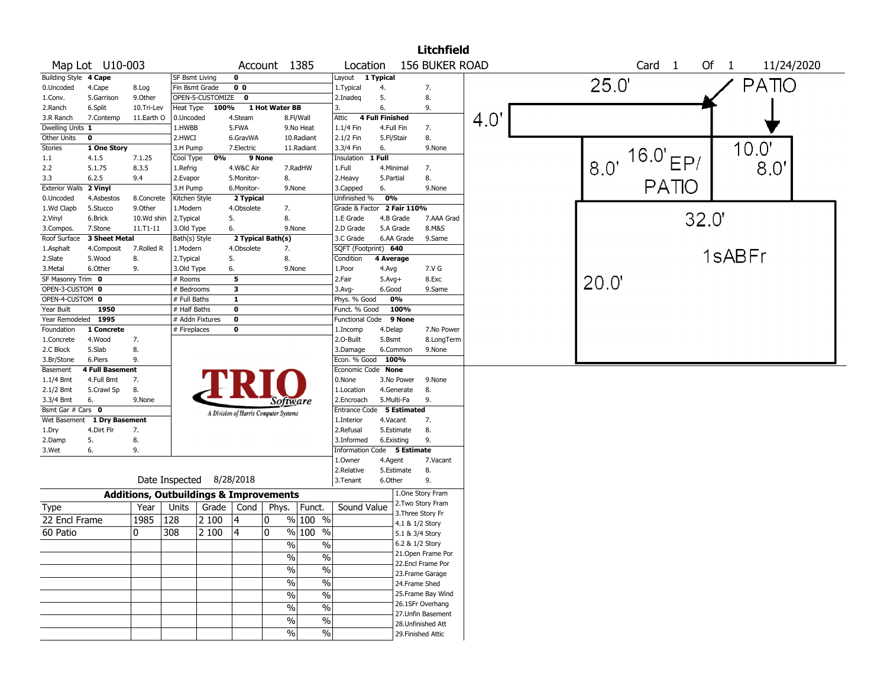|                                    |                                                                                                      |                                                   |                           |       |                                       |                |                                  |                             |                 |                          | <b>Litchfield</b>                  |             |  |       |                       |       |              |            |  |
|------------------------------------|------------------------------------------------------------------------------------------------------|---------------------------------------------------|---------------------------|-------|---------------------------------------|----------------|----------------------------------|-----------------------------|-----------------|--------------------------|------------------------------------|-------------|--|-------|-----------------------|-------|--------------|------------|--|
|                                    | Map Lot U10-003<br>Account 1385                                                                      |                                                   |                           |       |                                       |                |                                  | Location                    |                 |                          | 156 BUKER ROAD                     |             |  |       | Card <sub>1</sub>     |       | Of $1$       | 11/24/2020 |  |
| Building Style 4 Cape              |                                                                                                      |                                                   | <b>SF Bsmt Living</b>     |       | $\mathbf 0$                           |                |                                  | Layout 1 Typical            |                 |                          |                                    |             |  |       |                       |       |              |            |  |
| 0.Uncoded                          | 4.Cape                                                                                               | 8.Log                                             | Fin Bsmt Grade            |       | 0 <sub>0</sub>                        |                |                                  | 1. Typical                  | 4.              |                          | 7.                                 |             |  | 25.0' |                       |       | <b>PATIO</b> |            |  |
| 1.Conv.                            | 5.Garrison                                                                                           | 9.Other                                           | OPEN-5-CUSTOMIZE          |       | $\mathbf{o}$                          |                |                                  | 2.Inadeq                    | 5.              |                          | 8.                                 |             |  |       |                       |       |              |            |  |
| 2.Ranch                            | 6.Split                                                                                              | 10.Tri-Lev                                        | Heat Type                 | 100%  |                                       | 1 Hot Water BB |                                  | 3.                          | 6.              |                          | 9.                                 |             |  |       |                       |       |              |            |  |
| 3.R Ranch                          | 7.Contemp                                                                                            | 11.Earth O                                        | 0.Uncoded                 |       | 4.Steam                               |                | 8.Fl/Wall                        | Attic                       | 4 Full Finished |                          |                                    | $4.0^\circ$ |  |       |                       |       |              |            |  |
| Dwelling Units 1                   |                                                                                                      |                                                   | 1.HWBB                    |       | 5.FWA                                 |                | 9.No Heat                        | 1.1/4 Fin                   |                 | 4.Full Fin               | 7.                                 |             |  |       |                       |       |              |            |  |
| Other Units                        | $\mathbf 0$                                                                                          |                                                   | 2.HWCI                    |       | 6.GravWA                              |                | 10.Radiant                       | 2.1/2 Fin                   |                 | 5.Fl/Stair               | 8.                                 |             |  |       |                       |       |              |            |  |
| Stories                            | 1 One Story                                                                                          |                                                   | 3.H Pump                  |       | 7.Electric                            |                | 11.Radiant                       | 3.3/4 Fin                   | 6.              |                          | 9.None                             |             |  |       | $16.0'$ <sub>EP</sub> |       | 10.0'        |            |  |
| 1.1                                | 4.1.5                                                                                                | 7.1.25                                            | Cool Type                 | 0%    |                                       | 9 None         |                                  | Insulation                  | 1 Full          |                          |                                    |             |  | 8.0'  |                       |       |              |            |  |
| 2.2                                | 5.1.75                                                                                               | 8.3.5                                             | 1.Refrig                  |       | 4.W&C Air                             |                | 7.RadHW                          | 1.Full                      |                 | 4.Minimal                | 7.                                 |             |  |       |                       |       | 8.0"         |            |  |
| 3.3                                | 6.2.5                                                                                                | 9.4                                               | 2.Evapor                  |       | 5.Monitor-<br>6.Monitor-              | 8.             |                                  | 2. Heavy                    | 5.Partial       |                          | 8.<br>9.None                       |             |  |       | <b>PATIO</b>          |       |              |            |  |
| <b>Exterior Walls</b><br>0.Uncoded | 2 Vinyl<br>4.Asbestos                                                                                | 8.Concrete                                        | 3.H Pump<br>Kitchen Style |       | 2 Typical                             |                | 9.None                           | 3.Capped<br>Unfinished %    | 6.<br>0%        |                          |                                    |             |  |       |                       |       |              |            |  |
| 1.Wd Clapb                         | 5.Stucco                                                                                             | 9.Other                                           | 1.Modern                  |       | 4.Obsolete                            |                | 7.                               | Grade & Factor 2 Fair 110%  |                 |                          |                                    |             |  |       |                       |       |              |            |  |
| 2.Vinyl                            | 6.Brick                                                                                              | 10.Wd shin                                        | 2.Typical                 |       | 5.                                    | 8.             |                                  | 1.E Grade                   |                 | 4.B Grade                | 7.AAA Grad                         |             |  |       |                       | 32.0' |              |            |  |
| 3.Compos.                          | 7.Stone                                                                                              | 11.T1-11                                          | 3.Old Type                |       | 6.                                    |                | 9.None                           | 2.D Grade                   |                 | 5.A Grade                | 8.M&S                              |             |  |       |                       |       |              |            |  |
| Roof Surface                       | 3 Sheet Metal                                                                                        |                                                   |                           |       |                                       |                |                                  | 3.C Grade                   |                 | 6.AA Grade               | 9.Same                             |             |  |       |                       |       |              |            |  |
| 1.Asphalt                          | 2 Typical Bath(s)<br>Bath(s) Style<br>4.Obsolete<br>4.Composit<br>7.Rolled R<br>1.Modern<br>7.<br>8. |                                                   |                           |       |                                       |                |                                  | SQFT (Footprint) 640        |                 |                          |                                    |             |  |       |                       |       |              |            |  |
| 2.Slate                            | 5.Wood                                                                                               | 8.                                                | 2.Typical                 |       | 5.                                    |                |                                  | Condition                   | 4 Average       |                          |                                    |             |  |       |                       |       | 1sABFr       |            |  |
| 3.Metal                            | 6.Other                                                                                              | 9.                                                | 3.Old Type                |       | 6.                                    |                | 9.None                           | 1.Poor                      | 4.Avg           |                          | 7.V G                              |             |  |       |                       |       |              |            |  |
| SF Masonry Trim 0                  |                                                                                                      |                                                   | $#$ Rooms                 |       | 5                                     |                |                                  | 2.Fair                      | $5.$ Avg $+$    |                          | 8.Exc                              |             |  | 20.0  |                       |       |              |            |  |
| OPEN-3-CUSTOM 0                    |                                                                                                      |                                                   | # Bedrooms                |       | 3                                     |                |                                  | $3.$ Avg-                   | 6.Good          |                          | 9.Same                             |             |  |       |                       |       |              |            |  |
| OPEN-4-CUSTOM 0                    |                                                                                                      |                                                   | # Full Baths              |       | $\mathbf{1}$                          |                |                                  | Phys. % Good                |                 | 0%                       |                                    |             |  |       |                       |       |              |            |  |
| Year Built                         | 1950                                                                                                 |                                                   | # Half Baths              |       | 0                                     |                |                                  | Funct. % Good               |                 | 100%                     |                                    |             |  |       |                       |       |              |            |  |
| Year Remodeled 1995                |                                                                                                      |                                                   | # Addn Fixtures           |       | 0                                     |                |                                  | Functional Code             |                 | 9 None                   |                                    |             |  |       |                       |       |              |            |  |
| Foundation                         | 1 Concrete                                                                                           |                                                   | # Fireplaces              |       | 0                                     |                |                                  | 1.Incomp                    | 4.Delap         |                          | 7.No Power                         |             |  |       |                       |       |              |            |  |
| 1.Concrete                         | 4.Wood                                                                                               | 7.                                                |                           |       |                                       |                |                                  | 2.O-Built                   | 5.Bsmt          |                          | 8.LongTerm                         |             |  |       |                       |       |              |            |  |
| 2.C Block                          | 5.Slab                                                                                               | 8.                                                |                           |       |                                       |                |                                  | 3.Damage                    |                 | 6.Common                 | 9.None                             |             |  |       |                       |       |              |            |  |
| 3.Br/Stone                         | 6.Piers                                                                                              | 9.                                                |                           |       |                                       |                |                                  | Econ. % Good                |                 | 100%                     |                                    |             |  |       |                       |       |              |            |  |
| Basement                           | <b>4 Full Basement</b>                                                                               |                                                   |                           |       |                                       |                |                                  | Economic Code None          |                 |                          |                                    |             |  |       |                       |       |              |            |  |
| 1.1/4 Bmt<br>2.1/2 Bmt             | 4.Full Bmt<br>5.Crawl Sp                                                                             | 7.<br>8.                                          |                           |       |                                       |                |                                  | 0.None<br>1.Location        |                 | 3.No Power<br>4.Generate | 9.None<br>8.                       |             |  |       |                       |       |              |            |  |
| 3.3/4 Bmt                          | 6.                                                                                                   | 9.None                                            |                           |       |                                       |                |                                  | 2.Encroach                  |                 | 5.Multi-Fa               | 9.                                 |             |  |       |                       |       |              |            |  |
| Bsmt Gar # Cars 0                  |                                                                                                      |                                                   |                           |       |                                       |                | Software                         | <b>Entrance Code</b>        |                 | 5 Estimated              |                                    |             |  |       |                       |       |              |            |  |
| Wet Basement                       | 1 Dry Basement                                                                                       |                                                   |                           |       | A Division of Harris Computer Systems |                |                                  | 1.Interior                  | 4.Vacant        |                          | 7.                                 |             |  |       |                       |       |              |            |  |
| 1.Dry                              | 4.Dirt Flr                                                                                           | 7.                                                |                           |       |                                       |                |                                  | 2.Refusal                   |                 | 5.Estimate               | 8.                                 |             |  |       |                       |       |              |            |  |
| 2.Damp                             | 5.                                                                                                   | 8.                                                |                           |       |                                       |                |                                  | 3.Informed                  |                 | 6.Existing               | 9.                                 |             |  |       |                       |       |              |            |  |
| 3.Wet                              | 6.                                                                                                   | 9.                                                |                           |       |                                       |                |                                  | Information Code 5 Estimate |                 |                          |                                    |             |  |       |                       |       |              |            |  |
|                                    |                                                                                                      |                                                   |                           |       |                                       |                |                                  | 1.Owner                     | 4.Agent         |                          | 7.Vacant                           |             |  |       |                       |       |              |            |  |
|                                    |                                                                                                      |                                                   |                           |       |                                       |                |                                  | 2.Relative                  |                 | 5.Estimate               | 8.                                 |             |  |       |                       |       |              |            |  |
|                                    |                                                                                                      |                                                   | Date Inspected 8/28/2018  |       |                                       |                |                                  | 3.Tenant                    | 6.Other         |                          | 9.                                 |             |  |       |                       |       |              |            |  |
|                                    |                                                                                                      | <b>Additions, Outbuildings &amp; Improvements</b> |                           |       |                                       |                |                                  |                             |                 |                          | 1.One Story Fram                   |             |  |       |                       |       |              |            |  |
| Type                               |                                                                                                      | Year                                              | Units                     | Grade | Cond                                  | Phys.          | Funct.                           | Sound Value                 |                 |                          | 2. Two Story Fram                  |             |  |       |                       |       |              |            |  |
| 22 Encl Frame                      |                                                                                                      | 1985                                              | 128                       | 2 100 | 4                                     | 0              | % 100 %                          |                             |                 |                          | 3. Three Story Fr                  |             |  |       |                       |       |              |            |  |
| 60 Patio                           |                                                                                                      | 0                                                 | 308                       | 2 100 | 14                                    | 0              | $%100$ %                         |                             |                 |                          | 4.1 & 1/2 Story<br>5.1 & 3/4 Story |             |  |       |                       |       |              |            |  |
|                                    |                                                                                                      |                                                   |                           |       |                                       |                |                                  |                             |                 |                          | 6.2 & 1/2 Story                    |             |  |       |                       |       |              |            |  |
|                                    |                                                                                                      |                                                   |                           |       |                                       |                | % <br>%                          |                             |                 |                          | 21. Open Frame Por                 |             |  |       |                       |       |              |            |  |
|                                    |                                                                                                      |                                                   |                           |       |                                       |                | $\frac{1}{2}$<br>$\frac{0}{6}$   |                             |                 |                          | 22.Encl Frame Por                  |             |  |       |                       |       |              |            |  |
|                                    |                                                                                                      |                                                   |                           |       |                                       |                | $\frac{9}{6}$<br>$\%$            |                             |                 |                          | 23. Frame Garage                   |             |  |       |                       |       |              |            |  |
|                                    |                                                                                                      |                                                   |                           |       |                                       |                | $\frac{1}{2}$<br>%               |                             |                 |                          | 24.Frame Shed                      |             |  |       |                       |       |              |            |  |
|                                    |                                                                                                      |                                                   |                           |       |                                       |                | $\overline{\frac{0}{0}}$<br>%    |                             |                 |                          | 25. Frame Bay Wind                 |             |  |       |                       |       |              |            |  |
|                                    |                                                                                                      |                                                   |                           |       |                                       |                | $\overline{\frac{0}{0}}$<br>$\%$ |                             |                 |                          | 26.1SFr Overhang                   |             |  |       |                       |       |              |            |  |
|                                    |                                                                                                      |                                                   |                           |       |                                       |                | $\%$<br>$\%$                     |                             |                 |                          | 27. Unfin Basement                 |             |  |       |                       |       |              |            |  |
|                                    |                                                                                                      |                                                   |                           |       |                                       |                | $\frac{9}{6}$<br>$\%$            |                             |                 |                          | 28. Unfinished Att                 |             |  |       |                       |       |              |            |  |
|                                    |                                                                                                      |                                                   |                           |       |                                       |                |                                  |                             |                 |                          | 29. Finished Attic                 |             |  |       |                       |       |              |            |  |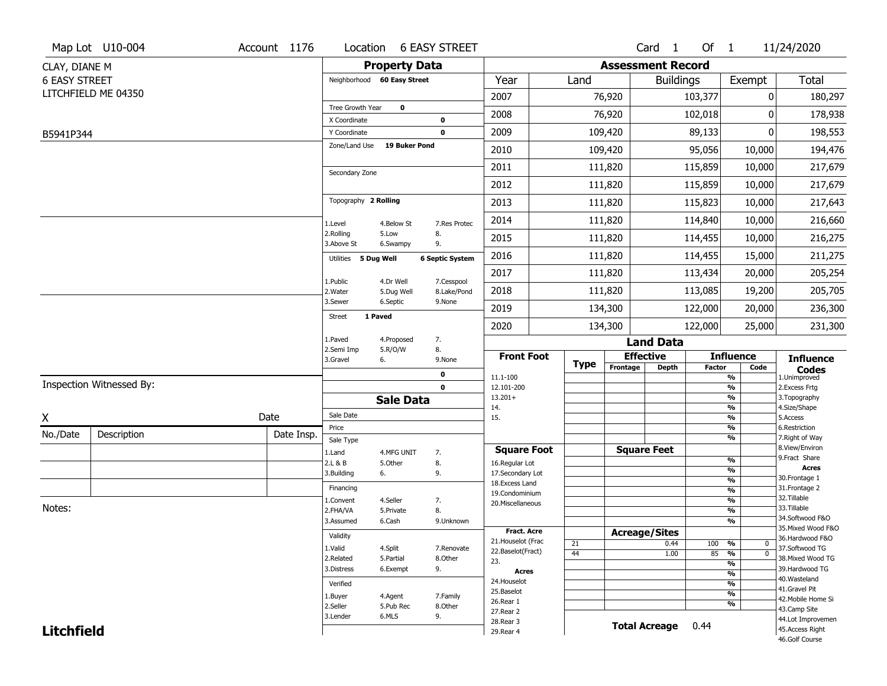|                      | Map Lot U10-004          | Account 1176 | Location                      |                         | <b>6 EASY STREET</b>       |                                   |                       |                          | Card 1               | Of 1          |                                | 11/24/2020                        |
|----------------------|--------------------------|--------------|-------------------------------|-------------------------|----------------------------|-----------------------------------|-----------------------|--------------------------|----------------------|---------------|--------------------------------|-----------------------------------|
| CLAY, DIANE M        |                          |              |                               | <b>Property Data</b>    |                            |                                   |                       | <b>Assessment Record</b> |                      |               |                                |                                   |
| <b>6 EASY STREET</b> |                          |              | Neighborhood 60 Easy Street   |                         |                            | Year                              | Land                  |                          | <b>Buildings</b>     |               | Exempt                         | <b>Total</b>                      |
|                      | LITCHFIELD ME 04350      |              |                               |                         |                            | 2007                              |                       | 76,920                   |                      | 103,377       | 0                              | 180,297                           |
|                      |                          |              | Tree Growth Year              | $\bf{0}$                |                            | 2008                              |                       | 76,920                   |                      | 102,018       | 0                              | 178,938                           |
|                      |                          |              | X Coordinate                  |                         | $\mathbf 0$<br>$\mathbf 0$ | 2009                              |                       | 109,420                  |                      | 89,133        | 0                              |                                   |
| B5941P344            |                          |              | Y Coordinate<br>Zone/Land Use | <b>19 Buker Pond</b>    |                            |                                   |                       |                          |                      |               |                                | 198,553                           |
|                      |                          |              |                               |                         |                            | 2010                              |                       | 109,420                  |                      | 95,056        | 10,000                         | 194,476                           |
|                      |                          |              | Secondary Zone                |                         |                            | 2011                              |                       | 111,820                  |                      | 115,859       | 10,000                         | 217,679                           |
|                      |                          |              |                               |                         |                            | 2012                              |                       | 111,820                  |                      | 115,859       | 10,000                         | 217,679                           |
|                      |                          |              | Topography 2 Rolling          |                         |                            | 2013                              |                       | 111,820                  |                      | 115,823       | 10,000                         | 217,643                           |
|                      |                          |              | 1.Level                       | 4.Below St              | 7.Res Protec               | 2014                              |                       | 111,820                  |                      | 114,840       | 10,000                         | 216,660                           |
|                      |                          |              | 2.Rolling<br>3.Above St       | 5.Low<br>6.Swampy       | 8.<br>9.                   | 2015                              |                       | 111,820                  |                      | 114,455       | 10,000                         | 216,275                           |
|                      |                          |              | Utilities                     | 5 Dug Well              | <b>6 Septic System</b>     | 2016                              |                       | 111,820                  |                      | 114,455       | 15,000                         | 211,275                           |
|                      |                          |              |                               |                         |                            | 2017                              |                       | 111,820                  |                      | 113,434       | 20,000                         | 205,254                           |
|                      |                          |              | 1.Public<br>2. Water          | 4.Dr Well<br>5.Dug Well | 7.Cesspool<br>8.Lake/Pond  | 2018                              |                       | 111,820                  |                      | 113,085       | 19,200                         | 205,705                           |
|                      |                          |              | 3.Sewer                       | 6.Septic                | 9.None                     | 2019                              |                       | 134,300                  |                      | 122,000       | 20,000                         | 236,300                           |
|                      |                          |              | <b>Street</b>                 | 1 Paved                 |                            | 2020                              |                       | 134,300                  |                      | 122,000       | 25,000                         | 231,300                           |
|                      |                          |              | 1.Paved                       | 4.Proposed              | 7.                         |                                   |                       |                          | <b>Land Data</b>     |               |                                |                                   |
|                      |                          |              | 2.Semi Imp<br>3.Gravel        | 5.R/O/W<br>6.           | 8.<br>9.None               | <b>Front Foot</b>                 |                       |                          | <b>Effective</b>     |               | <b>Influence</b>               | <b>Influence</b>                  |
|                      |                          |              |                               |                         | 0                          | 11.1-100                          | <b>Type</b>           | Frontage                 | <b>Depth</b>         | <b>Factor</b> | Code<br>$\frac{9}{6}$          | <b>Codes</b><br>1.Unimproved      |
|                      | Inspection Witnessed By: |              |                               |                         | $\mathbf 0$                | 12.101-200                        |                       |                          |                      |               | $\frac{9}{6}$                  | 2. Excess Frtg                    |
|                      |                          |              |                               | <b>Sale Data</b>        |                            | $13.201+$<br>14.                  |                       |                          |                      |               | $\frac{9}{6}$<br>$\frac{9}{6}$ | 3. Topography<br>4.Size/Shape     |
| X                    |                          | Date         | Sale Date                     |                         |                            | 15.                               |                       |                          |                      |               | $\frac{9}{6}$                  | 5.Access                          |
| No./Date             | Description              | Date Insp.   | Price                         |                         |                            |                                   |                       |                          |                      |               | $\frac{9}{6}$<br>$\frac{9}{6}$ | 6.Restriction<br>7. Right of Way  |
|                      |                          |              | Sale Type<br>1.Land           | 4.MFG UNIT              | 7.                         | <b>Square Foot</b>                |                       |                          | <b>Square Feet</b>   |               |                                | 8.View/Environ                    |
|                      |                          |              | 2.L & B                       | 5.Other                 | 8.                         | 16.Regular Lot                    |                       |                          |                      |               | $\frac{9}{6}$                  | 9.Fract Share<br><b>Acres</b>     |
|                      |                          |              | 3.Building                    | 6.                      | 9.                         | 17.Secondary Lot                  |                       |                          |                      |               | $\frac{9}{6}$<br>$\frac{9}{6}$ | 30. Frontage 1                    |
|                      |                          |              | Financing                     |                         |                            | 18. Excess Land<br>19.Condominium |                       |                          |                      |               | $\frac{9}{6}$                  | 31. Frontage 2                    |
|                      |                          |              | 1.Convent                     | 4.Seller                | 7.                         | 20.Miscellaneous                  |                       |                          |                      |               | $\frac{9}{6}$                  | 32.Tillable                       |
| Notes:               |                          |              | 2.FHA/VA                      | 5.Private               | 8.                         |                                   |                       |                          |                      |               | $\frac{9}{6}$                  | 33.Tillable<br>34.Softwood F&O    |
|                      |                          |              | 3.Assumed                     | 6.Cash                  | 9.Unknown                  | <b>Fract. Acre</b>                |                       |                          |                      |               | $\overline{\frac{9}{6}}$       | 35. Mixed Wood F&O                |
|                      |                          |              | Validity                      |                         |                            | 21. Houselot (Frac                |                       |                          | <b>Acreage/Sites</b> |               |                                | 36.Hardwood F&O                   |
|                      |                          |              | 1.Valid                       | 4.Split                 | 7.Renovate                 | 22.Baselot(Fract)                 | 21<br>$\overline{44}$ |                          | 0.44<br>1.00         | 100<br>85     | %<br>0<br>$\overline{0}$<br>%  | 37.Softwood TG                    |
|                      |                          |              | 2.Related                     | 5.Partial               | 8.Other                    | 23.                               |                       |                          |                      |               | $\overline{\frac{9}{6}}$       | 38. Mixed Wood TG                 |
|                      |                          |              | 3.Distress                    | 6.Exempt                | 9.                         | <b>Acres</b>                      |                       |                          |                      |               | $\frac{9}{6}$                  | 39.Hardwood TG<br>40. Wasteland   |
|                      |                          |              | Verified                      |                         |                            | 24. Houselot                      |                       |                          |                      |               | $\frac{9}{6}$                  | 41.Gravel Pit                     |
|                      |                          |              | 1.Buyer                       | 4.Agent                 | 7.Family                   | 25.Baselot<br>26.Rear 1           |                       |                          |                      |               | $\frac{9}{6}$                  | 42. Mobile Home Si                |
|                      |                          |              | 2.Seller                      | 5.Pub Rec               | 8.Other                    | 27.Rear 2                         |                       |                          |                      |               | $\frac{9}{6}$                  | 43.Camp Site                      |
|                      |                          |              | 3.Lender                      | 6.MLS                   | 9.                         | 28. Rear 3                        |                       |                          |                      |               |                                | 44.Lot Improvemen                 |
| <b>Litchfield</b>    |                          |              |                               |                         |                            | 29. Rear 4                        |                       |                          | <b>Total Acreage</b> | 0.44          |                                | 45.Access Right<br>46.Golf Course |
|                      |                          |              |                               |                         |                            |                                   |                       |                          |                      |               |                                |                                   |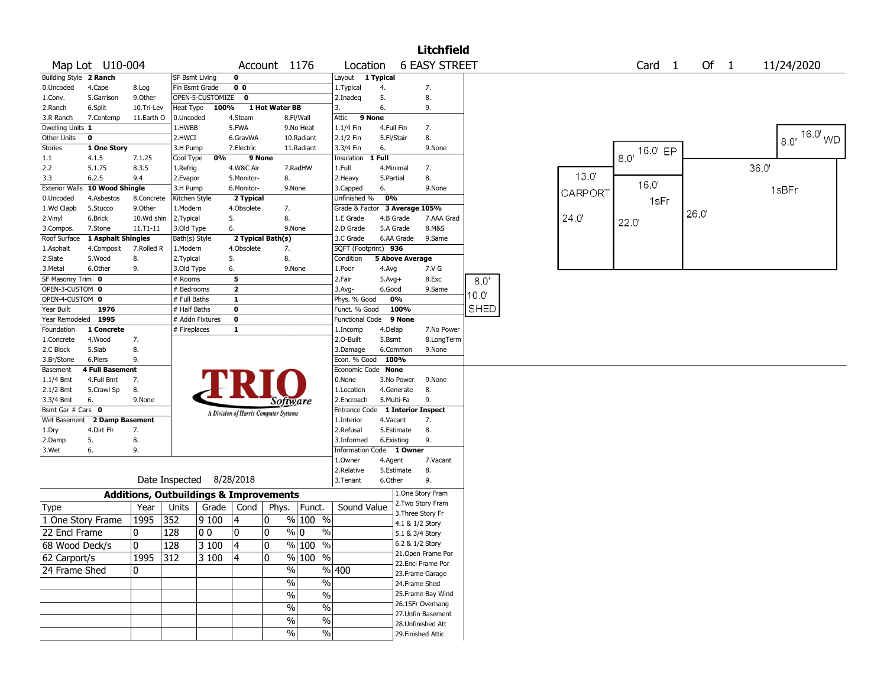|                        |                        |              |                          |                    |                |                                                   |                      |                         |            |                        | <b>Litchfield</b>         |             |         |                             |      |        |                   |
|------------------------|------------------------|--------------|--------------------------|--------------------|----------------|---------------------------------------------------|----------------------|-------------------------|------------|------------------------|---------------------------|-------------|---------|-----------------------------|------|--------|-------------------|
|                        | Map Lot U10-004        |              |                          |                    |                | Account 1176                                      |                      | Location                |            |                        | <b>6 EASY STREET</b>      |             |         | Card <sub>1</sub>           |      | Of $1$ | 11/24/2020        |
| Building Style 2 Ranch |                        |              | <b>SF Bsmt Living</b>    |                    | $\mathbf 0$    |                                                   |                      | Layout                  | 1 Typical  |                        |                           |             |         |                             |      |        |                   |
| 0.Uncoded              | 4.Cape                 | 8.Log        | Fin Bsmt Grade           |                    | 0 <sub>0</sub> |                                                   |                      | 1.Typical               | 4.         |                        | 7.                        |             |         |                             |      |        |                   |
| 1.Conv.                | 5.Garrison             | 9.0ther      |                          | OPEN-5-CUSTOMIZE 0 |                |                                                   |                      | 2.Inadeq                | 5.         |                        | 8.                        |             |         |                             |      |        |                   |
| 2.Ranch                | 6.Split                | 10.Tri-Lev   | Heat Type                | 100%               |                | 1 Hot Water BB                                    |                      | 3.                      | 6.         |                        | 9.                        |             |         |                             |      |        |                   |
| 3.R Ranch              | 7.Contemp              | 11.Earth O   | 0.Uncoded                |                    | 4.Steam        |                                                   | 8.Fl/Wall            | 9 None<br>Attic         |            |                        |                           |             |         |                             |      |        |                   |
| Dwelling Units 1       |                        |              | 1.HWBB                   |                    | 5.FWA          |                                                   | 9.No Heat            | $1.1/4$ Fin             | 4.Full Fin |                        | 7.                        |             |         |                             |      |        |                   |
| Other Units            | 0                      |              | 2.HWCI                   |                    | 6.GravWA       |                                                   | 10.Radiant           | 2.1/2 Fin               | 5.Fl/Stair |                        | 8.                        |             |         |                             |      |        | $16.0$ WD<br>8.0' |
| <b>Stories</b>         | 1 One Story            |              | 3.H Pump                 |                    | 7.Electric     |                                                   | 11.Radiant           | 3.3/4 Fin               | 6.         |                        | 9.None                    |             |         | $\overline{18.0'}$ 16.0' EP |      |        |                   |
| 1.1                    | 4.1.5                  | 7.1.25       | Cool Type                | 0%                 | 9 None         |                                                   |                      | Insulation              | 1 Full     |                        |                           |             |         |                             |      |        |                   |
| 2.2                    | 5.1.75                 | 8.3.5        | 1.Refrig                 |                    | 4.W&C Air      |                                                   | 7.RadHW              | 1.Full                  |            | 4.Minimal              | 7.                        |             |         |                             |      |        | 36.0              |
| 3.3                    | 6.2.5                  | 9.4          | 2.Evapor                 |                    | 5.Monitor-     | 8.                                                |                      | 2. Heavy                | 5.Partial  |                        | 8.                        |             | 13.0'   |                             |      |        |                   |
| <b>Exterior Walls</b>  | 10 Wood Shingle        |              | 3.H Pump                 |                    | 6.Monitor-     | 9.None                                            |                      | 3.Capped                | 6.         |                        | 9.None                    |             | CARPORT | 16.0'                       |      |        | 1sBFr             |
| 0.Uncoded              | 4.Asbestos             | 8.Concrete   | Kitchen Style            |                    | 2 Typical      |                                                   |                      | Unfinished %            | 0%         |                        |                           |             |         | 1sFr                        |      |        |                   |
| 1.Wd Clapb             | 5.Stucco               | 9.0ther      | 1.Modern                 |                    | 4.Obsolete     | 7.                                                |                      | Grade & Factor          |            | 3 Average 105%         |                           |             |         |                             | 26.0 |        |                   |
| 2.Vinyl                | 6.Brick                | 10.Wd shin   | 2.Typical                |                    | 5.             | 8.                                                |                      | 1.E Grade               |            | 4.B Grade              | 7.AAA Grad                |             | 24.0    | 22.0                        |      |        |                   |
| 3.Compos.              | 7.Stone                | 11.T1-11     | 3.Old Type               |                    | 6.             | 9.None                                            |                      | 2.D Grade               |            | 5.A Grade              | 8.M&S                     |             |         |                             |      |        |                   |
| Roof Surface           | 1 Asphalt Shingles     |              | Bath(s) Style            |                    |                | 2 Typical Bath(s)                                 |                      | 3.C Grade               |            | 6.AA Grade             | 9.Same                    |             |         |                             |      |        |                   |
| 1.Asphalt              | 4.Composit             | 7.Rolled R   | 1.Modern                 |                    | 4.Obsolete     | 7.                                                |                      | SQFT (Footprint) 936    |            |                        |                           |             |         |                             |      |        |                   |
| 2.Slate                | 5.Wood                 | 8.           | 2. Typical               |                    | 5.             | 8.                                                |                      | Condition               |            | <b>5 Above Average</b> |                           |             |         |                             |      |        |                   |
| 3.Metal                | 6.Other                | 9.           | 3.Old Type               |                    | 6.             | 9.None                                            |                      | 1.Poor                  | 4.Avg      |                        | 7.V G                     |             |         |                             |      |        |                   |
| SF Masonry Trim 0      |                        |              | # Rooms                  |                    | 5              |                                                   |                      | 2.Fair                  | $5.Avg+$   |                        | 8.Exc                     | $8.0^\circ$ |         |                             |      |        |                   |
| OPEN-3-CUSTOM 0        |                        |              | # Bedrooms               |                    | $\overline{2}$ |                                                   |                      | $3.$ Avg-               | 6.Good     |                        | 9.Same                    |             |         |                             |      |        |                   |
| OPEN-4-CUSTOM 0        |                        |              | # Full Baths             |                    | $\mathbf{1}$   |                                                   |                      | Phys. % Good            |            | 0%                     |                           | 10.0        |         |                             |      |        |                   |
| Year Built             | 1976                   |              | # Half Baths             |                    | $\mathbf 0$    |                                                   |                      | Funct. % Good           |            | 100%                   |                           | <b>SHED</b> |         |                             |      |        |                   |
| Year Remodeled 1995    |                        |              |                          | # Addn Fixtures    | $\pmb{0}$      |                                                   |                      | <b>Functional Code</b>  |            | 9 None                 |                           |             |         |                             |      |        |                   |
| Foundation             | 1 Concrete             |              | # Fireplaces             |                    | $\mathbf{1}$   |                                                   |                      | 1.Incomp                | 4.Delap    |                        | 7.No Power                |             |         |                             |      |        |                   |
| 1.Concrete             | 4.Wood                 | 7.           |                          |                    |                |                                                   |                      | 2.O-Built               | 5.Bsmt     |                        | 8.LongTerm                |             |         |                             |      |        |                   |
| 2.C Block              | 5.Slab                 | 8.           |                          |                    |                |                                                   |                      | 3.Damage                |            | 6.Common               | 9.None                    |             |         |                             |      |        |                   |
| 3.Br/Stone             | 6.Piers                | 9.           |                          |                    |                |                                                   |                      | Econ. % Good            |            | 100%                   |                           |             |         |                             |      |        |                   |
| Basement               | <b>4 Full Basement</b> |              |                          |                    |                |                                                   |                      | Economic Code None      |            |                        |                           |             |         |                             |      |        |                   |
| $1.1/4$ Bmt            | 4.Full Bmt             | 7.           |                          |                    |                |                                                   |                      | 0.None                  |            | 3.No Power             | 9.None                    |             |         |                             |      |        |                   |
| 2.1/2 Bmt              | 5.Crawl Sp             | 8.           |                          |                    |                |                                                   |                      | 1.Location              |            | 4.Generate             | 8.                        |             |         |                             |      |        |                   |
| 3.3/4 Bmt              | 6.                     | 9.None       |                          |                    |                | Software                                          |                      | 2.Encroach              |            | 5.Multi-Fa             | 9.                        |             |         |                             |      |        |                   |
| Bsmt Gar # Cars 0      |                        |              |                          |                    |                |                                                   |                      | Entrance Code           |            |                        | <b>1 Interior Inspect</b> |             |         |                             |      |        |                   |
| Wet Basement           | 2 Damp Basement        |              |                          |                    |                | A Division of Harris Computer Systems             |                      | 1.Interior              | 4.Vacant   |                        | 7.                        |             |         |                             |      |        |                   |
| 1.Dry                  | 4.Dirt Flr             | 7.           |                          |                    |                |                                                   |                      | 2.Refusal               |            | 5.Estimate             | 8.                        |             |         |                             |      |        |                   |
| 2.Damp                 | 5.                     | 8.           |                          |                    |                |                                                   |                      | 3.Informed              |            | 6.Existing             | 9.                        |             |         |                             |      |        |                   |
| 3.Wet                  | 6.                     | 9.           |                          |                    |                |                                                   |                      | <b>Information Code</b> |            | 1 Owner                |                           |             |         |                             |      |        |                   |
|                        |                        |              |                          |                    |                |                                                   |                      | 1.Owner                 | 4.Agent    |                        | 7.Vacant                  |             |         |                             |      |        |                   |
|                        |                        |              |                          |                    |                |                                                   |                      | 2.Relative              |            | 5.Estimate             | 8.                        |             |         |                             |      |        |                   |
|                        |                        |              | Date Inspected 8/28/2018 |                    |                |                                                   |                      | 3.Tenant                | 6.Other    |                        | 9.                        |             |         |                             |      |        |                   |
|                        |                        |              |                          |                    |                | <b>Additions, Outbuildings &amp; Improvements</b> |                      |                         |            |                        | 1.One Story Fram          |             |         |                             |      |        |                   |
| Type                   |                        | Year         | Units                    | Grade              | Cond           | Phys.                                             | Funct.               | Sound Value             |            |                        | 2. Two Story Fram         |             |         |                             |      |        |                   |
| 1 One Story Frame      |                        | 1995         | 352                      | 9100               | 4              | 0                                                 | % 100 %              |                         |            |                        | 3. Three Story Fr         |             |         |                             |      |        |                   |
|                        |                        |              |                          |                    |                |                                                   |                      |                         |            | 4.1 & 1/2 Story        |                           |             |         |                             |      |        |                   |
| 22 Encl Frame          |                        | 0            | 128                      | 10 O               | 10             | 0                                                 | % 0<br>$\frac{0}{0}$ |                         |            | 5.1 & 3/4 Story        |                           |             |         |                             |      |        |                   |
| 68 Wood Deck/s         |                        | $\pmb{0}$    | $ 128\rangle$            | $3100$ 4           |                | 0                                                 | $\frac{9}{6}$ 100 %  |                         |            | 6.2 & 1/2 Story        |                           |             |         |                             |      |        |                   |
| 62 Carport/s           |                        | 1995 312     |                          | 3 100              | $ 4\rangle$    | 10.                                               | % 100 %              |                         |            |                        | 21.Open Frame Por         |             |         |                             |      |        |                   |
|                        |                        |              |                          |                    |                |                                                   |                      |                         |            |                        | 22.Encl Frame Por         |             |         |                             |      |        |                   |
| 24 Frame Shed          |                        | $\mathbf{0}$ |                          |                    |                | $\%$                                              |                      | %  400                  |            |                        | 23. Frame Garage          |             |         |                             |      |        |                   |
|                        |                        |              |                          |                    |                | $\%$                                              | $\%$                 |                         |            | 24.Frame Shed          |                           |             |         |                             |      |        |                   |
|                        |                        |              |                          |                    |                | $\sqrt{6}$                                        | $\%$                 |                         |            |                        | 25. Frame Bay Wind        |             |         |                             |      |        |                   |
|                        |                        |              |                          |                    |                | $\frac{9}{6}$                                     | $\frac{1}{2}$        |                         |            |                        | 26.1SFr Overhang          |             |         |                             |      |        |                   |
|                        |                        |              |                          |                    |                |                                                   |                      |                         |            |                        | 27.Unfin Basement         |             |         |                             |      |        |                   |
|                        |                        |              |                          |                    |                | $\sqrt{6}$                                        | $\%$                 |                         |            |                        | 28. Unfinished Att        |             |         |                             |      |        |                   |
|                        |                        |              |                          |                    |                | $\frac{9}{6}$                                     | $\frac{1}{2}$        |                         |            |                        | 29. Finished Attic        |             |         |                             |      |        |                   |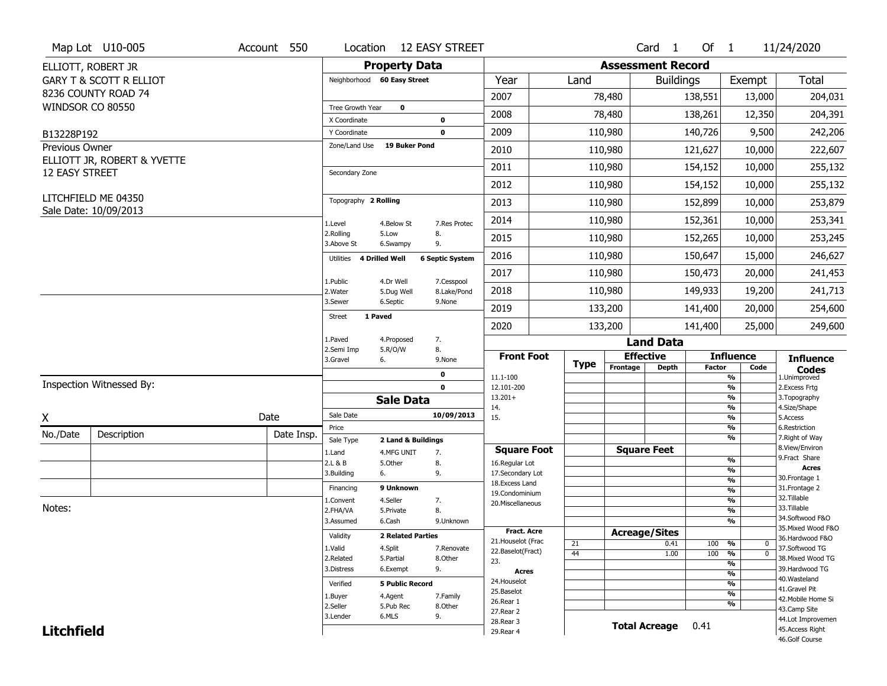|                       | Map Lot U10-005                    | Account 550 | Location                         | <b>12 EASY STREET</b>                                |                                    |             |                          | Card <sub>1</sub>    | Of $1$        |                                    | 11/24/2020                          |
|-----------------------|------------------------------------|-------------|----------------------------------|------------------------------------------------------|------------------------------------|-------------|--------------------------|----------------------|---------------|------------------------------------|-------------------------------------|
|                       | ELLIOTT, ROBERT JR                 |             |                                  | <b>Property Data</b>                                 |                                    |             | <b>Assessment Record</b> |                      |               |                                    |                                     |
|                       | <b>GARY T &amp; SCOTT R ELLIOT</b> |             | Neighborhood 60 Easy Street      |                                                      | Year                               | Land        |                          | <b>Buildings</b>     |               | Exempt                             | Total                               |
|                       | 8236 COUNTY ROAD 74                |             |                                  |                                                      | 2007                               |             | 78,480                   |                      | 138,551       | 13,000                             | 204,031                             |
| WINDSOR CO 80550      |                                    |             | Tree Growth Year<br>X Coordinate | $\mathbf{o}$<br>0                                    | 2008                               |             | 78,480                   |                      | 138,261       | 12,350                             | 204,391                             |
| B13228P192            |                                    |             | Y Coordinate                     | $\mathbf 0$                                          | 2009                               |             | 110,980                  |                      | 140,726       | 9,500                              | 242,206                             |
| Previous Owner        |                                    |             | Zone/Land Use                    | 19 Buker Pond                                        | 2010                               |             | 110,980                  |                      | 121,627       | 10,000                             | 222,607                             |
|                       | ELLIOTT JR, ROBERT & YVETTE        |             |                                  |                                                      | 2011                               |             | 110,980                  |                      | 154,152       | 10,000                             | 255,132                             |
| <b>12 EASY STREET</b> |                                    |             | Secondary Zone                   |                                                      | 2012                               |             | 110,980                  |                      | 154,152       | 10,000                             | 255,132                             |
|                       | LITCHFIELD ME 04350                |             | Topography 2 Rolling             |                                                      | 2013                               |             | 110,980                  |                      | 152,899       | 10,000                             | 253,879                             |
|                       | Sale Date: 10/09/2013              |             |                                  |                                                      | 2014                               |             | 110,980                  |                      | 152,361       | 10,000                             | 253,341                             |
|                       |                                    |             | 1.Level<br>2.Rolling             | 4.Below St<br>7.Res Protec<br>5.Low<br>8.            | 2015                               |             | 110,980                  |                      | 152,265       | 10,000                             | 253,245                             |
|                       |                                    |             | 3.Above St                       | 9.<br>6.Swampy                                       | 2016                               |             | 110,980                  |                      | 150,647       | 15,000                             | 246,627                             |
|                       |                                    |             | Utilities 4 Drilled Well         | <b>6 Septic System</b>                               | 2017                               |             | 110,980                  |                      | 150,473       | 20,000                             | 241,453                             |
|                       |                                    |             | 1.Public<br>2. Water             | 4.Dr Well<br>7.Cesspool<br>8.Lake/Pond<br>5.Dug Well | 2018                               |             | 110,980                  |                      | 149,933       | 19,200                             | 241,713                             |
|                       |                                    |             | 3.Sewer                          | 6.Septic<br>9.None                                   | 2019                               |             | 133,200                  |                      | 141,400       | 20,000                             | 254,600                             |
|                       |                                    |             | 1 Paved<br>Street                |                                                      | 2020                               |             | 133,200                  |                      | 141,400       | 25,000                             | 249,600                             |
|                       |                                    |             | 1.Paved                          | 7.<br>4.Proposed                                     |                                    |             |                          | <b>Land Data</b>     |               |                                    |                                     |
|                       |                                    |             | 2.Semi Imp<br>3.Gravel           | 5.R/O/W<br>8.<br>6.<br>9.None                        | <b>Front Foot</b>                  |             | <b>Effective</b>         |                      |               | <b>Influence</b>                   | <b>Influence</b>                    |
|                       |                                    |             |                                  |                                                      |                                    |             |                          |                      |               |                                    |                                     |
|                       |                                    |             |                                  |                                                      |                                    | <b>Type</b> | Frontage                 | <b>Depth</b>         | <b>Factor</b> | Code                               |                                     |
|                       |                                    |             |                                  | $\mathbf 0$                                          | 11.1-100                           |             |                          |                      |               | $\frac{9}{6}$                      | <b>Codes</b><br>1.Unimproved        |
|                       | Inspection Witnessed By:           |             |                                  | $\mathbf 0$<br><b>Sale Data</b>                      | 12.101-200<br>$13.201+$            |             |                          |                      |               | $\frac{9}{6}$<br>$\frac{9}{6}$     | 2.Excess Frtg<br>3. Topography      |
|                       |                                    |             | Sale Date                        | 10/09/2013                                           | 14.<br>15.                         |             |                          |                      |               | $\frac{9}{6}$<br>$\frac{9}{6}$     | 4.Size/Shape<br>5.Access            |
| X                     |                                    | Date        | Price                            |                                                      |                                    |             |                          |                      |               | %                                  | 6.Restriction                       |
| No./Date              | Description                        | Date Insp.  | Sale Type                        | 2 Land & Buildings                                   |                                    |             |                          |                      |               | $\frac{9}{6}$                      | 7. Right of Way                     |
|                       |                                    |             | 1.Land                           | 7.<br>4.MFG UNIT                                     | <b>Square Foot</b>                 |             | <b>Square Feet</b>       |                      |               | $\frac{9}{6}$                      | 8.View/Environ<br>9. Fract Share    |
|                       |                                    |             | 2.L & B<br>3.Building            | 5.Other<br>8.<br>9.<br>6.                            | 16.Regular Lot<br>17.Secondary Lot |             |                          |                      |               | %                                  | <b>Acres</b>                        |
|                       |                                    |             |                                  |                                                      | 18.Excess Land                     |             |                          |                      |               | %                                  | 30. Frontage 1                      |
|                       |                                    |             | Financing                        | 9 Unknown                                            | 19.Condominium                     |             |                          |                      |               | %                                  | 31. Frontage 2                      |
| Notes:                |                                    |             | 1.Convent                        | 4.Seller<br>7.                                       | 20.Miscellaneous                   |             |                          |                      |               | %                                  | 32.Tillable<br>33.Tillable          |
|                       |                                    |             | 2.FHA/VA                         | 8.<br>5.Private                                      |                                    |             |                          |                      |               | %<br>%                             | 34.Softwood F&O                     |
|                       |                                    |             | 3.Assumed                        | 6.Cash<br>9.Unknown                                  | <b>Fract. Acre</b>                 |             |                          |                      |               |                                    | 35. Mixed Wood F&O                  |
|                       |                                    |             | Validity                         | <b>2 Related Parties</b>                             | 21. Houselot (Frac                 |             | <b>Acreage/Sites</b>     |                      |               |                                    | 36.Hardwood F&O                     |
|                       |                                    |             | 1.Valid                          | 4.Split<br>7.Renovate                                | 22.Baselot(Fract)                  | 21<br>44    |                          | 0.41<br>1.00         | 100 %<br>100  | 0<br>$\frac{9}{6}$<br>$\mathbf{0}$ | 37.Softwood TG                      |
|                       |                                    |             | 2.Related                        | 5.Partial<br>8.Other                                 | 23.                                |             |                          |                      |               | %                                  | 38. Mixed Wood TG                   |
|                       |                                    |             | 3.Distress                       | 9.<br>6.Exempt                                       | <b>Acres</b>                       |             |                          |                      |               | $\frac{9}{6}$                      | 39.Hardwood TG                      |
|                       |                                    |             | Verified                         | <b>5 Public Record</b>                               | 24. Houselot                       |             |                          |                      |               | $\frac{9}{6}$                      | 40. Wasteland                       |
|                       |                                    |             | 1.Buyer                          | 4.Agent<br>7.Family                                  | 25.Baselot                         |             |                          |                      |               | $\frac{9}{6}$                      | 41.Gravel Pit<br>42. Mobile Home Si |
|                       |                                    |             | 2.Seller                         | 5.Pub Rec<br>8.Other                                 | 26.Rear 1                          |             |                          |                      |               | $\frac{9}{6}$                      | 43.Camp Site                        |
|                       |                                    |             | 3.Lender                         | 6.MLS<br>9.                                          | 27. Rear 2<br>28. Rear 3           |             |                          |                      |               |                                    | 44.Lot Improvemen                   |
| <b>Litchfield</b>     |                                    |             |                                  |                                                      | 29. Rear 4                         |             |                          | <b>Total Acreage</b> | 0.41          |                                    | 45.Access Right<br>46.Golf Course   |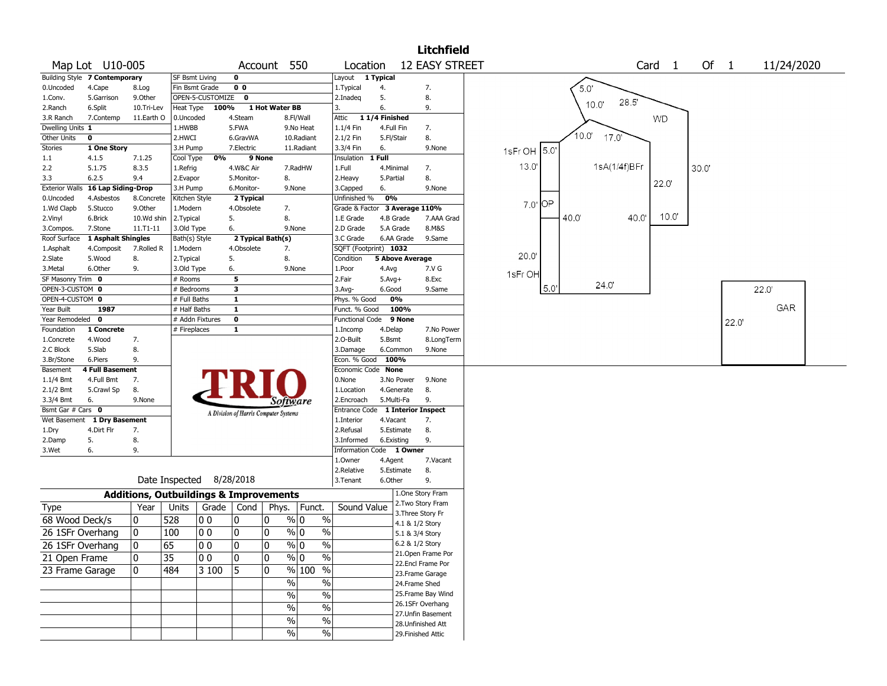|                           |                               |            |                             |                                                   |                         |                                       |                                  |                                  |                        |                        | <b>Litchfield</b>                    |                                                         |
|---------------------------|-------------------------------|------------|-----------------------------|---------------------------------------------------|-------------------------|---------------------------------------|----------------------------------|----------------------------------|------------------------|------------------------|--------------------------------------|---------------------------------------------------------|
|                           | Map Lot U10-005               |            |                             |                                                   |                         | Account 550                           |                                  | Location                         |                        |                        | <b>12 EASY STREET</b>                | Of<br>Card <sub>1</sub><br>11/24/2020<br>$\overline{1}$ |
|                           | Building Style 7 Contemporary |            | <b>SF Bsmt Living</b>       |                                                   | $\mathbf 0$             |                                       |                                  | Layout                           | 1 Typical              |                        |                                      |                                                         |
| 0.Uncoded                 | 4.Cape                        | 8.Log      | Fin Bsmt Grade              |                                                   | 0 <sub>0</sub>          |                                       |                                  | 1.Typical                        | 4.                     |                        | 7.                                   | 5.0'                                                    |
| 1.Conv.                   | 5.Garrison                    | 9.0ther    |                             | OPEN-5-CUSTOMIZE                                  | $\mathbf 0$             |                                       |                                  | 2.Inadeg                         | 5.                     |                        | 8.                                   | 28.5'                                                   |
| 2.Ranch                   | 6.Split                       | 10.Tri-Lev | Heat Type                   | 100%                                              |                         | 1 Hot Water BB                        |                                  | 3.                               | 6.                     |                        | 9.                                   | 10.0"                                                   |
| 3.R Ranch                 | 7.Contemp                     | 11.Earth O | 0.Uncoded                   |                                                   | 4.Steam                 |                                       | 8.Fl/Wall                        | 11/4 Finished<br>Attic           |                        |                        |                                      | WD.                                                     |
| Dwelling Units 1          |                               |            | 1.HWBB                      |                                                   | 5.FWA                   |                                       | 9.No Heat                        | 1.1/4 Fin                        | 4.Full Fin             |                        | 7.                                   |                                                         |
| Other Units               | $\mathbf 0$                   |            | 2.HWCI                      |                                                   | 6.GravWA                |                                       | 10.Radiant                       | 2.1/2 Fin                        | 5.Fl/Stair             |                        | 8.                                   | $10.0^{\circ}$<br>17.0                                  |
| <b>Stories</b>            | 1 One Story                   |            | 3.H Pump                    |                                                   | 7.Electric              |                                       | 11.Radiant                       | 3.3/4 Fin                        | 6.                     |                        | 9.None                               | 1sFr OH 5.0'                                            |
| 1.1                       | 4.1.5                         | 7.1.25     | Cool Type                   | 0%                                                | 9 None                  |                                       |                                  | Insulation                       | 1 Full                 |                        |                                      |                                                         |
| 2.2                       | 5.1.75                        | 8.3.5      | 1.Refrig                    |                                                   | 4.W&C Air               |                                       | 7.RadHW                          | 1.Full                           | 4.Minimal              |                        | 7.                                   | 13.0<br>1sA(1/4f)BFr<br>30.0                            |
| 3.3                       | 6.2.5                         | 9.4        | 2.Evapor                    |                                                   | 5.Monitor-              | 8.                                    |                                  | 2.Heavy                          | 5.Partial              |                        | 8.                                   | 22.0"                                                   |
| <b>Exterior Walls</b>     | 16 Lap Siding-Drop            |            | 3.H Pump                    |                                                   | 6.Monitor-              | 9.None                                |                                  | 3.Capped                         | 6.                     |                        | 9.None                               |                                                         |
| 0.Uncoded                 | 4.Asbestos                    | 8.Concrete | Kitchen Style               |                                                   | 2 Typical               |                                       |                                  | Unfinished %                     | 0%                     |                        |                                      | OР<br>7.0'                                              |
| 1.Wd Clapb                | 5.Stucco                      | 9.0ther    | 1.Modern                    |                                                   | 4.Obsolete              | 7.<br>8.                              |                                  | Grade & Factor                   |                        | 3 Average 110%         |                                      | $10.0^{\circ}$<br>40.0<br>40.0'                         |
| 2.Vinyl                   | 6.Brick                       | 10.Wd shin | 2.Typical                   |                                                   | 5.                      | 9.None                                |                                  | 1.E Grade                        | 4.B Grade<br>5.A Grade |                        | 7.AAA Grad<br>8.M&S                  |                                                         |
| 3.Compos.<br>Roof Surface | 7.Stone<br>1 Asphalt Shingles | 11.T1-11   | 3.Old Type<br>Bath(s) Style |                                                   | 6.                      | 2 Typical Bath(s)                     |                                  | 2.D Grade<br>3.C Grade           |                        | 6.AA Grade             | 9.Same                               |                                                         |
| 1.Asphalt                 | 4.Composit                    | 7.Rolled R | 1.Modern                    |                                                   | 4.Obsolete              | 7.                                    |                                  | SQFT (Footprint) 1032            |                        |                        |                                      |                                                         |
| 2.Slate                   | 5.Wood                        | 8.         | 2. Typical                  |                                                   | 5.                      | 8.                                    |                                  | Condition                        |                        | <b>5 Above Average</b> |                                      | 20.0                                                    |
| 3.Metal                   | 6.Other                       | 9.         | 3.Old Type                  |                                                   | 6.                      | 9.None                                |                                  | 1.Poor                           | 4.Avg                  |                        | 7.V G                                |                                                         |
| SF Masonry Trim 0         |                               |            | # Rooms                     |                                                   | 5                       |                                       |                                  | 2.Fair                           | $5.Avg+$               |                        | 8.Exc                                | 1sFr OH                                                 |
| OPEN-3-CUSTOM 0           |                               |            | # Bedrooms                  |                                                   | 3                       |                                       |                                  | 3.Avg-                           | 6.Good                 |                        | 9.Same                               | 24.0'<br>5.0<br>22.0                                    |
| OPEN-4-CUSTOM 0           |                               |            | # Full Baths                |                                                   | $\mathbf{1}$            |                                       |                                  | Phys. % Good                     |                        | 0%                     |                                      |                                                         |
| Year Built                | 1987                          |            | # Half Baths                |                                                   | $\mathbf{1}$            |                                       |                                  | Funct. % Good                    |                        | 100%                   |                                      | GAR                                                     |
| Year Remodeled            | $\mathbf 0$                   |            |                             | # Addn Fixtures                                   | $\overline{\mathbf{0}}$ |                                       |                                  | <b>Functional Code</b>           |                        | 9 None                 |                                      | 22.0                                                    |
| Foundation                | 1 Concrete                    |            | # Fireplaces                |                                                   | $\mathbf{1}$            |                                       |                                  | 1.Incomp                         | 4.Delap                |                        | 7.No Power                           |                                                         |
| 1.Concrete                | 4.Wood                        | 7.         |                             |                                                   |                         |                                       |                                  | 2.0-Built                        | 5.Bsmt                 |                        | 8.LongTerm                           |                                                         |
| 2.C Block                 | 5.Slab                        | 8.         |                             |                                                   |                         |                                       |                                  | 3.Damage                         |                        | 6.Common               | 9.None                               |                                                         |
| 3.Br/Stone                | 6.Piers                       | 9.         |                             |                                                   |                         |                                       |                                  | Econ. % Good 100%                |                        |                        |                                      |                                                         |
| Basement                  | <b>4 Full Basement</b>        |            |                             |                                                   |                         |                                       |                                  | Economic Code None               |                        |                        |                                      |                                                         |
| $1.1/4$ Bmt               | 4.Full Bmt                    | 7.         |                             |                                                   |                         |                                       |                                  | 0.None                           |                        | 3.No Power             | 9.None                               |                                                         |
| 2.1/2 Bmt                 | 5.Crawl Sp                    | 8.         |                             |                                                   |                         |                                       |                                  | 1.Location                       |                        | 4.Generate             | 8.                                   |                                                         |
| 3.3/4 Bmt                 | 6.                            | 9.None     |                             |                                                   |                         | <i>Software</i>                       |                                  | 2.Encroach                       | 5.Multi-Fa             |                        | 9.                                   |                                                         |
| Bsmt Gar # Cars 0         |                               |            |                             |                                                   |                         | A Division of Harris Computer Systems |                                  | Entrance Code 1 Interior Inspect |                        |                        |                                      |                                                         |
| Wet Basement              | 1 Dry Basement                |            |                             |                                                   |                         |                                       |                                  | 1.Interior                       | 4.Vacant               |                        | 7.                                   |                                                         |
| 1.Dry                     | 4.Dirt Flr                    | 7.         |                             |                                                   |                         |                                       |                                  | 2.Refusal                        |                        | 5.Estimate             | 8.                                   |                                                         |
| 2.Damp                    | 5.                            | 8.         |                             |                                                   |                         |                                       |                                  | 3.Informed                       | 6.Existing             |                        | 9.                                   |                                                         |
| 3.Wet                     | 6.                            | 9.         |                             |                                                   |                         |                                       |                                  | <b>Information Code</b>          |                        | 1 Owner                |                                      |                                                         |
|                           |                               |            |                             |                                                   |                         |                                       |                                  | 1.Owner                          | 4.Agent                |                        | 7.Vacant                             |                                                         |
|                           |                               |            | Date Inspected              |                                                   | 8/28/2018               |                                       |                                  | 2.Relative<br>3. Tenant          | 6.Other                | 5.Estimate             | 8.<br>9.                             |                                                         |
|                           |                               |            |                             |                                                   |                         |                                       |                                  |                                  |                        |                        |                                      |                                                         |
|                           |                               |            |                             | <b>Additions, Outbuildings &amp; Improvements</b> |                         |                                       |                                  |                                  |                        |                        | 1.One Story Fram<br>2.Two Story Fram |                                                         |
| Type                      |                               | Year       | Units                       | Grade                                             | Cond                    | Phys.                                 | Funct.                           | Sound Value                      |                        | 3. Three Story Fr      |                                      |                                                         |
| 68 Wood Deck/s            |                               | 10         | 528                         | 0 <sub>0</sub>                                    | 0                       | 0                                     | $\frac{9}{0}$ 0<br>$\%$          |                                  |                        | 4.1 & 1/2 Story        |                                      |                                                         |
| 26 1SFr Overhang          |                               | 10         | 100                         | 00                                                | 0                       | 0                                     | $\frac{9}{0}$ 0<br>$\frac{0}{0}$ |                                  |                        | 5.1 & 3/4 Story        |                                      |                                                         |
|                           |                               |            |                             | 100                                               |                         | 10                                    | % 0<br>%                         |                                  |                        | 6.2 & 1/2 Story        |                                      |                                                         |
| 26 1SFr Overhang          |                               | 10         | 65                          |                                                   | 10                      |                                       |                                  |                                  |                        |                        | 21.Open Frame Por                    |                                                         |
| 21 Open Frame             |                               | 0          | $\overline{35}$             | 00                                                | $ 0\rangle$             | 10                                    | $\frac{0}{6}$<br>$\frac{9}{0}$   |                                  |                        |                        | 22.Encl Frame Por                    |                                                         |
| 23 Frame Garage           |                               | 0          | 484                         | 3100                                              | 5                       | 0                                     | $\sqrt{96}$ 100<br>$\frac{1}{2}$ |                                  |                        |                        | 23. Frame Garage                     |                                                         |
|                           |                               |            |                             |                                                   |                         | $\%$                                  | $\frac{1}{2}$                    |                                  |                        | 24.Frame Shed          |                                      |                                                         |
|                           |                               |            |                             |                                                   |                         | $\frac{0}{0}$                         | $\frac{1}{2}$                    |                                  |                        |                        | 25. Frame Bay Wind                   |                                                         |
|                           |                               |            |                             |                                                   |                         | $\frac{0}{0}$                         | $\frac{1}{2}$                    |                                  |                        |                        | 26.1SFr Overhang                     |                                                         |
|                           |                               |            |                             |                                                   |                         |                                       |                                  |                                  |                        |                        | 27.Unfin Basement                    |                                                         |
|                           |                               |            |                             |                                                   |                         | $\%$                                  | $\%$                             |                                  |                        |                        | 28.Unfinished Att                    |                                                         |
|                           |                               |            |                             |                                                   |                         | $\frac{0}{0}$                         | $\%$                             |                                  |                        |                        | 29. Finished Attic                   |                                                         |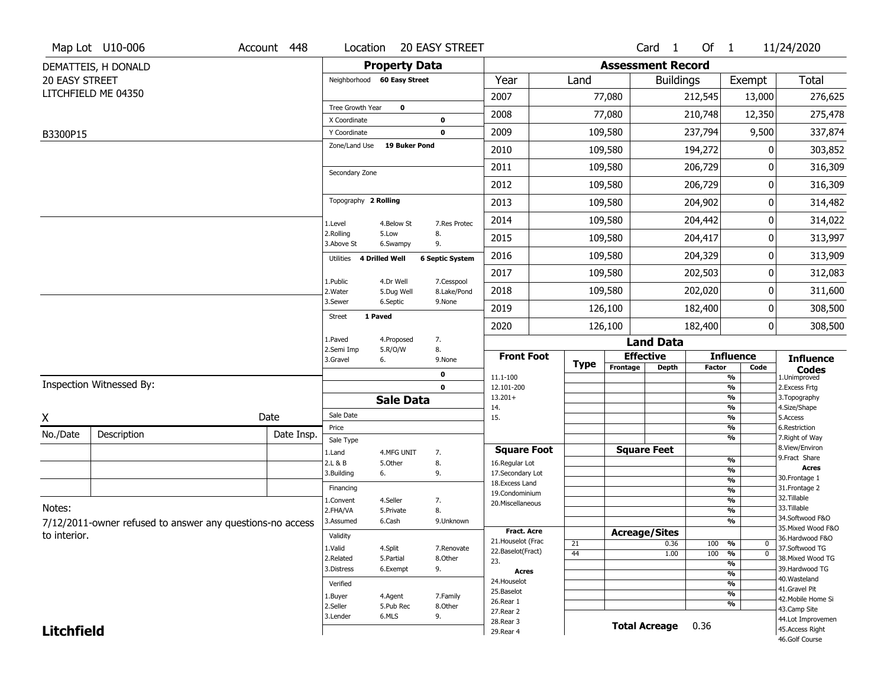|                   | Map Lot U10-006                                           | Account 448 | Location                     |                         | 20 EASY STREET            |                                     |    |             |                          | Card <sub>1</sub> | Of $1$        |                                                      | 11/24/2020                           |
|-------------------|-----------------------------------------------------------|-------------|------------------------------|-------------------------|---------------------------|-------------------------------------|----|-------------|--------------------------|-------------------|---------------|------------------------------------------------------|--------------------------------------|
|                   | DEMATTEIS, H DONALD                                       |             |                              | <b>Property Data</b>    |                           |                                     |    |             | <b>Assessment Record</b> |                   |               |                                                      |                                      |
| 20 EASY STREET    |                                                           |             | Neighborhood 60 Easy Street  |                         |                           | Year                                |    | Land        |                          | <b>Buildings</b>  |               | Exempt                                               | Total                                |
|                   | LITCHFIELD ME 04350                                       |             |                              |                         |                           | 2007                                |    |             | 77,080                   |                   | 212,545       | 13,000                                               | 276,625                              |
|                   |                                                           |             | <b>Tree Growth Year</b>      | $\mathbf 0$             |                           | 2008                                |    |             | 77,080                   |                   | 210,748       | 12,350                                               | 275,478                              |
|                   |                                                           |             | X Coordinate<br>Y Coordinate |                         | 0<br>0                    | 2009                                |    | 109,580     |                          |                   | 237,794       | 9,500                                                | 337,874                              |
| B3300P15          |                                                           |             | Zone/Land Use                | <b>19 Buker Pond</b>    |                           |                                     |    |             |                          |                   |               |                                                      |                                      |
|                   |                                                           |             |                              |                         |                           | 2010                                |    | 109,580     |                          |                   | 194,272       | 0                                                    | 303,852                              |
|                   |                                                           |             | Secondary Zone               |                         |                           | 2011                                |    | 109,580     |                          |                   | 206,729       |                                                      | 316,309                              |
|                   |                                                           |             |                              |                         |                           | 2012                                |    | 109,580     |                          |                   | 206,729       | 0                                                    | 316,309                              |
|                   |                                                           |             | Topography 2 Rolling         |                         |                           | 2013                                |    | 109,580     |                          |                   | 204,902       | 0                                                    | 314,482                              |
|                   |                                                           |             | 1.Level                      | 4.Below St              | 7.Res Protec              | 2014                                |    | 109,580     |                          |                   | 204,442       | 0                                                    | 314,022                              |
|                   |                                                           |             | 2.Rolling<br>3.Above St      | 5.Low<br>6.Swampy       | 8.<br>9.                  | 2015                                |    | 109,580     |                          |                   | 204,417       | 0                                                    | 313,997                              |
|                   |                                                           |             | 4 Drilled Well<br>Utilities  |                         | <b>6 Septic System</b>    | 2016                                |    | 109,580     |                          |                   | 204,329       | 0                                                    | 313,909                              |
|                   |                                                           |             |                              |                         |                           | 2017                                |    | 109,580     |                          |                   | 202,503       | 0                                                    | 312,083                              |
|                   |                                                           |             | 1.Public<br>2. Water         | 4.Dr Well<br>5.Dug Well | 7.Cesspool<br>8.Lake/Pond | 2018                                |    | 109,580     |                          |                   | 202,020       | 0                                                    | 311,600                              |
|                   |                                                           |             | 3.Sewer                      | 6.Septic                | 9.None                    | 2019                                |    | 126,100     |                          |                   | 182,400       | 0                                                    | 308,500                              |
|                   |                                                           |             | 1 Paved<br>Street            |                         |                           | 2020                                |    | 126,100     |                          |                   | 182,400       | 0                                                    | 308,500                              |
|                   |                                                           |             | 1.Paved                      | 4.Proposed              | 7.                        |                                     |    |             |                          | <b>Land Data</b>  |               |                                                      |                                      |
|                   |                                                           |             | 2.Semi Imp<br>3.Gravel       | 5.R/O/W<br>6.           | 8.<br>9.None              | <b>Front Foot</b>                   |    |             | <b>Effective</b>         |                   |               | <b>Influence</b>                                     | <b>Influence</b>                     |
|                   |                                                           |             |                              |                         | 0                         | 11.1-100                            |    | <b>Type</b> | Frontage                 | <b>Depth</b>      | <b>Factor</b> | Code<br>%                                            | <b>Codes</b><br>1.Unimproved         |
|                   | Inspection Witnessed By:                                  |             |                              |                         | 0                         | 12.101-200                          |    |             |                          |                   |               | $\overline{\frac{9}{6}}$                             | 2. Excess Frtg                       |
|                   |                                                           |             |                              | <b>Sale Data</b>        |                           | $13.201+$<br>14.                    |    |             |                          |                   |               | %<br>%                                               | 3. Topography<br>4.Size/Shape        |
| X                 |                                                           | Date        | Sale Date                    |                         |                           | 15.                                 |    |             |                          |                   |               | $\frac{9}{6}$                                        | 5.Access                             |
| No./Date          | Description                                               | Date Insp.  | Price                        |                         |                           |                                     |    |             |                          |                   |               | %<br>%                                               | 6.Restriction<br>7. Right of Way     |
|                   |                                                           |             | Sale Type<br>1.Land          | 4.MFG UNIT              | 7.                        | <b>Square Foot</b>                  |    |             | <b>Square Feet</b>       |                   |               |                                                      | 8.View/Environ                       |
|                   |                                                           |             | 2.L & B                      | 5.Other                 | 8.                        | 16.Regular Lot                      |    |             |                          |                   |               | $\frac{9}{6}$                                        | 9. Fract Share<br><b>Acres</b>       |
|                   |                                                           |             | 3.Building                   | 6.                      | 9.                        | 17.Secondary Lot<br>18. Excess Land |    |             |                          |                   |               | $\overline{\frac{9}{6}}$<br>$\frac{9}{6}$            | 30.Frontage 1                        |
|                   |                                                           |             | Financing                    |                         |                           | 19.Condominium                      |    |             |                          |                   |               | $\frac{9}{6}$                                        | 31. Frontage 2                       |
| Notes:            |                                                           |             | 1.Convent                    | 4.Seller                | 7.                        | 20.Miscellaneous                    |    |             |                          |                   |               | $\frac{9}{6}$                                        | 32.Tillable<br>33.Tillable           |
|                   |                                                           |             | 2.FHA/VA<br>3.Assumed        | 5.Private<br>6.Cash     | 8.<br>9.Unknown           |                                     |    |             |                          |                   |               | $\frac{9}{6}$<br>$\overline{\frac{9}{6}}$            | 34.Softwood F&O                      |
|                   | 7/12/2011-owner refused to answer any questions-no access |             |                              |                         |                           | <b>Fract. Acre</b>                  |    |             | <b>Acreage/Sites</b>     |                   |               |                                                      | 35. Mixed Wood F&O                   |
| to interior.      |                                                           |             | Validity                     |                         |                           | 21. Houselot (Frac                  | 21 |             |                          | 0.36              | 100           | %<br>0                                               | 36.Hardwood F&O                      |
|                   |                                                           |             | 1.Valid<br>2.Related         | 4.Split<br>5.Partial    | 7.Renovate<br>8.Other     | 22.Baselot(Fract)                   | 44 |             |                          | 1.00              | 100           | $\overline{0}$<br>%                                  | 37.Softwood TG<br>38. Mixed Wood TG  |
|                   |                                                           |             | 3.Distress                   | 6.Exempt                | 9.                        | 23.                                 |    |             |                          |                   |               | $\overline{\frac{9}{6}}$                             | 39.Hardwood TG                       |
|                   |                                                           |             |                              |                         |                           | <b>Acres</b><br>24. Houselot        |    |             |                          |                   |               | $\frac{9}{6}$                                        | 40. Wasteland                        |
|                   |                                                           |             | Verified                     |                         |                           | 25.Baselot                          |    |             |                          |                   |               | $\overline{\frac{9}{6}}$<br>$\overline{\frac{9}{6}}$ | 41.Gravel Pit                        |
|                   |                                                           |             | 1.Buyer<br>2.Seller          | 4.Agent<br>5.Pub Rec    | 7.Family<br>8.Other       | 26.Rear 1                           |    |             |                          |                   |               | $\overline{\frac{9}{6}}$                             | 42. Mobile Home Si                   |
|                   |                                                           |             | 3.Lender                     | 6.MLS                   |                           | 27. Rear 2                          |    |             |                          |                   |               |                                                      | 43.Camp Site                         |
|                   |                                                           |             |                              | 9.                      |                           |                                     |    |             |                          |                   |               |                                                      |                                      |
| <b>Litchfield</b> |                                                           |             |                              |                         |                           | 28.Rear 3<br>29. Rear 4             |    |             | <b>Total Acreage</b>     |                   | 0.36          |                                                      | 44.Lot Improvemen<br>45.Access Right |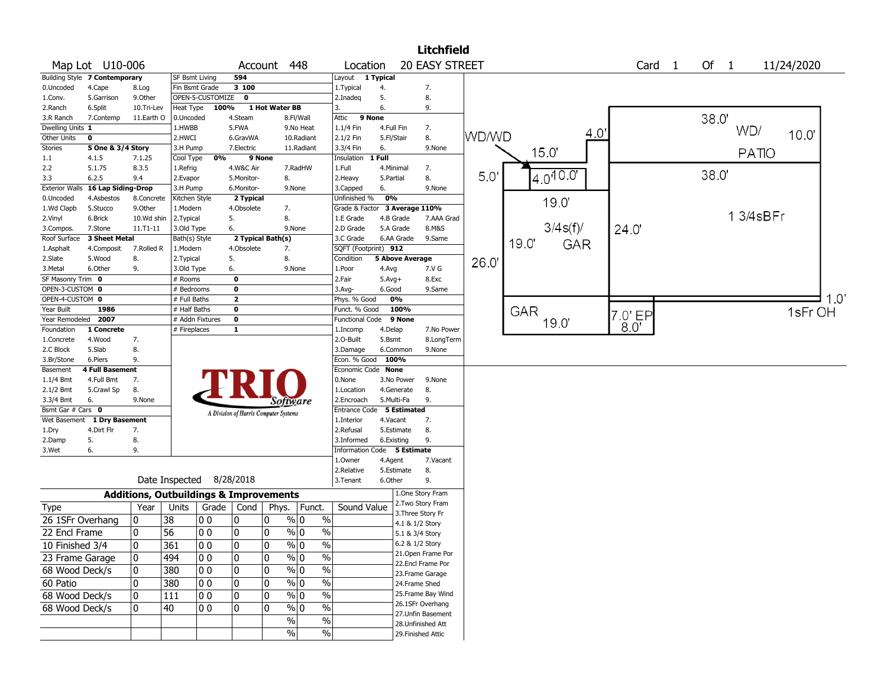|                                    |                                      |             |                            |                  |                                                   |                |                 |               |                               |              |                        | <b>Litchfield</b>                     |       |      |               |         |                   |      |          |            |     |
|------------------------------------|--------------------------------------|-------------|----------------------------|------------------|---------------------------------------------------|----------------|-----------------|---------------|-------------------------------|--------------|------------------------|---------------------------------------|-------|------|---------------|---------|-------------------|------|----------|------------|-----|
|                                    | Map Lot U10-006                      |             |                            |                  | Account                                           |                | 448             |               | Location                      |              |                        | <b>20 EASY STREET</b>                 |       |      |               |         | Card <sub>1</sub> | Of 1 |          | 11/24/2020 |     |
|                                    | <b>Building Style 7 Contemporary</b> |             | <b>SF Bsmt Living</b>      |                  | 594                                               |                |                 |               | Layout                        | 1 Typical    |                        |                                       |       |      |               |         |                   |      |          |            |     |
| 0.Uncoded                          | 4.Cape                               | 8.Log       | Fin Bsmt Grade             |                  | 3 100                                             |                |                 |               | 1. Typical                    | 4.           |                        | 7.                                    |       |      |               |         |                   |      |          |            |     |
| 1.Conv.                            | 5.Garrison                           | 9.0ther     |                            | OPEN-5-CUSTOMIZE | $\mathbf 0$                                       |                |                 |               | 2.Inadeg                      | 5.           |                        | 8.                                    |       |      |               |         |                   |      |          |            |     |
| 2.Ranch                            | 6.Split                              | 10.Tri-Lev  | Heat Type                  | 100%             |                                                   | 1 Hot Water BB |                 | 3.            |                               | 6.           |                        | 9.                                    |       |      |               |         |                   |      |          |            |     |
| 3.R Ranch                          | 7.Contemp                            | 11.Earth O  | 0.Uncoded                  |                  | 4.Steam                                           |                | 8.Fl/Wall       | Attic         | 9 None                        |              |                        |                                       |       |      |               |         |                   | 38.0 |          |            |     |
| Dwelling Units 1                   |                                      |             | 1.HWBB                     |                  | 5.FWA                                             |                | 9.No Heat       |               | 1.1/4 Fin                     | 4.Full Fin   |                        | 7.                                    |       |      |               | 4.0     |                   |      | WD/      | 10.0"      |     |
| Other Units                        | 0                                    |             | 2.HWCI                     |                  | 6.GravWA                                          |                | 10.Radiant      |               | 2.1/2 Fin                     | 5.Fl/Stair   |                        | 8.                                    | WD/WD |      |               |         |                   |      |          |            |     |
| Stories                            | 5 One & 3/4 Story                    |             | 3.H Pump                   |                  | 7.Electric                                        |                | 11.Radiant      |               | 3.3/4 Fin                     | 6.           |                        | 9.None                                |       |      | 15.0          |         |                   |      | PATIO    |            |     |
| 1.1                                | 4.1.5                                | 7.1.25      | Cool Type                  | 0%               | 9 None                                            |                |                 |               | Insulation                    | 1 Full       |                        |                                       |       |      |               |         |                   |      |          |            |     |
| 2.2                                | 5.1.75                               | 8.3.5       | 1.Refrig                   |                  | 4.W&C Air                                         |                | 7.RadHW         | 1.Full        |                               | 4.Minimal    |                        | 7.                                    | 5.0   |      | $4.0^{10.07}$ |         |                   | 38.0 |          |            |     |
| 3.3                                | 6.2.5                                | 9.4         | 2.Evapor                   |                  | 5.Monitor-                                        |                | 8.              |               | 2.Heavy                       | 5.Partial    |                        | 8.                                    |       |      |               |         |                   |      |          |            |     |
| <b>Exterior Walls</b>              | 16 Lap Siding-Drop                   |             | 3.H Pump                   |                  | 6.Monitor-                                        |                | 9.None          |               | 3.Capped                      | 6.           |                        | 9.None                                |       |      |               |         |                   |      |          |            |     |
| 0.Uncoded                          | 4.Asbestos                           | 8.Concrete  | Kitchen Style              |                  | 2 Typical                                         |                |                 |               | Unfinished %                  | 0%           |                        |                                       |       |      | 19.0          |         |                   |      |          |            |     |
| 1.Wd Clapb                         | 5.Stucco                             | 9.Other     | 1.Modern                   |                  | 4.Obsolete                                        |                | 7.              |               | Grade & Factor                |              | 3 Average 110%         |                                       |       |      |               |         |                   |      | 13/4sBFr |            |     |
| 2.Vinyl                            | 6.Brick                              | 10.Wd shin  | 2.Typical                  |                  | 5.                                                |                | 8.              |               | 1.E Grade                     | 4.B Grade    |                        | 7.AAA Grad                            |       |      | 3/4s(f)/      |         |                   |      |          |            |     |
| 3.Compos.                          | 7.Stone                              | 11.T1-11    | 3.Old Type                 |                  | 6.                                                |                | 9.None          |               | 2.D Grade                     | 5.A Grade    |                        | 8.M&S                                 |       |      |               | 24.0    |                   |      |          |            |     |
| Roof Surface                       | <b>3 Sheet Metal</b>                 |             | Bath(s) Style              |                  | 2 Typical Bath(s)                                 |                |                 |               | 3.C Grade                     |              | 6.AA Grade             | 9.Same                                |       | 19.0 | GAR           |         |                   |      |          |            |     |
| 1.Asphalt                          | 4.Composit                           | 7.Rolled R  | 1.Modern                   |                  | 4.Obsolete                                        |                | 7.              |               | SQFT (Footprint) 912          |              |                        |                                       |       |      |               |         |                   |      |          |            |     |
| 2.Slate                            | 5.Wood                               | 8.          | 2. Typical                 |                  | 5.                                                |                | 8.              |               | Condition                     |              | <b>5 Above Average</b> |                                       | 26.0  |      |               |         |                   |      |          |            |     |
| 3.Metal<br>SF Masonry Trim 0       | 6.Other                              | 9.          | 3.Old Type                 |                  | 6.<br>$\mathbf 0$                                 |                | 9.None          |               | 1.Poor                        | 4.Avg        |                        | 7.V G                                 |       |      |               |         |                   |      |          |            |     |
|                                    |                                      |             | # Rooms                    |                  | 0                                                 |                |                 | 2.Fair        |                               | $5.Avg+$     |                        | 8.Exc                                 |       |      |               |         |                   |      |          |            |     |
| OPEN-3-CUSTOM 0<br>OPEN-4-CUSTOM 0 |                                      |             | # Bedrooms<br># Full Baths |                  | $\mathbf{2}$                                      |                |                 |               | $3.$ Avg-                     | 6.Good<br>0% |                        | 9.Same                                |       |      |               |         |                   |      |          |            | 1.0 |
| Year Built                         | 1986                                 |             | # Half Baths               |                  | 0                                                 |                |                 |               | Phys. % Good<br>Funct. % Good |              | 100%                   |                                       |       |      |               |         |                   |      |          |            |     |
| Year Remodeled                     | 2007                                 |             | # Addn Fixtures            |                  | 0                                                 |                |                 |               | <b>Functional Code</b>        |              | 9 None                 |                                       |       |      | <b>GAR</b>    | 7.0' EP |                   |      |          | 1sFr OH    |     |
| Foundation                         | 1 Concrete                           |             | # Fireplaces               |                  | 1                                                 |                |                 |               | 1.Incomp                      | 4.Delap      |                        | 7.No Power                            |       |      | 19.0          | 8.0'    |                   |      |          |            |     |
| 1.Concrete                         | 4.Wood                               | 7.          |                            |                  |                                                   |                |                 |               | 2.0-Built                     | 5.Bsmt       |                        | 8.LongTerm                            |       |      |               |         |                   |      |          |            |     |
| 2.C Block                          | 5.Slab                               | 8.          |                            |                  |                                                   |                |                 |               | 3.Damage                      | 6.Common     |                        | 9.None                                |       |      |               |         |                   |      |          |            |     |
| 3.Br/Stone                         | 6.Piers                              | 9.          |                            |                  |                                                   |                |                 |               | Econ. % Good                  | 100%         |                        |                                       |       |      |               |         |                   |      |          |            |     |
| Basement                           | <b>4 Full Basement</b>               |             |                            |                  |                                                   |                |                 |               | Economic Code None            |              |                        |                                       |       |      |               |         |                   |      |          |            |     |
| 1.1/4 Bmt                          | 4.Full Bmt                           | 7.          |                            |                  |                                                   |                |                 |               | 0.None                        |              | 3.No Power             | 9.None                                |       |      |               |         |                   |      |          |            |     |
| 2.1/2 Bmt                          | 5.Crawl Sp                           | 8.          |                            |                  |                                                   |                |                 |               | 1.Location                    | 4.Generate   |                        | 8.                                    |       |      |               |         |                   |      |          |            |     |
| 3.3/4 Bmt                          | 6.                                   | 9.None      |                            |                  |                                                   |                | Software        |               | 2.Encroach                    | 5.Multi-Fa   |                        | 9.                                    |       |      |               |         |                   |      |          |            |     |
| Bsmt Gar # Cars 0                  |                                      |             |                            |                  | A Division of Harris Computer Systems             |                |                 |               | Entrance Code                 |              | <b>5 Estimated</b>     |                                       |       |      |               |         |                   |      |          |            |     |
| Wet Basement                       | 1 Dry Basement                       |             |                            |                  |                                                   |                |                 |               | 1.Interior                    | 4.Vacant     |                        | 7.                                    |       |      |               |         |                   |      |          |            |     |
| 1.Dry                              | 4.Dirt Flr                           | 7.          |                            |                  |                                                   |                |                 |               | 2.Refusal                     | 5.Estimate   |                        | 8.                                    |       |      |               |         |                   |      |          |            |     |
| 2.Damp                             | 5.                                   | 8.          |                            |                  |                                                   |                |                 |               | 3.Informed                    | 6.Existing   |                        | 9.                                    |       |      |               |         |                   |      |          |            |     |
| 3.Wet                              | 6.                                   | 9.          |                            |                  |                                                   |                |                 |               | Information Code 5 Estimate   |              |                        |                                       |       |      |               |         |                   |      |          |            |     |
|                                    |                                      |             |                            |                  |                                                   |                |                 |               | 1.0wner                       | 4.Agent      |                        | 7.Vacant                              |       |      |               |         |                   |      |          |            |     |
|                                    |                                      |             |                            |                  |                                                   |                |                 |               | 2.Relative                    | 5.Estimate   |                        | 8.                                    |       |      |               |         |                   |      |          |            |     |
|                                    |                                      |             | Date Inspected             |                  | 8/28/2018                                         |                |                 |               | 3.Tenant                      | 6.Other      |                        | 9.                                    |       |      |               |         |                   |      |          |            |     |
|                                    |                                      |             |                            |                  | <b>Additions, Outbuildings &amp; Improvements</b> |                |                 |               |                               |              |                        | 1.One Story Fram                      |       |      |               |         |                   |      |          |            |     |
| Type                               |                                      | Year        | Units                      |                  | Grade   Cond                                      | Phys.          | Funct.          |               | Sound Value                   |              |                        | 2. Two Story Fram                     |       |      |               |         |                   |      |          |            |     |
| 26 1SFr Overhang                   |                                      | $\mathbf 0$ | 38                         | 0 <sub>0</sub>   | 10                                                | 10             | $\%$ 0          | $\%$          |                               |              | 3. Three Story Fr      |                                       |       |      |               |         |                   |      |          |            |     |
|                                    |                                      |             |                            |                  |                                                   |                |                 |               |                               |              | 4.1 & 1/2 Story        |                                       |       |      |               |         |                   |      |          |            |     |
| 22 Encl Frame                      |                                      | 0           | 56                         | 0 <sub>0</sub>   | 0                                                 | 0              | % 0             | $\%$          |                               |              | 5.1 & 3/4 Story        |                                       |       |      |               |         |                   |      |          |            |     |
| 10 Finished 3/4                    |                                      | 0           | 361                        | 00               | 0                                                 | 0              | $\frac{9}{0}$ 0 | $\%$          |                               |              | 6.2 & 1/2 Story        |                                       |       |      |               |         |                   |      |          |            |     |
| 23 Frame Garage                    |                                      | 0           | 494                        | 00               | 0                                                 | 0              | $\frac{9}{0}$   | $\%$          |                               |              |                        | 21. Open Frame Por                    |       |      |               |         |                   |      |          |            |     |
| 68 Wood Deck/s                     |                                      | 10          | 380                        | 00               | 0                                                 | 0              | $\sqrt{0}$      | $\frac{1}{2}$ |                               |              |                        | 22.Encl Frame Por                     |       |      |               |         |                   |      |          |            |     |
|                                    |                                      | $\mathbf 0$ | 380                        | 00               |                                                   | 0              | $\frac{9}{0}$   | $\frac{1}{2}$ |                               |              |                        | 23. Frame Garage                      |       |      |               |         |                   |      |          |            |     |
| 60 Patio                           |                                      |             |                            |                  | 10                                                |                |                 |               |                               |              | 24.Frame Shed          |                                       |       |      |               |         |                   |      |          |            |     |
| 68 Wood Deck/s                     |                                      | 0           | 111                        | 00               | 0                                                 | 0              | $\%$ 0          | $\frac{1}{2}$ |                               |              |                        | 25. Frame Bay Wind                    |       |      |               |         |                   |      |          |            |     |
| 68 Wood Deck/s                     |                                      | 10          | 40                         | 00               | 10                                                | 0              | $\%$ 0          | $\%$          |                               |              |                        | 26.1SFr Overhang<br>27.Unfin Basement |       |      |               |         |                   |      |          |            |     |
|                                    |                                      |             |                            |                  |                                                   |                | $\%$            | $\%$          |                               |              |                        | 28. Unfinished Att                    |       |      |               |         |                   |      |          |            |     |
|                                    |                                      |             |                            |                  |                                                   |                | $\%$            | $\sqrt{6}$    |                               |              |                        | 29. Finished Attic                    |       |      |               |         |                   |      |          |            |     |
|                                    |                                      |             |                            |                  |                                                   |                |                 |               |                               |              |                        |                                       |       |      |               |         |                   |      |          |            |     |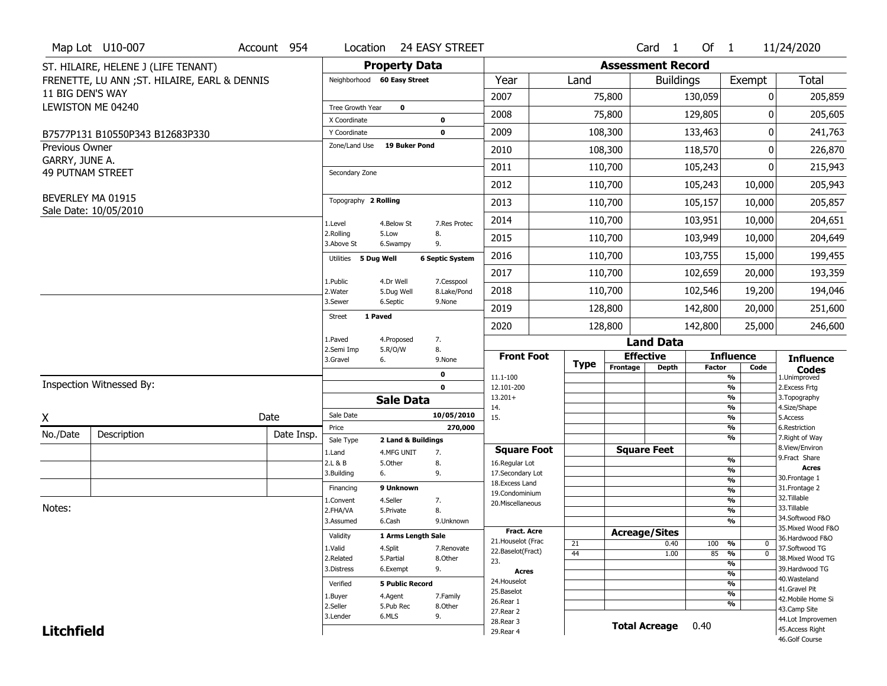|                                         | Map Lot U10-007                               | Account 954 | Location                      | 24 EASY STREET                |                           |                                    |             |                          | Card 1               | Of 1          |                                           | 11/24/2020                         |
|-----------------------------------------|-----------------------------------------------|-------------|-------------------------------|-------------------------------|---------------------------|------------------------------------|-------------|--------------------------|----------------------|---------------|-------------------------------------------|------------------------------------|
|                                         | ST. HILAIRE, HELENE J (LIFE TENANT)           |             |                               | <b>Property Data</b>          |                           |                                    |             | <b>Assessment Record</b> |                      |               |                                           |                                    |
|                                         | FRENETTE, LU ANN ; ST. HILAIRE, EARL & DENNIS |             | Neighborhood 60 Easy Street   |                               |                           | Year                               | Land        |                          | <b>Buildings</b>     |               | Exempt                                    | <b>Total</b>                       |
| 11 BIG DEN'S WAY                        |                                               |             |                               |                               |                           | 2007                               |             | 75,800                   |                      | 130,059       | 0                                         | 205,859                            |
|                                         | LEWISTON ME 04240                             |             | Tree Growth Year              | $\mathbf 0$                   |                           | 2008                               |             | 75,800                   |                      | 129,805       | 0                                         | 205,605                            |
|                                         |                                               |             | X Coordinate                  | 0                             |                           |                                    |             |                          |                      |               |                                           |                                    |
|                                         | B7577P131 B10550P343 B12683P330               |             | Y Coordinate<br>Zone/Land Use | $\mathbf 0$<br>19 Buker Pond  |                           | 2009                               |             | 108,300                  |                      | 133,463       | 0                                         | 241,763                            |
| <b>Previous Owner</b><br>GARRY, JUNE A. |                                               |             |                               |                               |                           | 2010                               |             | 108,300                  |                      | 118,570       | 0                                         | 226,870                            |
| <b>49 PUTNAM STREET</b>                 |                                               |             | Secondary Zone                |                               |                           | 2011                               |             | 110,700                  |                      | 105,243       | 0                                         | 215,943                            |
|                                         |                                               |             |                               |                               |                           | 2012                               |             | 110,700                  |                      | 105,243       | 10,000                                    | 205,943                            |
|                                         | BEVERLEY MA 01915                             |             | Topography 2 Rolling          |                               |                           | 2013                               |             | 110,700                  |                      | 105,157       | 10,000                                    | 205,857                            |
|                                         | Sale Date: 10/05/2010                         |             | 1.Level                       | 4.Below St                    | 7.Res Protec              | 2014                               |             | 110,700                  |                      | 103,951       | 10,000                                    | 204,651                            |
|                                         |                                               |             | 2.Rolling<br>3.Above St       | 8.<br>5.Low<br>9.<br>6.Swampy |                           | 2015                               |             | 110,700                  |                      | 103,949       | 10,000                                    | 204,649                            |
|                                         |                                               |             | Utilities 5 Dug Well          |                               | <b>6 Septic System</b>    | 2016                               |             | 110,700                  |                      | 103,755       | 15,000                                    | 199,455                            |
|                                         |                                               |             |                               |                               |                           | 2017                               |             | 110,700                  |                      | 102,659       | 20,000                                    | 193,359                            |
|                                         |                                               |             | 1.Public<br>2. Water          | 4.Dr Well<br>5.Dug Well       | 7.Cesspool<br>8.Lake/Pond | 2018                               |             | 110,700                  |                      | 102,546       | 19,200                                    | 194,046                            |
|                                         |                                               |             | 3.Sewer                       | 6.Septic                      | 9.None                    | 2019                               |             | 128,800                  |                      | 142,800       | 20,000                                    | 251,600                            |
|                                         |                                               |             | 1 Paved<br>Street             |                               |                           | 2020                               |             | 128,800                  |                      | 142,800       | 25,000                                    | 246,600                            |
|                                         |                                               |             | 1.Paved                       | 7.<br>4.Proposed              |                           |                                    |             |                          | <b>Land Data</b>     |               |                                           |                                    |
|                                         |                                               |             |                               |                               |                           |                                    |             |                          |                      |               |                                           |                                    |
|                                         |                                               |             | 2.Semi Imp<br>3.Gravel        | 8.<br>5.R/O/W<br>6.           | 9.None                    | <b>Front Foot</b>                  |             |                          | <b>Effective</b>     |               | <b>Influence</b>                          |                                    |
|                                         |                                               |             |                               | 0                             |                           |                                    | <b>Type</b> | Frontage                 | <b>Depth</b>         | <b>Factor</b> | Code                                      | <b>Influence</b><br><b>Codes</b>   |
|                                         | Inspection Witnessed By:                      |             |                               | $\mathbf 0$                   |                           | 11.1-100<br>12.101-200             |             |                          |                      |               | %<br>$\frac{9}{6}$                        | 1.Unimproved<br>2.Excess Frtg      |
|                                         |                                               |             |                               | <b>Sale Data</b>              |                           | $13.201+$                          |             |                          |                      |               | %                                         | 3. Topography                      |
|                                         |                                               | Date        | Sale Date                     |                               | 10/05/2010                | 14.<br>15.                         |             |                          |                      |               | %<br>%                                    | 4.Size/Shape<br>5.Access           |
| X                                       |                                               |             | Price                         |                               | 270,000                   |                                    |             |                          |                      |               | %                                         | 6.Restriction                      |
| No./Date                                | Description                                   | Date Insp.  | Sale Type                     | 2 Land & Buildings            |                           |                                    |             |                          |                      |               | %                                         | 7. Right of Way                    |
|                                         |                                               |             | 1.Land                        | 4.MFG UNIT<br>7.              |                           | <b>Square Foot</b>                 |             |                          | <b>Square Feet</b>   |               | %                                         | 8.View/Environ<br>9. Fract Share   |
|                                         |                                               |             | 2.L & B<br>3.Building         | 5.Other<br>8.<br>9.<br>6.     |                           | 16.Regular Lot<br>17.Secondary Lot |             |                          |                      |               | %                                         | Acres                              |
|                                         |                                               |             | Financing                     | 9 Unknown                     |                           | 18.Excess Land                     |             |                          |                      |               | $\frac{9}{6}$                             | 30. Frontage 1                     |
|                                         |                                               |             | 1.Convent                     | 4.Seller<br>7.                |                           | 19.Condominium                     |             |                          |                      |               | $\overline{\frac{9}{6}}$<br>$\frac{9}{6}$ | 31. Frontage 2<br>32. Tillable     |
| Notes:                                  |                                               |             | 2.FHA/VA                      | 8.<br>5.Private               |                           | 20.Miscellaneous                   |             |                          |                      |               | $\frac{9}{6}$                             | 33.Tillable                        |
|                                         |                                               |             | 3.Assumed                     | 6.Cash                        | 9.Unknown                 |                                    |             |                          |                      |               | %                                         | 34.Softwood F&O                    |
|                                         |                                               |             | Validity                      | 1 Arms Length Sale            |                           | Fract. Acre                        |             |                          | <b>Acreage/Sites</b> |               |                                           | 35. Mixed Wood F&O                 |
|                                         |                                               |             | 1.Valid                       | 4.Split                       | 7.Renovate                | 21. Houselot (Frac                 | 21          |                          | 0.40                 | 100           | %<br>0                                    | 36.Hardwood F&O<br>37.Softwood TG  |
|                                         |                                               |             | 2.Related                     | 5.Partial                     | 8.Other                   | 22.Baselot(Fract)<br>23.           | 44          |                          | 1.00                 | 85            | $\overline{0}$<br>%                       | 38. Mixed Wood TG                  |
|                                         |                                               |             | 3.Distress                    | 9.<br>6.Exempt                |                           | Acres                              |             |                          |                      |               | %<br>%                                    | 39.Hardwood TG                     |
|                                         |                                               |             | Verified                      | <b>5 Public Record</b>        |                           | 24. Houselot                       |             |                          |                      |               | %                                         | 40. Wasteland                      |
|                                         |                                               |             | 1.Buyer                       | 4.Agent                       | 7.Family                  | 25.Baselot                         |             |                          |                      |               | %                                         | 41.Gravel Pit                      |
|                                         |                                               |             | 2.Seller                      | 5.Pub Rec                     | 8.Other                   | 26.Rear 1                          |             |                          |                      |               | %                                         | 42. Mobile Home Si<br>43.Camp Site |
|                                         |                                               |             | 3.Lender                      | 6.MLS<br>9.                   |                           | 27.Rear 2<br>28. Rear 3            |             |                          |                      |               |                                           | 44.Lot Improvemen                  |
| <b>Litchfield</b>                       |                                               |             |                               |                               |                           | 29. Rear 4                         |             |                          | <b>Total Acreage</b> | 0.40          |                                           | 45.Access Right<br>46.Golf Course  |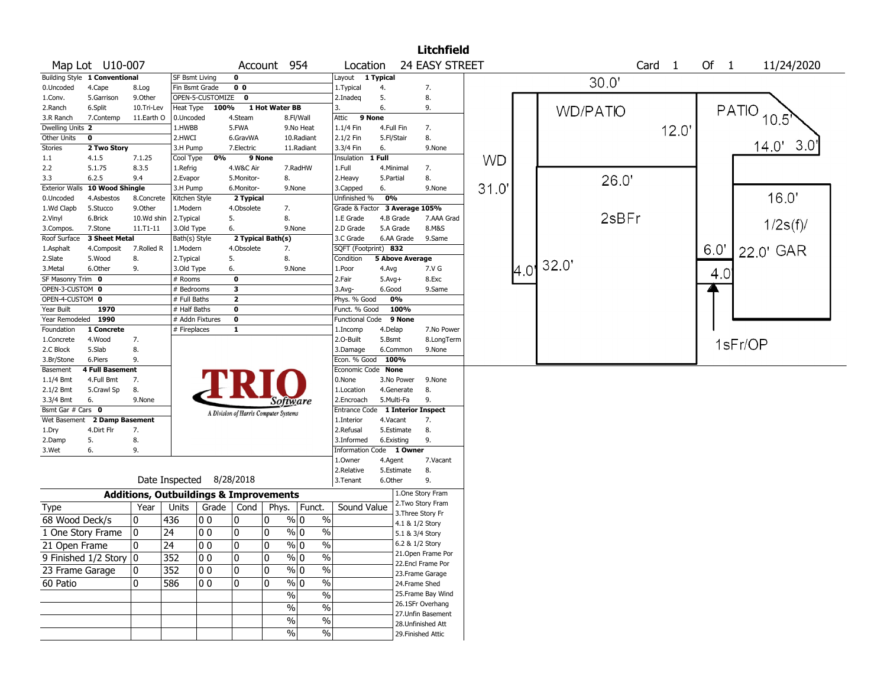|                              |                               |            |                                                   |                  |                         |                                       |               |                       |                          |                       | <b>Litchfield</b>                     |           |      |                 |                   |      |                |
|------------------------------|-------------------------------|------------|---------------------------------------------------|------------------|-------------------------|---------------------------------------|---------------|-----------------------|--------------------------|-----------------------|---------------------------------------|-----------|------|-----------------|-------------------|------|----------------|
|                              | Map Lot U10-007               |            |                                                   |                  |                         | Account 954                           |               |                       | Location                 |                       | 24 EASY STREET                        |           |      |                 | Card <sub>1</sub> | Of 1 | 11/24/2020     |
|                              | Building Style 1 Conventional |            | <b>SF Bsmt Living</b>                             |                  | $\mathbf 0$             |                                       |               | Layout                | 1 Typical                |                       |                                       |           |      |                 |                   |      |                |
| 0.Uncoded                    | 4.Cape                        | 8.Log      | Fin Bsmt Grade                                    |                  | 0 <sub>0</sub>          |                                       |               | 1. Typical            |                          | 4.                    | 7.                                    |           |      | 30.0'           |                   |      |                |
| 1.Conv.                      | 5.Garrison                    | 9.0ther    |                                                   | OPEN-5-CUSTOMIZE | $\mathbf 0$             |                                       |               | 2.Inadeg              |                          | 5.                    | 8.                                    |           |      |                 |                   |      |                |
| 2.Ranch                      | 6.Split                       | 10.Tri-Lev | Heat Type                                         | 100%             |                         | 1 Hot Water BB                        |               | 3.                    |                          | 6.                    | 9.                                    |           |      | <b>WD/PATIO</b> |                   |      | <b>PATIO</b>   |
| 3.R Ranch                    | 7.Contemp                     | 11.Earth O | 0.Uncoded                                         |                  | 4.Steam                 |                                       | 8.Fl/Wall     | Attic                 | 9 None                   |                       |                                       |           |      |                 |                   |      | $10.5^{\circ}$ |
| Dwelling Units 2             |                               |            | 1.HWBB                                            |                  | 5.FWA                   |                                       | 9.No Heat     | 1.1/4 Fin             |                          | 4.Full Fin            | 7.                                    |           |      |                 | 12.0              |      |                |
| Other Units                  | $\overline{\mathbf{0}}$       |            | 2.HWCI                                            |                  | 6.GravWA                |                                       | 10.Radiant    | 2.1/2 Fin             |                          | 5.Fl/Stair            | 8.                                    |           |      |                 |                   |      |                |
| <b>Stories</b>               | 2 Two Story                   |            | 3.H Pump                                          |                  | 7.Electric              |                                       | 11.Radiant    | 3.3/4 Fin             |                          | 6.                    | 9.None                                |           |      |                 |                   |      | 3.0<br>14.0'   |
| $1.1\,$                      | 4.1.5                         | 7.1.25     | Cool Type                                         | 0%               |                         | 9 None                                |               | Insulation            | 1 Full                   |                       |                                       | <b>WD</b> |      |                 |                   |      |                |
| 2.2                          | 5.1.75                        | 8.3.5      | 1.Refrig                                          |                  | 4.W&C Air               |                                       | 7.RadHW       | 1.Full                |                          | 4.Minimal             | 7.                                    |           |      |                 |                   |      |                |
| 3.3                          | 6.2.5                         | 9.4        | 2.Evapor                                          |                  | 5.Monitor-              | 8.                                    |               | 2.Heavy               |                          | 5.Partial             | 8.                                    |           |      | 26.0'           |                   |      |                |
| <b>Exterior Walls</b>        | 10 Wood Shingle               |            | 3.H Pump                                          |                  | 6.Monitor-              |                                       | 9.None        | 3.Capped              |                          | 6.                    | 9.None                                | 31.0      |      |                 |                   |      |                |
| 0.Uncoded                    | 4.Asbestos                    | 8.Concrete | Kitchen Style                                     |                  | 2 Typical               |                                       |               |                       | Unfinished %             | 0%                    |                                       |           |      |                 |                   |      | 16.0'          |
| 1.Wd Clapb                   | 5.Stucco                      | 9.Other    | 1.Modern                                          |                  | 4.Obsolete              | 7.                                    |               |                       |                          |                       | Grade & Factor 3 Average 105%         |           |      |                 |                   |      |                |
| 2.Vinyl                      | 6.Brick                       | 10.Wd shin | 2.Typical                                         |                  | 5.                      | 8.                                    |               | 1.E Grade             |                          | 4.B Grade             | 7.AAA Grad                            |           |      | 2sBFr           |                   |      | 1/2s(f)        |
| 3.Compos.                    | 7.Stone                       | 11.T1-11   | 3.Old Type                                        |                  | 6.                      |                                       | 9.None        | 2.D Grade             |                          | 5.A Grade             | 8.M&S                                 |           |      |                 |                   |      |                |
| Roof Surface                 | 3 Sheet Metal                 |            | Bath(s) Style                                     |                  |                         | 2 Typical Bath(s)                     |               | 3.C Grade             |                          | 6.AA Grade            | 9.Same                                |           |      |                 |                   |      |                |
| 1.Asphalt                    | 4.Composit                    | 7.Rolled R | 1.Modern                                          |                  | 4.Obsolete              | 7.                                    |               |                       | SQFT (Footprint) 832     |                       |                                       |           |      |                 |                   | 6.0' | 22.0' GAR      |
| 2.Slate                      | 5.Wood                        | 8.         | 2. Typical                                        |                  | 5.                      | 8.                                    |               | Condition             |                          |                       | <b>5 Above Average</b>                |           |      | 32.0'           |                   |      |                |
| 3.Metal<br>SF Masonry Trim 0 | 6.Other                       | 9.         | 3.Old Type<br># Rooms                             |                  | 6.<br>$\mathbf 0$       |                                       | 9.None        | 1.Poor<br>2.Fair      |                          | 4.Avg<br>$5.Avg+$     | 7.V G<br>8.Exc                        |           | 4.0' |                 |                   | 4.0  |                |
| OPEN-3-CUSTOM 0              |                               |            | # Bedrooms                                        |                  | $\overline{\mathbf{3}}$ |                                       |               | $3.$ Avg-             |                          | 6.Good                | 9.Same                                |           |      |                 |                   |      |                |
| OPEN-4-CUSTOM 0              |                               |            | # Full Baths                                      |                  | $\overline{2}$          |                                       |               |                       | Phys. % Good             | 0%                    |                                       |           |      |                 |                   |      |                |
| Year Built                   | 1970                          |            | # Half Baths                                      |                  | $\mathbf 0$             |                                       |               |                       | Funct. % Good            | 100%                  |                                       |           |      |                 |                   |      |                |
| Year Remodeled 1990          |                               |            |                                                   | # Addn Fixtures  | $\mathbf 0$             |                                       |               |                       | <b>Functional Code</b>   | 9 None                |                                       |           |      |                 |                   |      |                |
| Foundation                   | 1 Concrete                    |            | # Fireplaces                                      |                  | $\mathbf{1}$            |                                       |               | 1.Incomp              |                          | 4.Delap               | 7.No Power                            |           |      |                 |                   |      |                |
| 1.Concrete                   | 4.Wood                        | 7.         |                                                   |                  |                         |                                       |               | 2.0-Built             |                          | 5.Bsmt                | 8.LongTerm                            |           |      |                 |                   |      |                |
| 2.C Block                    | 5.Slab                        | 8.         |                                                   |                  |                         |                                       |               | 3.Damage              |                          | 6.Common              | 9.None                                |           |      |                 |                   |      | 1sFr/OP        |
| 3.Br/Stone                   | 6.Piers                       | 9.         |                                                   |                  |                         |                                       |               |                       | Econ. % Good             | 100%                  |                                       |           |      |                 |                   |      |                |
| Basement                     | <b>4 Full Basement</b>        |            |                                                   |                  |                         |                                       |               |                       | Economic Code None       |                       |                                       |           |      |                 |                   |      |                |
| 1.1/4 Bmt                    | 4.Full Bmt                    | 7.         |                                                   |                  |                         |                                       |               | 0.None                |                          | 3.No Power            | 9.None                                |           |      |                 |                   |      |                |
| 2.1/2 Bmt                    | 5.Crawl Sp                    | 8.         |                                                   |                  |                         |                                       |               | 1.Location            |                          | 4.Generate            | 8.                                    |           |      |                 |                   |      |                |
| 3.3/4 Bmt                    | 6.                            | 9.None     |                                                   |                  |                         | Software                              |               |                       | 2.Encroach               | 5.Multi-Fa            | 9.                                    |           |      |                 |                   |      |                |
| Bsmt Gar # Cars 0            |                               |            |                                                   |                  |                         | A Division of Harris Computer Systems |               |                       | <b>Entrance Code</b>     |                       | <b>1 Interior Inspect</b>             |           |      |                 |                   |      |                |
|                              | Wet Basement 2 Damp Basement  |            |                                                   |                  |                         |                                       |               | 1.Interior            |                          | 4.Vacant              | 7.                                    |           |      |                 |                   |      |                |
| 1.Dry                        | 4.Dirt Flr                    | 7.         |                                                   |                  |                         |                                       |               | 2.Refusal             |                          | 5.Estimate            | 8.                                    |           |      |                 |                   |      |                |
| 2.Damp                       | 5.                            | 8.         |                                                   |                  |                         |                                       |               | 3.Informed            |                          | 6.Existing            | 9.                                    |           |      |                 |                   |      |                |
| 3.Wet                        | 6.                            | 9.         |                                                   |                  |                         |                                       |               |                       | Information Code 1 Owner |                       |                                       |           |      |                 |                   |      |                |
|                              |                               |            |                                                   |                  |                         |                                       |               | 1.Owner<br>2.Relative |                          | 4.Agent<br>5.Estimate | 7.Vacant                              |           |      |                 |                   |      |                |
|                              |                               |            | Date Inspected 8/28/2018                          |                  |                         |                                       |               | 3.Tenant              |                          | 6.Other               | 8.<br>9.                              |           |      |                 |                   |      |                |
|                              |                               |            |                                                   |                  |                         |                                       |               |                       |                          |                       |                                       |           |      |                 |                   |      |                |
|                              |                               |            | <b>Additions, Outbuildings &amp; Improvements</b> |                  |                         |                                       |               |                       |                          |                       | 1.One Story Fram<br>2. Two Story Fram |           |      |                 |                   |      |                |
| Type                         |                               | Year       | Units                                             | Grade            | Cond                    | Phys.                                 | Funct.        |                       | Sound Value              |                       | 3. Three Story Fr                     |           |      |                 |                   |      |                |
| 68 Wood Deck/s               |                               | 10         | 436                                               | 00               | 0                       | 0                                     | % 0           | $\%$                  |                          |                       | 4.1 & 1/2 Story                       |           |      |                 |                   |      |                |
| 1 One Story Frame            |                               | 10         | 24                                                | 00               | 0                       | 0                                     | % 0           | $\%$                  |                          |                       | 5.1 & 3/4 Story                       |           |      |                 |                   |      |                |
| 21 Open Frame                |                               | 10         | 24                                                | 0 0              | 10                      | 10                                    | % 0           | %                     |                          |                       | 6.2 & 1/2 Story                       |           |      |                 |                   |      |                |
|                              |                               |            |                                                   |                  | 0                       |                                       | $\sqrt[6]{0}$ |                       |                          |                       | 21. Open Frame Por                    |           |      |                 |                   |      |                |
|                              | 9 Finished $1/2$ Story $ 0 $  |            | 352                                               | 00               |                         | 10                                    |               | $\%$                  |                          |                       | 22.Encl Frame Por                     |           |      |                 |                   |      |                |
| 23 Frame Garage              |                               | 10         | 352                                               | 00               | 0                       | 0                                     | $\sqrt[6]{0}$ | $\%$                  |                          |                       | 23. Frame Garage                      |           |      |                 |                   |      |                |
| 60 Patio                     |                               | 10         | 586                                               | 00               | 0                       | 0                                     | $\%$ 0        | $\%$                  |                          |                       | 24.Frame Shed                         |           |      |                 |                   |      |                |
|                              |                               |            |                                                   |                  |                         | $\%$                                  |               | $\%$                  |                          |                       | 25.Frame Bay Wind                     |           |      |                 |                   |      |                |
|                              |                               |            |                                                   |                  |                         | $\%$                                  |               | $\%$                  |                          |                       | 26.1SFr Overhang                      |           |      |                 |                   |      |                |
|                              |                               |            |                                                   |                  |                         | $\%$                                  |               | $\%$                  |                          |                       | 27.Unfin Basement                     |           |      |                 |                   |      |                |
|                              |                               |            |                                                   |                  |                         |                                       |               |                       |                          |                       | 28. Unfinished Att                    |           |      |                 |                   |      |                |
|                              |                               |            |                                                   |                  |                         |                                       | %             | $\%$                  |                          |                       | 29. Finished Attic                    |           |      |                 |                   |      |                |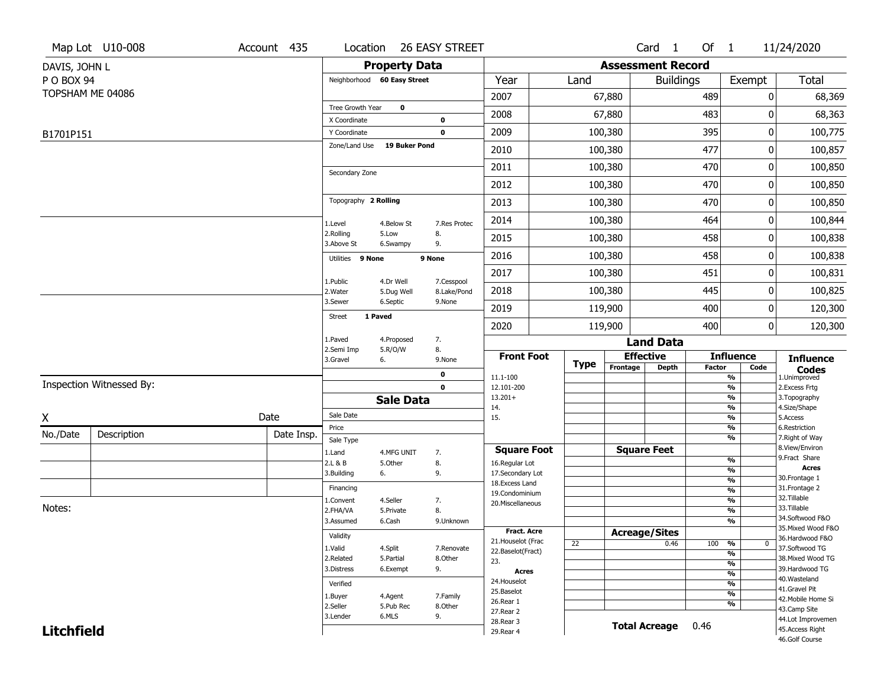|                   | Map Lot U10-008          | Account 435 | Location                     |                         | <b>26 EASY STREET</b>      |                                         |             |                          | Card <sub>1</sub> | Of $1$        |                                | 11/24/2020                            |
|-------------------|--------------------------|-------------|------------------------------|-------------------------|----------------------------|-----------------------------------------|-------------|--------------------------|-------------------|---------------|--------------------------------|---------------------------------------|
| DAVIS, JOHN L     |                          |             |                              | <b>Property Data</b>    |                            |                                         |             | <b>Assessment Record</b> |                   |               |                                |                                       |
| P O BOX 94        |                          |             | Neighborhood 60 Easy Street  |                         |                            | Year                                    | Land        |                          | <b>Buildings</b>  |               | Exempt                         | Total                                 |
|                   | TOPSHAM ME 04086         |             |                              |                         |                            | 2007                                    |             | 67,880                   |                   | 489           | 0                              | 68,369                                |
|                   |                          |             | Tree Growth Year             | $\mathbf 0$             |                            | 2008                                    |             | 67,880                   |                   | 483           | 0                              | 68,363                                |
|                   |                          |             | X Coordinate<br>Y Coordinate |                         | $\mathbf 0$<br>$\mathbf 0$ | 2009                                    |             | 100,380                  |                   | 395           | 0                              | 100,775                               |
| B1701P151         |                          |             | Zone/Land Use                | <b>19 Buker Pond</b>    |                            |                                         |             |                          |                   |               |                                |                                       |
|                   |                          |             |                              |                         |                            | 2010                                    |             | 100,380                  |                   | 477           | 0                              | 100,857                               |
|                   |                          |             | Secondary Zone               |                         |                            | 2011                                    |             | 100,380                  |                   | 470           | 0                              | 100,850                               |
|                   |                          |             |                              |                         |                            | 2012                                    |             | 100,380                  |                   | 470           | 0                              | 100,850                               |
|                   |                          |             | Topography 2 Rolling         |                         |                            | 2013                                    |             | 100,380                  |                   | 470           | 0                              | 100,850                               |
|                   |                          |             | 1.Level                      | 4.Below St              | 7.Res Protec               | 2014                                    |             | 100,380                  |                   | 464           | 0                              | 100,844                               |
|                   |                          |             | 2.Rolling<br>3.Above St      | 5.Low<br>6.Swampy       | 8.<br>9.                   | 2015                                    |             | 100,380                  |                   | 458           | 0                              | 100,838                               |
|                   |                          |             | Utilities 9 None             |                         | 9 None                     | 2016                                    |             | 100,380                  |                   | 458           | 0                              | 100,838                               |
|                   |                          |             |                              |                         |                            | 2017                                    |             | 100,380                  |                   | 451           | 0                              | 100,831                               |
|                   |                          |             | 1.Public<br>2. Water         | 4.Dr Well<br>5.Dug Well | 7.Cesspool<br>8.Lake/Pond  | 2018                                    |             | 100,380                  |                   | 445           | 0                              | 100,825                               |
|                   |                          |             | 3.Sewer                      | 6.Septic                | 9.None                     | 2019                                    |             | 119,900                  |                   | 400           | 0                              | 120,300                               |
|                   |                          |             | 1 Paved<br><b>Street</b>     |                         |                            | 2020                                    |             | 119,900                  |                   | 400           | 0                              | 120,300                               |
|                   |                          |             | 1.Paved                      | 4.Proposed              | 7.                         |                                         |             |                          | <b>Land Data</b>  |               |                                |                                       |
|                   |                          |             | 2.Semi Imp<br>3.Gravel       | 5.R/O/W<br>6.           | 8.<br>9.None               | <b>Front Foot</b>                       |             | <b>Effective</b>         |                   |               | <b>Influence</b>               | <b>Influence</b>                      |
|                   |                          |             |                              |                         | $\mathbf 0$                | 11.1-100                                | <b>Type</b> | Frontage                 | <b>Depth</b>      | <b>Factor</b> | Code<br>$\frac{9}{6}$          | <b>Codes</b><br>1.Unimproved          |
|                   | Inspection Witnessed By: |             |                              |                         | $\mathbf 0$                | 12.101-200                              |             |                          |                   |               | $\frac{9}{6}$                  | 2.Excess Frtg                         |
|                   |                          |             |                              | <b>Sale Data</b>        |                            | $13.201+$<br>14.                        |             |                          |                   |               | $\frac{9}{6}$<br>$\frac{9}{6}$ | 3. Topography<br>4.Size/Shape         |
| X                 |                          | Date        | Sale Date                    |                         |                            | 15.                                     |             |                          |                   |               | $\frac{9}{6}$                  | 5.Access                              |
| No./Date          | Description              | Date Insp.  | Price                        |                         |                            |                                         |             |                          |                   |               | $\frac{9}{6}$<br>$\frac{9}{6}$ | 6.Restriction<br>7. Right of Way      |
|                   |                          |             | Sale Type<br>1.Land          | 4.MFG UNIT              | 7.                         | <b>Square Foot</b>                      |             | <b>Square Feet</b>       |                   |               |                                | 8.View/Environ                        |
|                   |                          |             | 2.L & B                      | 5.Other                 | 8.                         | 16.Regular Lot                          |             |                          |                   |               | %                              | 9.Fract Share                         |
|                   |                          |             | 3.Building                   | 6.                      | 9.                         | 17.Secondary Lot                        |             |                          |                   |               | %                              | <b>Acres</b><br>30.Frontage 1         |
|                   |                          |             | Financing                    |                         |                            | 18.Excess Land                          |             |                          |                   |               | $\frac{9}{6}$<br>$\frac{9}{6}$ | 31. Frontage 2                        |
|                   |                          |             | 1.Convent                    | 4.Seller                | 7.                         | 19.Condominium<br>20.Miscellaneous      |             |                          |                   |               | $\frac{9}{6}$                  | 32.Tillable                           |
| Notes:            |                          |             | 2.FHA/VA                     | 5.Private               | 8.                         |                                         |             |                          |                   |               | $\frac{9}{6}$                  | 33.Tillable                           |
|                   |                          |             | 3.Assumed                    | 6.Cash                  | 9.Unknown                  |                                         |             |                          |                   |               | $\frac{9}{6}$                  | 34.Softwood F&O<br>35. Mixed Wood F&O |
|                   |                          |             | Validity                     |                         |                            | <b>Fract. Acre</b>                      |             | <b>Acreage/Sites</b>     |                   |               |                                | 36.Hardwood F&O                       |
|                   |                          |             | 1.Valid                      | 4.Split                 | 7.Renovate                 | 21. Houselot (Frac<br>22.Baselot(Fract) | 22          |                          | 0.46              | 100           | %<br>0                         | 37.Softwood TG                        |
|                   |                          |             | 2.Related                    | 5.Partial               | 8.Other                    | 23.                                     |             |                          |                   |               | $\frac{9}{6}$<br>$\frac{9}{6}$ | 38. Mixed Wood TG                     |
|                   |                          |             | 3.Distress                   | 6.Exempt                | 9.                         | <b>Acres</b>                            |             |                          |                   |               | $\overline{\frac{9}{6}}$       | 39.Hardwood TG                        |
|                   |                          |             | Verified                     |                         |                            | 24. Houselot                            |             |                          |                   |               | $\frac{9}{6}$                  | 40. Wasteland                         |
|                   |                          |             | 1.Buyer                      | 4.Agent                 | 7.Family                   | 25.Baselot                              |             |                          |                   |               | $\frac{9}{6}$                  | 41.Gravel Pit<br>42. Mobile Home Si   |
|                   |                          |             | 2.Seller                     | 5.Pub Rec               | 8.Other                    | 26.Rear 1                               |             |                          |                   |               | $\frac{9}{6}$                  | 43.Camp Site                          |
|                   |                          |             |                              |                         |                            |                                         |             |                          |                   |               |                                |                                       |
|                   |                          |             | 3.Lender                     | 6.MLS                   | 9.                         | 27.Rear 2                               |             |                          |                   |               |                                | 44.Lot Improvemen                     |
| <b>Litchfield</b> |                          |             |                              |                         |                            | 28. Rear 3<br>29. Rear 4                |             | <b>Total Acreage</b>     |                   | 0.46          |                                | 45.Access Right<br>46.Golf Course     |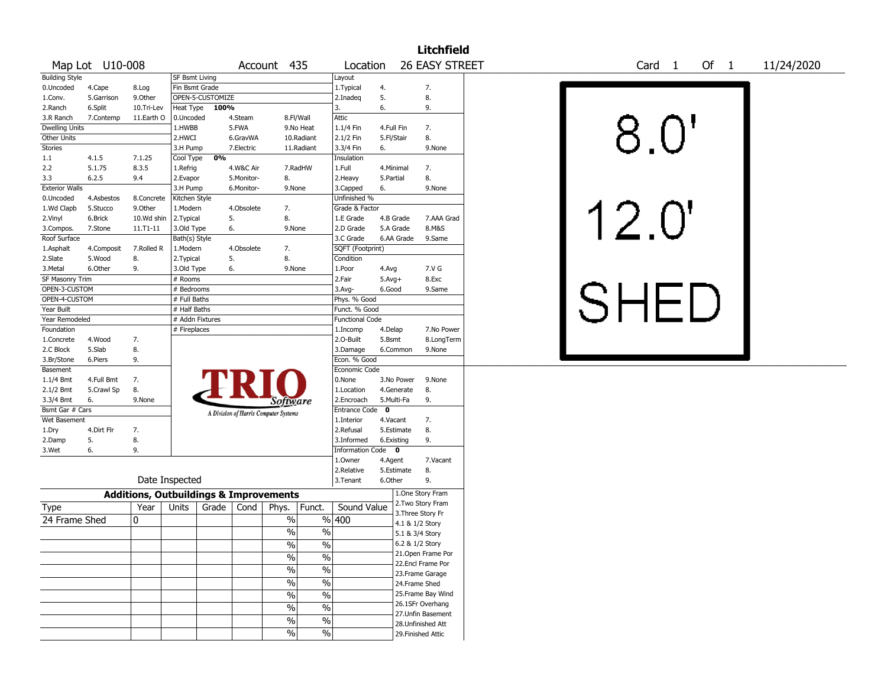|                                  |                 |                                                   |                       |                  |            |                                       |               |                        |                    |            | <b>Litchfield</b>                  |                                         |  |
|----------------------------------|-----------------|---------------------------------------------------|-----------------------|------------------|------------|---------------------------------------|---------------|------------------------|--------------------|------------|------------------------------------|-----------------------------------------|--|
|                                  | Map Lot U10-008 |                                                   |                       |                  |            | Account 435                           |               | Location               |                    |            | 26 EASY STREET                     | Of 1<br>11/24/2020<br>Card <sub>1</sub> |  |
| <b>Building Style</b>            |                 |                                                   | <b>SF Bsmt Living</b> |                  |            |                                       |               | Layout                 |                    |            |                                    |                                         |  |
| 0.Uncoded                        | 4.Cape          | 8.Log                                             | Fin Bsmt Grade        |                  |            |                                       |               | 1. Typical             | 4.                 |            | 7.                                 |                                         |  |
| 1.Conv.                          | 5.Garrison      | 9.Other                                           |                       | OPEN-5-CUSTOMIZE |            |                                       |               | 2.Inadeq               | 5.                 |            | 8.                                 |                                         |  |
| 2.Ranch                          | 6.Split         | 10.Tri-Lev                                        | Heat Type             | 100%             |            |                                       |               | 3.                     | 6.                 |            | 9.                                 |                                         |  |
| 3.R Ranch                        | 7.Contemp       | 11.Earth O                                        | 0.Uncoded             |                  | 4.Steam    |                                       | 8.Fl/Wall     | Attic                  |                    |            |                                    |                                         |  |
| Dwelling Units                   |                 |                                                   | 1.HWBB                |                  | 5.FWA      |                                       | 9.No Heat     | 1.1/4 Fin              |                    | 4.Full Fin | 7.                                 |                                         |  |
| Other Units                      |                 |                                                   | 2.HWCI                |                  | 6.GravWA   |                                       | 10.Radiant    | 2.1/2 Fin              |                    | 5.Fl/Stair | 8.                                 |                                         |  |
| <b>Stories</b>                   |                 |                                                   | 3.H Pump              |                  | 7.Electric |                                       | 11.Radiant    | 3.3/4 Fin              | 6.                 |            | 9.None                             | 8.0"                                    |  |
| 1.1                              | 4.1.5           | 7.1.25                                            | Cool Type             | 0%               |            |                                       |               | Insulation             |                    |            |                                    |                                         |  |
| 2.2                              | 5.1.75          | 8.3.5                                             | 1.Refrig              |                  | 4.W&C Air  |                                       | 7.RadHW       | 1.Full                 |                    | 4.Minimal  | 7.                                 |                                         |  |
| 3.3                              | 6.2.5           | 9.4                                               | 2.Evapor              |                  | 5.Monitor- | 8.                                    |               | 2.Heavy                | 5.Partial          |            | 8.                                 |                                         |  |
| <b>Exterior Walls</b>            |                 |                                                   | 3.H Pump              |                  | 6.Monitor- | 9.None                                |               | 3.Capped               | 6.                 |            | 9.None                             |                                         |  |
| 0.Uncoded                        | 4.Asbestos      | 8.Concrete                                        | Kitchen Style         |                  |            |                                       |               | Unfinished %           |                    |            |                                    |                                         |  |
| 1.Wd Clapb                       | 5.Stucco        | 9.Other                                           | 1.Modern              |                  | 4.Obsolete | 7.                                    |               | Grade & Factor         |                    |            |                                    |                                         |  |
| 2.Vinyl                          | 6.Brick         | 10.Wd shin                                        | 2.Typical             |                  | 5.         | 8.                                    |               | 1.E Grade              |                    | 4.B Grade  | 7.AAA Grad                         |                                         |  |
| 3.Compos.                        | 7.Stone         | 11.T1-11                                          | 3.Old Type            |                  | 6.         | 9.None                                |               | 2.D Grade              |                    | 5.A Grade  | 8.M&S                              | 12.0'                                   |  |
| Roof Surface                     |                 |                                                   | Bath(s) Style         |                  |            |                                       |               | 3.C Grade              |                    | 6.AA Grade | 9.Same                             |                                         |  |
| 1.Asphalt                        | 4.Composit      | 7.Rolled R                                        | 1.Modern              |                  | 4.Obsolete | 7.                                    |               | SQFT (Footprint)       |                    |            |                                    |                                         |  |
| 2.Slate                          | 5.Wood          | 8.                                                | 2.Typical             |                  | 5.         | 8.                                    |               | Condition              |                    |            |                                    |                                         |  |
| 3.Metal                          | 6.Other         | 9.                                                | 3.Old Type            |                  | 6.         | 9.None                                |               | 1.Poor                 | 4.Avg              |            | 7.V G<br>8.Exc                     |                                         |  |
| SF Masonry Trim<br>OPEN-3-CUSTOM |                 |                                                   | # Rooms<br># Bedrooms |                  |            |                                       |               | 2.Fair<br>3.Avg-       | $5.Avg+$<br>6.Good |            | 9.Same                             |                                         |  |
| OPEN-4-CUSTOM                    |                 |                                                   | # Full Baths          |                  |            |                                       |               | Phys. % Good           |                    |            |                                    |                                         |  |
| Year Built                       |                 |                                                   | # Half Baths          |                  |            |                                       |               | Funct. % Good          |                    |            |                                    |                                         |  |
| Year Remodeled                   |                 |                                                   | # Addn Fixtures       |                  |            |                                       |               | <b>Functional Code</b> |                    |            |                                    |                                         |  |
| Foundation                       |                 |                                                   | # Fireplaces          |                  |            |                                       |               | 1.Incomp               | 4.Delap            |            | 7.No Power                         |                                         |  |
| 1.Concrete                       | 4.Wood          | 7.                                                |                       |                  |            |                                       |               | 2.O-Built              | 5.Bsmt             |            | 8.LongTerm                         |                                         |  |
| 2.C Block                        | 5.Slab          | 8.                                                |                       |                  |            |                                       |               | 3.Damage               |                    | 6.Common   | 9.None                             |                                         |  |
| 3.Br/Stone                       | 6.Piers         | 9.                                                |                       |                  |            |                                       |               | Econ. % Good           |                    |            |                                    |                                         |  |
| Basement                         |                 |                                                   |                       |                  |            |                                       |               | Economic Code          |                    |            |                                    |                                         |  |
| 1.1/4 Bmt                        | 4.Full Bmt      | 7.                                                |                       |                  |            |                                       |               | 0.None                 |                    | 3.No Power | 9.None                             |                                         |  |
| 2.1/2 Bmt                        | 5.Crawl Sp      | 8.                                                |                       |                  |            |                                       |               | 1.Location             |                    | 4.Generate | 8.                                 |                                         |  |
| 3.3/4 Bmt                        | 6.              | 9.None                                            |                       |                  |            | Software                              |               | 2.Encroach             |                    | 5.Multi-Fa | 9.                                 |                                         |  |
| Bsmt Gar # Cars                  |                 |                                                   |                       |                  |            | A Division of Harris Computer Systems |               | Entrance Code 0        |                    |            |                                    |                                         |  |
| Wet Basement                     |                 |                                                   |                       |                  |            |                                       |               | 1.Interior             |                    | 4.Vacant   | 7.                                 |                                         |  |
| 1.Dry                            | 4.Dirt Flr      | 7.                                                |                       |                  |            |                                       |               | 2.Refusal              |                    | 5.Estimate | 8.                                 |                                         |  |
| 2.Damp                           | 5.              | 8.                                                |                       |                  |            |                                       |               | 3.Informed             |                    | 6.Existing | 9.                                 |                                         |  |
| 3.Wet                            | 6.              | 9.                                                |                       |                  |            |                                       |               | Information Code 0     |                    |            |                                    |                                         |  |
|                                  |                 |                                                   |                       |                  |            |                                       |               | 1.Owner                | 4.Agent            |            | 7.Vacant                           |                                         |  |
|                                  |                 |                                                   |                       |                  |            |                                       |               | 2.Relative             |                    | 5.Estimate | 8.                                 |                                         |  |
|                                  |                 | Date Inspected                                    |                       |                  |            |                                       |               | 3.Tenant               | 6.Other            |            | 9.                                 |                                         |  |
|                                  |                 | <b>Additions, Outbuildings &amp; Improvements</b> |                       |                  |            |                                       |               |                        |                    |            | 1.One Story Fram                   |                                         |  |
| Type                             |                 | Year                                              | Units                 | Grade            | Cond       | Phys.                                 | Funct.        | Sound Value            |                    |            | 2. Two Story Fram                  |                                         |  |
| 24 Frame Shed                    |                 | 0                                                 |                       |                  |            | %                                     |               | % 400                  |                    |            | 3. Three Story Fr                  |                                         |  |
|                                  |                 |                                                   |                       |                  |            | %                                     | $\frac{0}{0}$ |                        |                    |            | 4.1 & 1/2 Story                    |                                         |  |
|                                  |                 |                                                   |                       |                  |            |                                       |               |                        |                    |            | 5.1 & 3/4 Story<br>6.2 & 1/2 Story |                                         |  |
|                                  |                 |                                                   |                       |                  |            | %                                     | %             |                        |                    |            | 21. Open Frame Por                 |                                         |  |
|                                  |                 |                                                   |                       |                  |            | $\%$                                  | $\frac{1}{2}$ |                        |                    |            | 22.Encl Frame Por                  |                                         |  |
|                                  |                 |                                                   |                       |                  |            | $\%$                                  | $\frac{0}{6}$ |                        |                    |            | 23. Frame Garage                   |                                         |  |
|                                  |                 |                                                   |                       |                  |            | $\%$                                  | $\frac{0}{6}$ |                        |                    |            | 24.Frame Shed                      |                                         |  |
|                                  |                 |                                                   |                       |                  |            | $\%$                                  | $\frac{0}{6}$ |                        |                    |            | 25. Frame Bay Wind                 |                                         |  |
|                                  |                 |                                                   |                       |                  |            | $\%$                                  | $\frac{0}{6}$ |                        |                    |            | 26.1SFr Overhang                   |                                         |  |
|                                  |                 |                                                   |                       |                  |            |                                       |               |                        |                    |            | 27.Unfin Basement                  |                                         |  |
|                                  |                 |                                                   |                       |                  |            | $\%$                                  | $\frac{0}{6}$ |                        |                    |            | 28. Unfinished Att                 |                                         |  |
|                                  |                 |                                                   |                       |                  |            | $\sqrt{6}$                            | $\frac{9}{6}$ |                        |                    |            | 29. Finished Attic                 |                                         |  |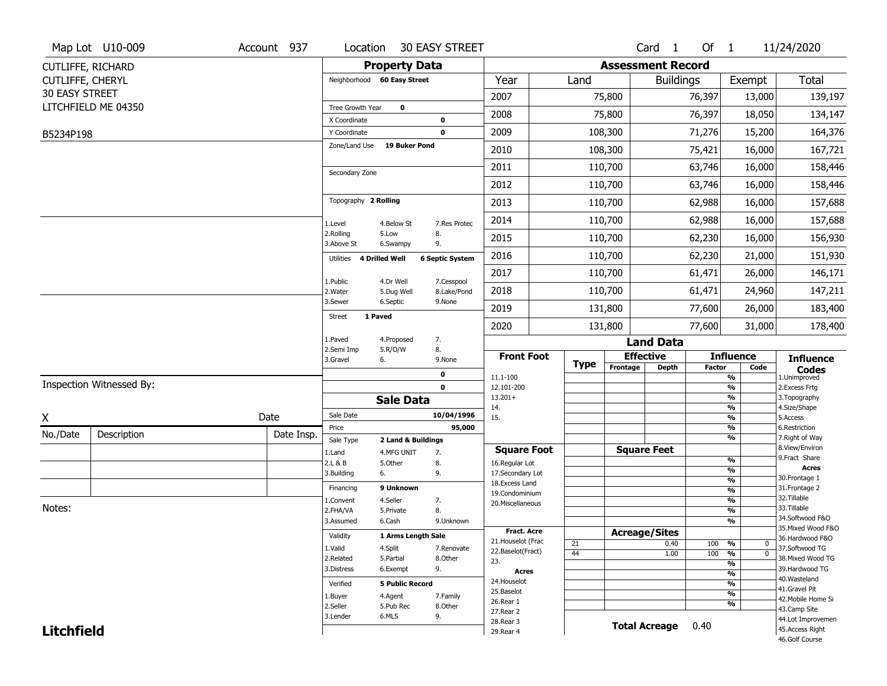|                       | Map Lot U10-009          | Account 937 | Location                    |                         | <b>30 EASY STREET</b>     |                                    |             |                          | Card <sub>1</sub> | Of $1$        |                                | 11/24/2020                          |
|-----------------------|--------------------------|-------------|-----------------------------|-------------------------|---------------------------|------------------------------------|-------------|--------------------------|-------------------|---------------|--------------------------------|-------------------------------------|
|                       | CUTLIFFE, RICHARD        |             |                             | <b>Property Data</b>    |                           |                                    |             | <b>Assessment Record</b> |                   |               |                                |                                     |
| CUTLIFFE, CHERYL      |                          |             | Neighborhood 60 Easy Street |                         |                           | Year                               | Land        |                          | <b>Buildings</b>  |               | Exempt                         | <b>Total</b>                        |
| <b>30 EASY STREET</b> |                          |             |                             |                         |                           | 2007                               |             | 75,800                   |                   | 76,397        | 13,000                         | 139,197                             |
|                       | LITCHFIELD ME 04350      |             | Tree Growth Year            | $\mathbf 0$             |                           |                                    |             |                          |                   |               |                                |                                     |
|                       |                          |             | X Coordinate                |                         | $\mathbf 0$               | 2008                               |             | 75,800                   |                   | 76,397        | 18,050                         | 134,147                             |
| B5234P198             |                          |             | Y Coordinate                |                         | $\mathbf 0$               | 2009                               |             | 108,300                  |                   | 71,276        | 15,200                         | 164,376                             |
|                       |                          |             | Zone/Land Use               | <b>19 Buker Pond</b>    |                           | 2010                               |             | 108,300                  |                   | 75,421        | 16,000                         | 167,721                             |
|                       |                          |             | Secondary Zone              |                         |                           | 2011                               |             | 110,700                  |                   | 63,746        | 16,000                         | 158,446                             |
|                       |                          |             |                             |                         |                           | 2012                               |             | 110,700                  |                   | 63,746        | 16,000                         | 158,446                             |
|                       |                          |             | Topography 2 Rolling        |                         |                           | 2013                               |             | 110,700                  |                   | 62,988        | 16,000                         | 157,688                             |
|                       |                          |             | 1.Level                     | 4.Below St              | 7.Res Protec              | 2014                               |             | 110,700                  |                   | 62,988        | 16,000                         | 157,688                             |
|                       |                          |             | 2.Rolling<br>3.Above St     | 5.Low<br>6.Swampy       | 8.<br>9.                  | 2015                               |             | 110,700                  |                   | 62,230        | 16,000                         | 156,930                             |
|                       |                          |             | 4 Drilled Well<br>Utilities |                         | <b>6 Septic System</b>    | 2016                               |             | 110,700                  |                   | 62,230        | 21,000                         | 151,930                             |
|                       |                          |             |                             |                         |                           | 2017                               |             | 110,700                  |                   | 61,471        | 26,000                         | 146,171                             |
|                       |                          |             | 1.Public<br>2. Water        | 4.Dr Well<br>5.Dug Well | 7.Cesspool<br>8.Lake/Pond | 2018                               |             | 110,700                  |                   | 61,471        | 24,960                         | 147,211                             |
|                       |                          |             | 3.Sewer                     | 6.Septic                | 9.None                    | 2019                               |             | 131,800                  |                   | 77,600        | 26,000                         | 183,400                             |
|                       |                          |             | 1 Paved<br><b>Street</b>    |                         |                           | 2020                               |             | 131,800                  |                   | 77,600        | 31,000                         | 178,400                             |
|                       |                          |             | 1.Paved                     | 4.Proposed              | 7.                        |                                    |             |                          | <b>Land Data</b>  |               |                                |                                     |
|                       |                          |             | 2.Semi Imp<br>3.Gravel      | 5.R/O/W<br>6.           | 8.<br>9.None              | <b>Front Foot</b>                  |             | <b>Effective</b>         |                   |               | <b>Influence</b>               | <b>Influence</b>                    |
|                       |                          |             |                             |                         | 0                         | 11.1-100                           | <b>Type</b> | Frontage                 | <b>Depth</b>      | <b>Factor</b> | Code<br>%                      | <b>Codes</b><br>1.Unimproved        |
|                       | Inspection Witnessed By: |             |                             |                         | $\mathbf 0$               | 12.101-200                         |             |                          |                   |               | $\frac{9}{6}$                  | 2.Excess Frtg                       |
|                       |                          |             |                             | <b>Sale Data</b>        |                           | $13.201+$                          |             |                          |                   |               | %                              | 3. Topography                       |
| X                     |                          | Date        | Sale Date                   |                         | 10/04/1996                | 14.<br>15.                         |             |                          |                   |               | %<br>%                         | 4.Size/Shape<br>5.Access            |
|                       |                          |             | Price                       |                         | 95,000                    |                                    |             |                          |                   |               | %                              | 6.Restriction                       |
| No./Date              | Description              | Date Insp.  | Sale Type                   | 2 Land & Buildings      |                           |                                    |             |                          |                   |               | %                              | 7. Right of Way<br>8.View/Environ   |
|                       |                          |             | 1.Land                      | 4.MFG UNIT              | 7.                        | <b>Square Foot</b>                 |             | <b>Square Feet</b>       |                   |               | $\frac{9}{6}$                  | 9.Fract Share                       |
|                       |                          |             | 2.L & B<br>3.Building       | 5.Other<br>6.           | 8.<br>9.                  | 16.Regular Lot<br>17.Secondary Lot |             |                          |                   |               | $\frac{9}{6}$                  | <b>Acres</b>                        |
|                       |                          |             |                             |                         |                           | 18.Excess Land                     |             |                          |                   |               | $\frac{9}{6}$                  | 30. Frontage 1                      |
|                       |                          |             | Financing                   | 9 Unknown               |                           | 19.Condominium                     |             |                          |                   |               | $\frac{9}{6}$                  | 31. Frontage 2<br>32.Tillable       |
| Notes:                |                          |             | 1.Convent<br>2.FHA/VA       | 4.Seller<br>5.Private   | 7.<br>8.                  | 20.Miscellaneous                   |             |                          |                   |               | $\frac{9}{6}$<br>$\frac{9}{6}$ | 33.Tillable                         |
|                       |                          |             | 3.Assumed                   | 6.Cash                  | 9.Unknown                 |                                    |             |                          |                   |               | $\frac{9}{6}$                  | 34.Softwood F&O                     |
|                       |                          |             |                             |                         |                           | <b>Fract. Acre</b>                 |             | <b>Acreage/Sites</b>     |                   |               |                                | 35. Mixed Wood F&O                  |
|                       |                          |             | Validity                    | 1 Arms Length Sale      |                           | 21. Houselot (Frac                 | 21          |                          | 0.40              | 100           | %<br>0                         | 36.Hardwood F&O                     |
|                       |                          |             | 1.Valid                     | 4.Split                 | 7.Renovate                | 22.Baselot(Fract)                  | 44          |                          | 1.00              | 100           | $\frac{9}{6}$<br>$\mathbf 0$   | 37.Softwood TG                      |
|                       |                          |             | 2.Related<br>3.Distress     | 5.Partial<br>6.Exempt   | 8.Other<br>9.             | 23.                                |             |                          |                   |               | $\frac{9}{6}$                  | 38. Mixed Wood TG<br>39.Hardwood TG |
|                       |                          |             |                             |                         |                           | Acres                              |             |                          |                   |               | $\frac{9}{6}$                  | 40. Wasteland                       |
|                       |                          |             | Verified                    | <b>5 Public Record</b>  |                           | 24. Houselot<br>25.Baselot         |             |                          |                   |               | $\frac{9}{6}$                  | 41.Gravel Pit                       |
|                       |                          |             | 1.Buyer                     | 4.Agent                 | 7.Family                  | 26.Rear 1                          |             |                          |                   |               | $\frac{9}{6}$<br>%             | 42. Mobile Home Si                  |
|                       |                          |             | 2.Seller                    | 5.Pub Rec               | 8.Other                   | 27.Rear 2                          |             |                          |                   |               |                                | 43.Camp Site                        |
|                       |                          |             | 3.Lender                    | 6.MLS                   | 9.                        |                                    |             |                          |                   |               |                                | 44.Lot Improvemen                   |
| <b>Litchfield</b>     |                          |             |                             |                         |                           | 28. Rear 3<br>29. Rear 4           |             | <b>Total Acreage</b>     |                   | 0.40          |                                | 45.Access Right                     |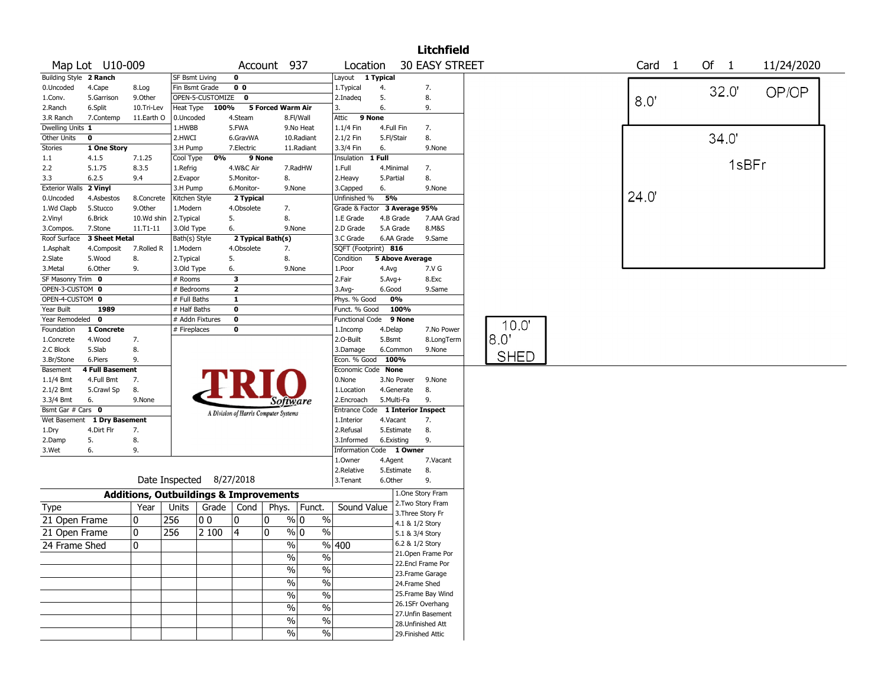|                                |                             |                                                   |                          |                  |                                       |                   |               |                                  |            |                 | <b>Litchfield</b>                    |             |       |   |       |       |            |  |
|--------------------------------|-----------------------------|---------------------------------------------------|--------------------------|------------------|---------------------------------------|-------------------|---------------|----------------------------------|------------|-----------------|--------------------------------------|-------------|-------|---|-------|-------|------------|--|
|                                | Map Lot U10-009             |                                                   |                          |                  |                                       | Account 937       |               | Location                         |            |                 | <b>30 EASY STREET</b>                |             | Card  | 1 | Of 1  |       | 11/24/2020 |  |
| Building Style 2 Ranch         |                             |                                                   | <b>SF Bsmt Living</b>    |                  | $\mathbf 0$                           |                   |               | Layout 1 Typical                 |            |                 |                                      |             |       |   |       |       |            |  |
| 0.Uncoded                      | 4.Cape                      | 8.Log                                             | Fin Bsmt Grade           |                  | 0 <sub>0</sub>                        |                   |               | 1.Typical                        | 4.         |                 | 7.                                   |             |       |   | 32.0' |       | OP/OP      |  |
| 1.Conv.                        | 5.Garrison                  | 9.Other                                           |                          | OPEN-5-CUSTOMIZE | $\bf{0}$                              |                   |               | 2.Inadeg                         | 5.         |                 | 8.                                   |             | 8.0   |   |       |       |            |  |
| 2.Ranch                        | 6.Split                     | 10.Tri-Lev                                        | Heat Type                | 100%             |                                       | 5 Forced Warm Air |               | 3.                               | 6.         |                 | 9.                                   |             |       |   |       |       |            |  |
| 3.R Ranch                      | 7.Contemp                   | 11.Earth O                                        | 0.Uncoded                |                  | 4.Steam                               |                   | 8.Fl/Wall     | Attic                            | 9 None     |                 |                                      |             |       |   |       |       |            |  |
| Dwelling Units 1               |                             |                                                   | 1.HWBB                   |                  | 5.FWA                                 |                   | 9.No Heat     | 1.1/4 Fin                        | 4.Full Fin |                 | 7.                                   |             |       |   |       |       |            |  |
| Other Units                    | $\mathbf 0$                 |                                                   | 2.HWCI                   |                  | 6.GravWA                              |                   | 10.Radiant    | 2.1/2 Fin                        | 5.Fl/Stair |                 | 8.                                   |             |       |   | 34.0' |       |            |  |
| <b>Stories</b>                 | 1 One Story                 |                                                   | 3.H Pump                 |                  | 7.Electric                            |                   | 11.Radiant    | 3.3/4 Fin                        | 6.         |                 | 9.None                               |             |       |   |       |       |            |  |
| 1.1                            | 4.1.5                       | 7.1.25                                            | Cool Type                | 0%               | 9 None                                |                   |               | Insulation                       | $T$ Full   |                 |                                      |             |       |   |       | 1sBFr |            |  |
| 2.2                            | 5.1.75                      | 8.3.5                                             | 1.Refrig                 |                  | 4.W&C Air                             |                   | 7.RadHW       | 1.Full                           | 4.Minimal  |                 | 7.                                   |             |       |   |       |       |            |  |
| 3.3                            | 6.2.5                       | 9.4                                               | 2.Evapor                 |                  | 5.Monitor-                            | 8.                |               | 2.Heavy                          | 5.Partial  |                 | 8.                                   |             |       |   |       |       |            |  |
| <b>Exterior Walls</b>          | 2 Vinyl                     |                                                   | 3.H Pump                 |                  | 6.Monitor-                            |                   | 9.None        | 3.Capped                         | 6.         |                 | 9.None                               |             |       |   |       |       |            |  |
| 0.Uncoded                      | 4.Asbestos                  | 8.Concrete                                        | Kitchen Style            |                  | 2 Typical                             |                   |               | Unfinished %                     | 5%         |                 |                                      |             | 24.0' |   |       |       |            |  |
| 1.Wd Clapb                     | 5.Stucco                    | 9.Other                                           | 1.Modern                 |                  | 4.Obsolete                            | 7.                |               | Grade & Factor 3 Average 95%     |            |                 |                                      |             |       |   |       |       |            |  |
| 2.Vinyl                        | 6.Brick                     | 10.Wd shin                                        | 2.Typical                |                  | 5.                                    | 8.                |               | 1.E Grade                        |            | 4.B Grade       | 7.AAA Grad                           |             |       |   |       |       |            |  |
| 3.Compos.                      | 7.Stone                     | $11. T1 - 11$                                     | 3.Old Type               |                  | 6.                                    |                   | 9.None        | 2.D Grade                        |            | 5.A Grade       | 8.M&S                                |             |       |   |       |       |            |  |
| Roof Surface                   | 3 Sheet Metal               |                                                   | Bath(s) Style            |                  | 2 Typical Bath(s)                     |                   |               | 3.C Grade                        |            | 6.AA Grade      | 9.Same                               |             |       |   |       |       |            |  |
| 1.Asphalt                      | 4.Composit                  | 7.Rolled R                                        | 1.Modern                 |                  | 4.Obsolete                            | 7.                |               | SQFT (Footprint) 816             |            |                 |                                      |             |       |   |       |       |            |  |
| 2.Slate                        | 5.Wood                      | 8.                                                | 2. Typical               |                  | 5.                                    | 8.                |               | Condition                        |            | 5 Above Average |                                      |             |       |   |       |       |            |  |
| 3.Metal                        | 6.Other                     | 9.                                                | 3.Old Type               |                  | 6.                                    |                   | 9.None        | 1.Poor                           | 4.Avg      |                 | 7.V G                                |             |       |   |       |       |            |  |
| SF Masonry Trim 0              |                             |                                                   | # Rooms                  |                  | 3                                     |                   |               | 2.Fair                           | $5.Avg+$   |                 | 8.Exc                                |             |       |   |       |       |            |  |
| OPEN-3-CUSTOM 0                |                             |                                                   | # Bedrooms               |                  | $\overline{2}$                        |                   |               | 3.Avg-                           | 6.Good     |                 | 9.Same                               |             |       |   |       |       |            |  |
| OPEN-4-CUSTOM 0                |                             |                                                   | # Full Baths             |                  | $\mathbf{1}$                          |                   |               | Phys. % Good                     |            | 0%              |                                      |             |       |   |       |       |            |  |
| Year Built                     | 1989                        |                                                   | # Half Baths             |                  | $\mathbf 0$                           |                   |               | Funct. % Good                    |            | 100%            |                                      |             |       |   |       |       |            |  |
| Year Remodeled 0               |                             |                                                   | # Addn Fixtures          |                  | $\pmb{0}$                             |                   |               | <b>Functional Code</b>           |            | 9 None          |                                      | 10.0'       |       |   |       |       |            |  |
| Foundation                     | 1 Concrete                  |                                                   | # Fireplaces             |                  | 0                                     |                   |               | 1.Incomp                         | 4.Delap    |                 | 7.No Power                           |             |       |   |       |       |            |  |
| 1.Concrete                     | 4.Wood                      | 7.                                                |                          |                  |                                       |                   |               | 2.O-Built                        | 5.Bsmt     |                 | 8.LongTerm                           | 8.0"        |       |   |       |       |            |  |
| 2.C Block                      | 5.Slab                      | 8.                                                |                          |                  |                                       |                   |               | 3.Damage                         |            | 6.Common        | 9.None                               | <b>SHED</b> |       |   |       |       |            |  |
| 3.Br/Stone                     | 6.Piers                     | 9.                                                |                          |                  |                                       |                   |               | Econ. % Good 100%                |            |                 |                                      |             |       |   |       |       |            |  |
| Basement                       | <b>4 Full Basement</b>      |                                                   |                          |                  |                                       |                   |               | Economic Code None               |            |                 |                                      |             |       |   |       |       |            |  |
| 1.1/4 Bmt                      | 4.Full Bmt                  | 7.                                                |                          |                  |                                       |                   |               | 0.None                           |            | 3.No Power      | 9.None                               |             |       |   |       |       |            |  |
| 2.1/2 Bmt                      | 5.Crawl Sp                  | 8.                                                |                          |                  |                                       |                   |               | 1.Location                       |            | 4.Generate      | 8.                                   |             |       |   |       |       |            |  |
| 3.3/4 Bmt<br>Bsmt Gar # Cars 0 | 6.                          | 9.None                                            |                          |                  |                                       |                   | Software      | 2.Encroach                       |            | 5.Multi-Fa      | 9.                                   |             |       |   |       |       |            |  |
|                                | Wet Basement 1 Dry Basement |                                                   |                          |                  | A Division of Harris Computer Systems |                   |               | Entrance Code 1 Interior Inspect | 4.Vacant   |                 |                                      |             |       |   |       |       |            |  |
|                                | 4.Dirt Flr                  |                                                   |                          |                  |                                       |                   |               | 1.Interior<br>2.Refusal          |            | 5.Estimate      | 7.<br>8.                             |             |       |   |       |       |            |  |
| 1.Dry<br>2.Damp                | 5.                          | 7.<br>8.                                          |                          |                  |                                       |                   |               | 3.Informed                       | 6.Existing |                 | 9.                                   |             |       |   |       |       |            |  |
| 3.Wet                          | 6.                          | 9.                                                |                          |                  |                                       |                   |               | Information Code 1 Owner         |            |                 |                                      |             |       |   |       |       |            |  |
|                                |                             |                                                   |                          |                  |                                       |                   |               | 1.Owner                          | 4.Agent    |                 | 7.Vacant                             |             |       |   |       |       |            |  |
|                                |                             |                                                   |                          |                  |                                       |                   |               | 2.Relative                       |            | 5.Estimate      | 8.                                   |             |       |   |       |       |            |  |
|                                |                             |                                                   | Date Inspected 8/27/2018 |                  |                                       |                   |               | 3.Tenant                         | 6.Other    |                 | 9.                                   |             |       |   |       |       |            |  |
|                                |                             | <b>Additions, Outbuildings &amp; Improvements</b> |                          |                  |                                       |                   |               |                                  |            |                 | 1.One Story Fram                     |             |       |   |       |       |            |  |
| Type                           |                             | Year                                              | Units                    |                  | Grade   Cond                          | Phys.             | Funct.        | Sound Value                      |            |                 | 2. Two Story Fram                    |             |       |   |       |       |            |  |
| 21 Open Frame                  |                             | 10                                                | 256                      | 00               | 0                                     | 0                 | % 0           | $\%$                             |            |                 | 3. Three Story Fr<br>4.1 & 1/2 Story |             |       |   |       |       |            |  |
| 21 Open Frame                  |                             | 0                                                 | 256                      | 2 100            | $\overline{4}$                        | 0                 | % 0           | $\%$                             |            | 5.1 & 3/4 Story |                                      |             |       |   |       |       |            |  |
| 24 Frame Shed                  |                             | l0                                                |                          |                  |                                       |                   | $\frac{9}{0}$ | $\sqrt{96}$ 400                  |            |                 | 6.2 & 1/2 Story                      |             |       |   |       |       |            |  |
|                                |                             |                                                   |                          |                  |                                       |                   |               |                                  |            |                 | 21. Open Frame Por                   |             |       |   |       |       |            |  |
|                                |                             |                                                   |                          |                  |                                       |                   | $\%$          | $\frac{0}{0}$                    |            |                 | 22.Encl Frame Por                    |             |       |   |       |       |            |  |
|                                |                             |                                                   |                          |                  |                                       |                   | %             | $\%$                             |            |                 | 23. Frame Garage                     |             |       |   |       |       |            |  |
|                                |                             |                                                   |                          |                  |                                       |                   | $\%$          | $\%$                             |            |                 | 24.Frame Shed                        |             |       |   |       |       |            |  |
|                                |                             |                                                   |                          |                  |                                       |                   | %             | $\%$                             |            |                 | 25. Frame Bay Wind                   |             |       |   |       |       |            |  |
|                                |                             |                                                   |                          |                  |                                       |                   |               |                                  |            |                 | 26.1SFr Overhang                     |             |       |   |       |       |            |  |
|                                |                             |                                                   |                          |                  |                                       |                   | $\%$          | $\overline{\frac{0}{0}}$         |            |                 | 27.Unfin Basement                    |             |       |   |       |       |            |  |
|                                |                             |                                                   |                          |                  |                                       |                   | $\%$          | $\%$                             |            |                 | 28. Unfinished Att                   |             |       |   |       |       |            |  |
|                                |                             |                                                   |                          |                  |                                       |                   | $\%$          | $\%$                             |            |                 | 29. Finished Attic                   |             |       |   |       |       |            |  |
|                                |                             |                                                   |                          |                  |                                       |                   |               |                                  |            |                 |                                      |             |       |   |       |       |            |  |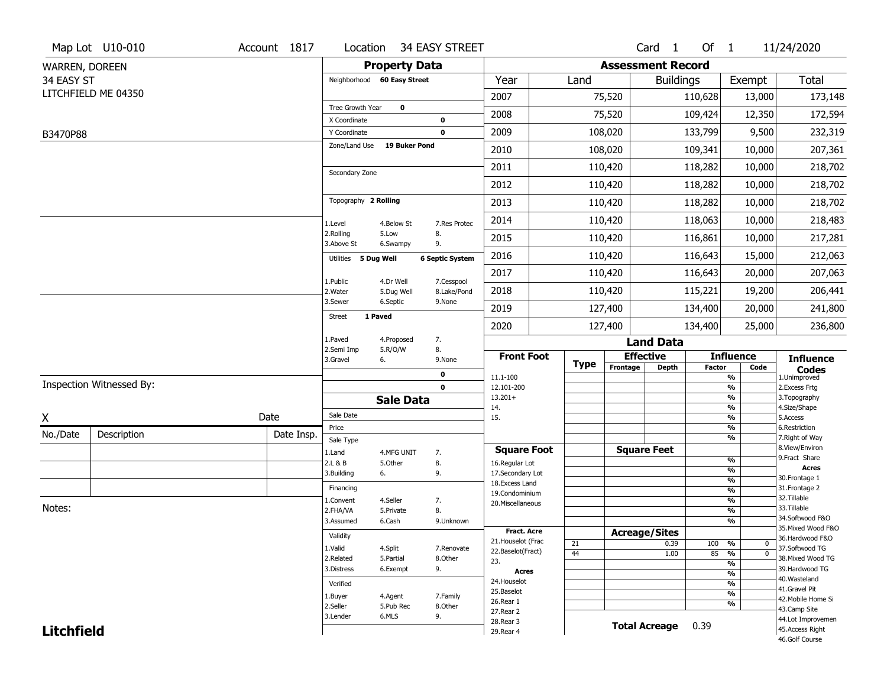|                   | Map Lot U10-010          | Account 1817 | Location                     |                         | 34 EASY STREET            |                                  |             |                          | Card 1               | Of $1$        |                               | 11/24/2020                       |
|-------------------|--------------------------|--------------|------------------------------|-------------------------|---------------------------|----------------------------------|-------------|--------------------------|----------------------|---------------|-------------------------------|----------------------------------|
| WARREN, DOREEN    |                          |              |                              | <b>Property Data</b>    |                           |                                  |             | <b>Assessment Record</b> |                      |               |                               |                                  |
| 34 EASY ST        |                          |              | Neighborhood 60 Easy Street  |                         |                           | Year                             | Land        |                          | <b>Buildings</b>     |               | Exempt                        | Total                            |
|                   | LITCHFIELD ME 04350      |              |                              |                         |                           | 2007                             |             | 75,520                   |                      | 110,628       | 13,000                        | 173,148                          |
|                   |                          |              | Tree Growth Year             | $\mathbf 0$             |                           | 2008                             |             | 75,520                   |                      | 109,424       | 12,350                        | 172,594                          |
|                   |                          |              | X Coordinate<br>Y Coordinate |                         | 0<br>$\mathbf 0$          | 2009                             |             | 108,020                  |                      | 133,799       | 9,500                         | 232,319                          |
| B3470P88          |                          |              | Zone/Land Use                | 19 Buker Pond           |                           |                                  |             |                          |                      |               |                               |                                  |
|                   |                          |              |                              |                         |                           | 2010                             |             | 108,020                  |                      | 109,341       | 10,000                        | 207,361                          |
|                   |                          |              | Secondary Zone               |                         |                           | 2011                             |             | 110,420                  |                      | 118,282       | 10,000                        | 218,702                          |
|                   |                          |              |                              |                         |                           | 2012                             |             | 110,420                  |                      | 118,282       | 10,000                        | 218,702                          |
|                   |                          |              | Topography 2 Rolling         |                         |                           | 2013                             |             | 110,420                  |                      | 118,282       | 10,000                        | 218,702                          |
|                   |                          |              | 1.Level                      | 4.Below St              | 7.Res Protec              | 2014                             |             | 110,420                  |                      | 118,063       | 10,000                        | 218,483                          |
|                   |                          |              | 2.Rolling<br>3.Above St      | 5.Low<br>6.Swampy       | 8.<br>9.                  | 2015                             |             | 110,420                  |                      | 116,861       | 10,000                        | 217,281                          |
|                   |                          |              | 5 Dug Well<br>Utilities      |                         | <b>6 Septic System</b>    | 2016                             |             | 110,420                  |                      | 116,643       | 15,000                        | 212,063                          |
|                   |                          |              |                              |                         |                           | 2017                             |             | 110,420                  |                      | 116,643       | 20,000                        | 207,063                          |
|                   |                          |              | 1.Public<br>2. Water         | 4.Dr Well<br>5.Dug Well | 7.Cesspool<br>8.Lake/Pond | 2018                             |             | 110,420                  |                      | 115,221       | 19,200                        | 206,441                          |
|                   |                          |              | 3.Sewer                      | 6.Septic                | 9.None                    | 2019                             |             | 127,400                  |                      | 134,400       | 20,000                        | 241,800                          |
|                   |                          |              | 1 Paved<br><b>Street</b>     |                         |                           | 2020                             |             | 127,400                  |                      | 134,400       | 25,000                        | 236,800                          |
|                   |                          |              | 1.Paved                      | 4.Proposed              | 7.                        |                                  |             |                          | <b>Land Data</b>     |               |                               |                                  |
|                   |                          |              | 2.Semi Imp<br>3.Gravel<br>6. | 5.R/O/W                 | 8.<br>9.None              | <b>Front Foot</b>                |             | <b>Effective</b>         |                      |               | <b>Influence</b>              | <b>Influence</b>                 |
|                   |                          |              |                              |                         | 0                         | 11.1-100                         | <b>Type</b> | Frontage                 | <b>Depth</b>         | <b>Factor</b> | Code<br>$\frac{9}{6}$         | <b>Codes</b><br>1.Unimproved     |
|                   | Inspection Witnessed By: |              |                              |                         | $\mathbf{0}$              | 12.101-200                       |             |                          |                      |               | $\frac{9}{6}$                 | 2. Excess Frtg                   |
|                   |                          |              |                              | <b>Sale Data</b>        |                           | $13.201+$<br>14.                 |             |                          |                      |               | %<br>$\frac{9}{6}$            | 3. Topography<br>4.Size/Shape    |
| X                 |                          | Date         | Sale Date                    |                         |                           | 15.                              |             |                          |                      |               | $\frac{9}{6}$                 | 5.Access                         |
| No./Date          | Description              | Date Insp.   | Price                        |                         |                           |                                  |             |                          |                      |               | %<br>%                        | 6.Restriction<br>7. Right of Way |
|                   |                          |              | Sale Type<br>1.Land          | 4.MFG UNIT              | 7.                        | <b>Square Foot</b>               |             | <b>Square Feet</b>       |                      |               |                               | 8.View/Environ                   |
|                   |                          |              | 2.L & B                      | 5.Other                 | 8.                        | 16.Regular Lot                   |             |                          |                      |               | $\frac{9}{6}$                 | 9.Fract Share<br><b>Acres</b>    |
|                   |                          |              | 3.Building<br>6.             |                         | 9.                        | 17.Secondary Lot                 |             |                          |                      |               | %<br>$\frac{9}{6}$            | 30. Frontage 1                   |
|                   |                          |              | Financing                    |                         |                           | 18.Excess Land<br>19.Condominium |             |                          |                      |               | $\frac{9}{6}$                 | 31. Frontage 2                   |
|                   |                          |              | 1.Convent                    | 4.Seller                | 7.                        | 20.Miscellaneous                 |             |                          |                      |               | $\frac{9}{6}$                 | 32.Tillable                      |
| Notes:            |                          |              | 2.FHA/VA                     | 5.Private               | 8.                        |                                  |             |                          |                      |               | $\overline{\frac{9}{6}}$      | 33.Tillable<br>34.Softwood F&O   |
|                   |                          |              | 3.Assumed                    | 6.Cash                  | 9.Unknown                 | <b>Fract. Acre</b>               |             |                          |                      |               | $\frac{9}{6}$                 | 35. Mixed Wood F&O               |
|                   |                          |              | Validity                     |                         |                           | 21. Houselot (Frac               |             | <b>Acreage/Sites</b>     |                      |               |                               | 36.Hardwood F&O                  |
|                   |                          |              | 1.Valid                      | 4.Split                 | 7.Renovate                | 22.Baselot(Fract)                | 21<br>44    |                          | 0.39<br>1.00         | 100<br>85     | %<br>0<br>$\overline{0}$<br>% | 37.Softwood TG                   |
|                   |                          |              | 2.Related                    | 5.Partial               | 8.Other                   | 23.                              |             |                          |                      |               | $\frac{9}{6}$                 | 38. Mixed Wood TG                |
|                   |                          |              | 3.Distress                   | 6.Exempt                | 9.                        | Acres                            |             |                          |                      |               | $\overline{\frac{9}{6}}$      | 39.Hardwood TG                   |
|                   |                          |              | Verified                     |                         |                           | 24. Houselot                     |             |                          |                      |               | $\frac{9}{6}$                 | 40. Wasteland<br>41.Gravel Pit   |
|                   |                          |              | 1.Buyer                      | 4.Agent                 | 7.Family                  | 25.Baselot<br>26.Rear 1          |             |                          |                      |               | $\frac{9}{6}$                 | 42. Mobile Home Si               |
|                   |                          |              | 2.Seller                     | 5.Pub Rec               | 8.Other                   | 27. Rear 2                       |             |                          |                      |               | $\frac{9}{6}$                 | 43.Camp Site                     |
|                   |                          |              | 6.MLS<br>3.Lender            |                         | 9.                        |                                  |             |                          |                      |               |                               | 44.Lot Improvemen                |
| <b>Litchfield</b> |                          |              |                              |                         |                           | 28. Rear 3<br>29. Rear 4         |             |                          | <b>Total Acreage</b> | 0.39          |                               | 45.Access Right                  |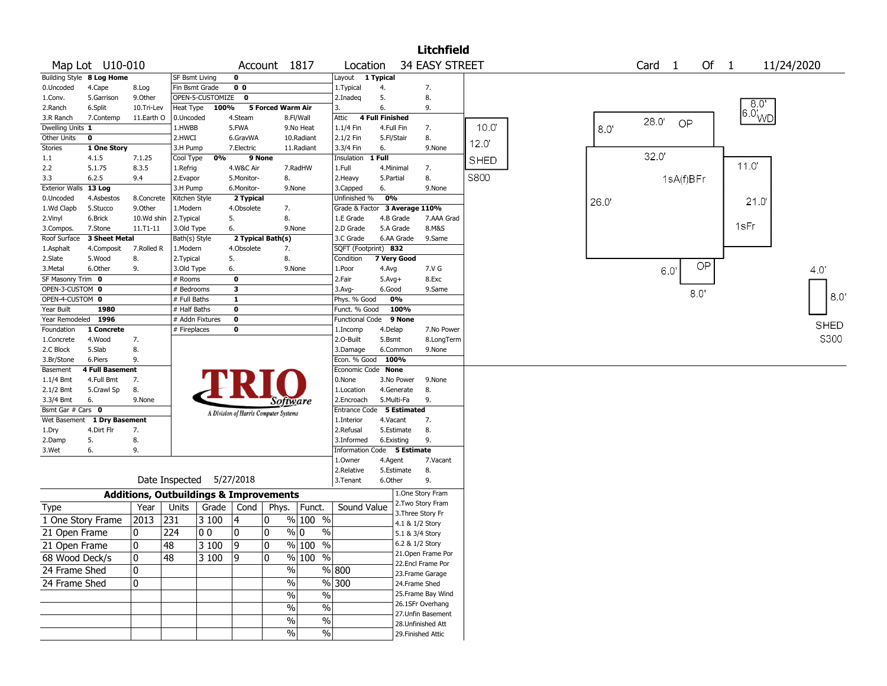|                       |                           |            |                                                   |                                       |        |                        |                         |                        |                    | <b>Litchfield</b>     |             |       |                   |           |        |      |                   |               |
|-----------------------|---------------------------|------------|---------------------------------------------------|---------------------------------------|--------|------------------------|-------------------------|------------------------|--------------------|-----------------------|-------------|-------|-------------------|-----------|--------|------|-------------------|---------------|
|                       | Map Lot U10-010           |            |                                                   |                                       |        | Account 1817           | Location                |                        |                    | <b>34 EASY STREET</b> |             |       | Card <sub>1</sub> |           | Of $1$ |      | 11/24/2020        |               |
|                       | Building Style 8 Log Home |            | SF Bsmt Living                                    | 0                                     |        |                        | Layout                  | 1 Typical              |                    |                       |             |       |                   |           |        |      |                   |               |
| 0.Uncoded             | 4.Cape                    | 8.Log      | Fin Bsmt Grade                                    | 0 <sub>0</sub>                        |        |                        | 1. Typical              | 4.                     |                    | 7.                    |             |       |                   |           |        |      |                   |               |
| 1.Conv.               | 5.Garrison                | 9.0ther    | OPEN-5-CUSTOMIZE                                  | $\mathbf 0$                           |        |                        | 2.Inadeg                | 5.                     |                    | 8.                    |             |       |                   |           |        |      |                   |               |
| 2.Ranch               | 6.Split                   | 10.Tri-Lev | Heat Type                                         | 100%                                  |        | 5 Forced Warm Air      | 3.                      | 6.                     |                    | 9.                    |             |       |                   |           |        |      | $6.0^{8.0'}_{WD}$ |               |
| 3.R Ranch             | 7.Contemp                 | 11.Earth O | 0.Uncoded                                         | 4.Steam                               |        | 8.Fl/Wall              | Attic                   | <b>4 Full Finished</b> |                    |                       |             |       | 28.0'             | OP        |        |      |                   |               |
| Dwelling Units 1      |                           |            | 1.HWBB                                            | 5.FWA                                 |        | 9.No Heat              | 1.1/4 Fin               |                        | 4.Full Fin         | 7.                    | 10.0        | 8.0   |                   |           |        |      |                   |               |
| Other Units           | 0                         |            | 2.HWCI                                            | 6.GravWA                              |        | 10.Radiant             | 2.1/2 Fin               |                        | 5.Fl/Stair         | 8.                    | 12.0        |       |                   |           |        |      |                   |               |
| Stories               | 1 One Story               |            | 3.H Pump                                          | 7.Electric                            |        | 11.Radiant             | 3.3/4 Fin               | 6.                     |                    | 9.None                |             |       |                   |           |        |      |                   |               |
| 1.1                   | 4.1.5                     | 7.1.25     | 0%<br>Cool Type                                   |                                       | 9 None |                        | Insulation              | $1$ Full               |                    |                       | <b>SHED</b> |       | 32.0'             |           |        |      |                   |               |
| 2.2                   | 5.1.75                    | 8.3.5      | 1.Refrig                                          | 4.W&C Air                             |        | 7.RadHW                | 1.Full                  |                        | 4.Minimal          | 7.                    |             |       |                   |           |        | 110  |                   |               |
| 3.3                   | 6.2.5                     | 9.4        | 2.Evapor                                          | 5.Monitor-                            |        | 8.                     | 2.Heavy                 | 5.Partial              |                    | 8.                    | <b>S800</b> |       |                   | 1sA(f)BFr |        |      |                   |               |
| <b>Exterior Walls</b> | 13 Log                    |            | 3.H Pump                                          | 6.Monitor-                            |        | 9.None                 | 3.Capped                | 6.                     |                    | 9.None                |             |       |                   |           |        |      |                   |               |
| 0.Uncoded             | 4.Asbestos                | 8.Concrete | Kitchen Style                                     | 2 Typical                             |        |                        | Unfinished %            | 0%                     |                    |                       |             | 26.0' |                   |           |        | 21.0 |                   |               |
| 1.Wd Clapb            | 5.Stucco                  | 9.Other    | 1.Modern                                          | 4.Obsolete                            |        | 7.                     | Grade & Factor          |                        |                    | 3 Average 110%        |             |       |                   |           |        |      |                   |               |
| 2.Vinyl               | 6.Brick                   | 10.Wd shin | 2.Typical                                         | 5.                                    |        | 8.                     | 1.E Grade               |                        | 4.B Grade          | 7.AAA Grad            |             |       |                   |           |        |      |                   |               |
| 3.Compos.             | 7.Stone                   | 11.T1-11   | 3.Old Type                                        | 6.                                    |        | 9.None                 | 2.D Grade               |                        | 5.A Grade          | 8.M&S                 |             |       |                   |           |        | 1sFr |                   |               |
| Roof Surface          | 3 Sheet Metal             |            | Bath(s) Style                                     | 2 Typical Bath(s)                     |        |                        | 3.C Grade               |                        | 6.AA Grade         | 9.Same                |             |       |                   |           |        |      |                   |               |
| 1.Asphalt             | 4.Composit                | 7.Rolled R | 1.Modern                                          | 4.Obsolete                            |        | 7.                     | SQFT (Footprint) 832    |                        |                    |                       |             |       |                   |           |        |      |                   |               |
| 2.Slate               | 5.Wood                    | 8.         | 2.Typical                                         | 5.                                    |        | 8.                     | Condition               |                        | 7 Very Good        |                       |             |       |                   |           |        |      |                   |               |
| 3.Metal               | 6.Other                   | 9.         | 3.Old Type                                        | 6.                                    |        | 9.None                 | 1. <sub>Poor</sub>      | 4.Avg                  |                    | 7.V G                 |             |       |                   | 60'       | OP     |      |                   | 4.0           |
| SF Masonry Trim 0     |                           |            | # Rooms                                           | $\mathbf 0$                           |        |                        | 2.Fair                  | $5.$ Avg $+$           |                    | 8.Exc                 |             |       |                   |           |        |      |                   |               |
| OPEN-3-CUSTOM 0       |                           |            | # Bedrooms                                        | 3                                     |        |                        | $3.$ Avg-               | 6.Good                 |                    | 9.Same                |             |       |                   | 8.0'      |        |      |                   |               |
| OPEN-4-CUSTOM 0       |                           |            | # Full Baths                                      | 1                                     |        |                        | Phys. % Good            |                        | 0%                 |                       |             |       |                   |           |        |      |                   | $8.0^{\circ}$ |
| Year Built            | 1980                      |            | # Half Baths                                      | 0                                     |        |                        | Funct. % Good           |                        | 100%               |                       |             |       |                   |           |        |      |                   |               |
| Year Remodeled 1996   |                           |            | # Addn Fixtures                                   | $\mathbf 0$                           |        |                        | <b>Functional Code</b>  |                        | 9 None             |                       |             |       |                   |           |        |      |                   |               |
| Foundation            | 1 Concrete                |            | # Fireplaces                                      | 0                                     |        |                        | 1.Incomp                | 4.Delap                |                    | 7.No Power            |             |       |                   |           |        |      |                   | <b>SHED</b>   |
| 1.Concrete            | 4.Wood                    | 7.         |                                                   |                                       |        |                        | 2.0-Built               | 5.Bsmt                 |                    | 8.LongTerm            |             |       |                   |           |        |      |                   | <b>S300</b>   |
| 2.C Block             | 5.Slab                    | 8.         |                                                   |                                       |        |                        | 3.Damage                |                        | 6.Common           | 9.None                |             |       |                   |           |        |      |                   |               |
| 3.Br/Stone            | 6.Piers                   | 9.         |                                                   |                                       |        |                        | Econ. % Good 100%       |                        |                    |                       |             |       |                   |           |        |      |                   |               |
| Basement              | 4 Full Basement           |            |                                                   |                                       |        |                        | Economic Code None      |                        |                    |                       |             |       |                   |           |        |      |                   |               |
| $1.1/4$ Bmt           | 4.Full Bmt                | 7.         |                                                   |                                       |        |                        | 0.None                  |                        | 3.No Power         | 9.None                |             |       |                   |           |        |      |                   |               |
| $2.1/2$ Bmt           | 5.Crawl Sp                | 8.         |                                                   |                                       |        |                        | 1.Location              |                        | 4.Generate         | 8.                    |             |       |                   |           |        |      |                   |               |
| 3.3/4 Bmt             | 6.                        | 9.None     |                                                   |                                       |        | Software               | 2.Encroach              |                        | 5.Multi-Fa         | 9.                    |             |       |                   |           |        |      |                   |               |
| Bsmt Gar # Cars 0     |                           |            |                                                   | A Division of Harris Computer Systems |        |                        | <b>Entrance Code</b>    |                        | <b>5 Estimated</b> |                       |             |       |                   |           |        |      |                   |               |
| Wet Basement          | 1 Dry Basement            |            |                                                   |                                       |        |                        | 1.Interior              |                        | 4.Vacant           | 7.                    |             |       |                   |           |        |      |                   |               |
| 1.Dry                 | 4.Dirt Flr                | 7.         |                                                   |                                       |        |                        | 2.Refusal               |                        | 5.Estimate         | 8.                    |             |       |                   |           |        |      |                   |               |
| 2.Damp                | 5.                        | 8.         |                                                   |                                       |        |                        | 3.Informed              |                        | 6.Existing         | 9.                    |             |       |                   |           |        |      |                   |               |
| 3.Wet                 | 6.                        | 9.         |                                                   |                                       |        |                        | <b>Information Code</b> |                        | 5 Estimate         |                       |             |       |                   |           |        |      |                   |               |
|                       |                           |            |                                                   |                                       |        |                        | 1.Owner                 | 4.Agent                |                    | 7.Vacant              |             |       |                   |           |        |      |                   |               |
|                       |                           |            |                                                   |                                       |        |                        | 2.Relative              |                        | 5.Estimate         | 8.                    |             |       |                   |           |        |      |                   |               |
|                       |                           |            | Date Inspected                                    | 5/27/2018                             |        |                        | 3.Tenant                | 6.Other                |                    | 9.                    |             |       |                   |           |        |      |                   |               |
|                       |                           |            | <b>Additions, Outbuildings &amp; Improvements</b> |                                       |        |                        |                         |                        |                    | 1.One Story Fram      |             |       |                   |           |        |      |                   |               |
| Type                  |                           | Year       | Units<br>Grade                                    | Cond                                  | Phys.  | Funct.                 | Sound Value             |                        |                    | 2. Two Story Fram     |             |       |                   |           |        |      |                   |               |
| 1 One Story Frame     |                           | 2013       | 231<br>3 100                                      | 4                                     | 10     | $%100$ %               |                         |                        |                    | 3. Three Story Fr     |             |       |                   |           |        |      |                   |               |
|                       |                           |            |                                                   |                                       |        |                        |                         |                        |                    | 4.1 & 1/2 Story       |             |       |                   |           |        |      |                   |               |
| 21 Open Frame         |                           | 0          | 224<br>0 <sub>0</sub>                             | 10                                    | 10     | $\%$ 0<br>$\%$         |                         |                        |                    | 5.1 & 3/4 Story       |             |       |                   |           |        |      |                   |               |
| 21 Open Frame         |                           | $\pmb{0}$  | 48<br>3 100                                       | 9                                     | 0      | % 100<br>$\frac{1}{2}$ |                         |                        | 6.2 & 1/2 Story    |                       |             |       |                   |           |        |      |                   |               |
| 68 Wood Deck/s        |                           | 10         | 48<br>3 100                                       | 19                                    | 10     | % 100 %                |                         |                        |                    | 21. Open Frame Por    |             |       |                   |           |        |      |                   |               |
| 24 Frame Shed         |                           | 10         |                                                   |                                       |        | $\%$                   | % 800                   |                        |                    | 22.Encl Frame Por     |             |       |                   |           |        |      |                   |               |
|                       |                           |            |                                                   |                                       |        |                        | $\frac{8}{100}$ 300     |                        |                    | 23. Frame Garage      |             |       |                   |           |        |      |                   |               |
| 24 Frame Shed         |                           | 0          |                                                   |                                       |        | $\%$                   |                         |                        |                    | 24.Frame Shed         |             |       |                   |           |        |      |                   |               |
|                       |                           |            |                                                   |                                       |        | $\frac{0}{6}$<br>$\%$  |                         |                        |                    | 25. Frame Bay Wind    |             |       |                   |           |        |      |                   |               |
|                       |                           |            |                                                   |                                       |        | $\frac{1}{2}$<br>$\%$  |                         |                        |                    | 26.1SFr Overhang      |             |       |                   |           |        |      |                   |               |
|                       |                           |            |                                                   |                                       |        | $\%$<br>$\%$           |                         |                        |                    | 27.Unfin Basement     |             |       |                   |           |        |      |                   |               |
|                       |                           |            |                                                   |                                       |        |                        |                         |                        |                    | 28. Unfinished Att    |             |       |                   |           |        |      |                   |               |
|                       |                           |            |                                                   |                                       |        | $\frac{9}{6}$<br>%     |                         |                        |                    | 29. Finished Attic    |             |       |                   |           |        |      |                   |               |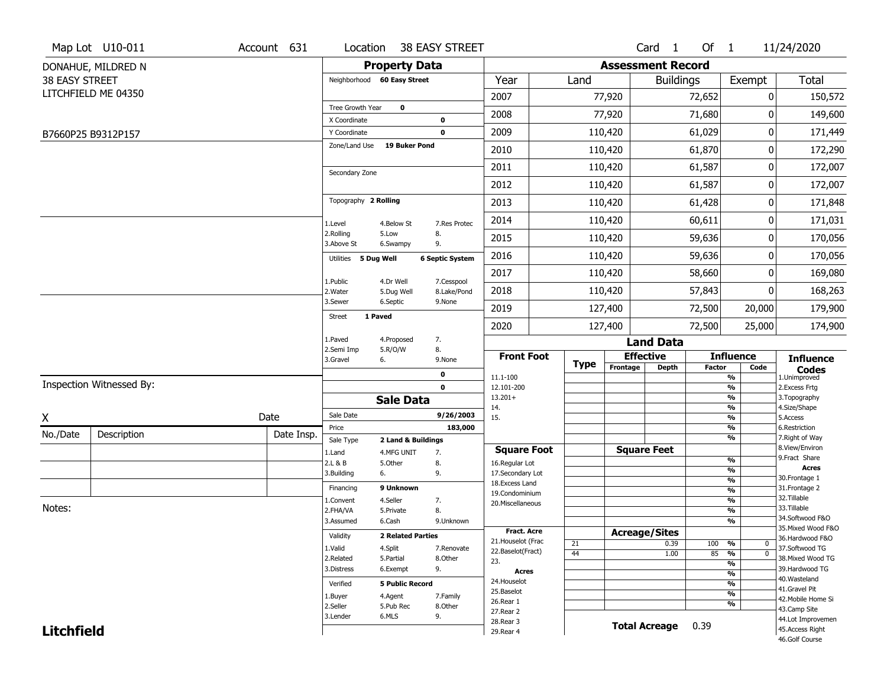|                       | Map Lot U10-011          | Account 631 | Location                    |                          | 38 EASY STREET         |                        |             |                          | Card <sub>1</sub>    | Of $1$        |                                 | 11/24/2020                        |
|-----------------------|--------------------------|-------------|-----------------------------|--------------------------|------------------------|------------------------|-------------|--------------------------|----------------------|---------------|---------------------------------|-----------------------------------|
|                       | DONAHUE, MILDRED N       |             |                             | <b>Property Data</b>     |                        |                        |             | <b>Assessment Record</b> |                      |               |                                 |                                   |
| <b>38 EASY STREET</b> |                          |             | Neighborhood 60 Easy Street |                          |                        | Year                   | Land        |                          | <b>Buildings</b>     |               | Exempt                          | <b>Total</b>                      |
|                       | LITCHFIELD ME 04350      |             |                             |                          |                        | 2007                   |             | 77,920                   |                      | 72,652        | 0                               | 150,572                           |
|                       |                          |             | Tree Growth Year            | $\mathbf 0$              |                        | 2008                   |             | 77,920                   |                      |               | 0                               | 149,600                           |
|                       |                          |             | X Coordinate                |                          | 0                      |                        |             |                          |                      | 71,680        |                                 |                                   |
|                       | B7660P25 B9312P157       |             | Y Coordinate                |                          | 0                      | 2009                   |             | 110,420                  |                      | 61,029        | 0                               | 171,449                           |
|                       |                          |             | Zone/Land Use               | 19 Buker Pond            |                        | 2010                   |             | 110,420                  |                      | 61,870        | 0                               | 172,290                           |
|                       |                          |             | Secondary Zone              |                          |                        | 2011                   |             | 110,420                  |                      | 61,587        | 0                               | 172,007                           |
|                       |                          |             |                             |                          |                        | 2012                   |             | 110,420                  |                      | 61,587        | 0                               | 172,007                           |
|                       |                          |             | Topography 2 Rolling        |                          |                        | 2013                   |             | 110,420                  |                      | 61,428        | 0                               | 171,848                           |
|                       |                          |             | 1.Level                     | 4.Below St               | 7.Res Protec           | 2014                   |             | 110,420                  |                      | 60,611        | 0                               | 171,031                           |
|                       |                          |             | 2.Rolling<br>3.Above St     | 5.Low<br>6.Swampy        | 8.<br>9.               | 2015                   |             | 110,420                  |                      | 59,636        | 0                               | 170,056                           |
|                       |                          |             | Utilities 5 Dug Well        |                          | <b>6 Septic System</b> | 2016                   |             | 110,420                  |                      | 59,636        | 0                               | 170,056                           |
|                       |                          |             | 1.Public                    | 4.Dr Well                | 7.Cesspool             | 2017                   |             | 110,420                  |                      | 58,660        | 0                               | 169,080                           |
|                       |                          |             | 2. Water                    | 5.Dug Well               | 8.Lake/Pond            | 2018                   |             | 110,420                  |                      | 57,843        | 0                               | 168,263                           |
|                       |                          |             | 3.Sewer                     | 6.Septic                 | 9.None                 | 2019                   |             | 127,400                  |                      | 72,500        | 20,000                          | 179,900                           |
|                       |                          |             | 1 Paved<br><b>Street</b>    |                          |                        | 2020                   |             | 127,400                  |                      | 72,500        | 25,000                          | 174,900                           |
|                       |                          |             | 1.Paved                     | 4.Proposed               | 7.                     |                        |             |                          | <b>Land Data</b>     |               |                                 |                                   |
|                       |                          |             | 2.Semi Imp<br>3.Gravel      | 5.R/O/W<br>6.            | 8.<br>9.None           | <b>Front Foot</b>      | <b>Type</b> |                          | <b>Effective</b>     |               | <b>Influence</b>                | <b>Influence</b>                  |
|                       |                          |             |                             |                          | 0                      | 11.1-100               |             | Frontage                 | <b>Depth</b>         | <b>Factor</b> | Code<br>%                       | <b>Codes</b><br>1.Unimproved      |
|                       | Inspection Witnessed By: |             |                             |                          | $\mathbf 0$            | 12.101-200             |             |                          |                      |               | $\overline{\frac{9}{6}}$        | 2. Excess Frtg                    |
|                       |                          |             |                             | <b>Sale Data</b>         |                        | $13.201+$<br>14.       |             |                          |                      |               | %<br>%                          | 3. Topography<br>4.Size/Shape     |
| X                     |                          | Date        | Sale Date                   |                          | 9/26/2003              | 15.                    |             |                          |                      |               | %                               | 5.Access                          |
| No./Date              | Description              | Date Insp.  | Price                       |                          | 183,000                |                        |             |                          |                      |               | %                               | 6.Restriction                     |
|                       |                          |             | Sale Type                   | 2 Land & Buildings       |                        | <b>Square Foot</b>     |             |                          | <b>Square Feet</b>   |               | %                               | 7. Right of Way<br>8.View/Environ |
|                       |                          |             | 1.Land<br>2.L & B           | 4.MFG UNIT<br>5.Other    | 7.<br>8.               | 16.Regular Lot         |             |                          |                      |               | $\frac{9}{6}$                   | 9. Fract Share                    |
|                       |                          |             | 3.Building                  | 6.                       | 9.                     | 17.Secondary Lot       |             |                          |                      |               | $\overline{\frac{9}{6}}$        | <b>Acres</b>                      |
|                       |                          |             | Financing                   | 9 Unknown                |                        | 18. Excess Land        |             |                          |                      |               | $\frac{9}{6}$                   | 30.Frontage 1<br>31. Frontage 2   |
|                       |                          |             | 1.Convent                   | 4.Seller                 | 7.                     | 19.Condominium         |             |                          |                      |               | $\frac{9}{6}$<br>$\frac{9}{6}$  | 32.Tillable                       |
| Notes:                |                          |             | 2.FHA/VA                    | 5.Private                | 8.                     | 20.Miscellaneous       |             |                          |                      |               | $\overline{\frac{9}{6}}$        | 33.Tillable                       |
|                       |                          |             | 3.Assumed                   | 6.Cash                   | 9.Unknown              |                        |             |                          |                      |               | %                               | 34.Softwood F&O                   |
|                       |                          |             |                             |                          |                        | Fract. Acre            |             |                          | <b>Acreage/Sites</b> |               |                                 | 35. Mixed Wood F&O                |
|                       |                          |             | Validity                    | <b>2 Related Parties</b> |                        | 21. Houselot (Frac     | 21          |                          | 0.39                 | 100           | %<br>0                          | 36.Hardwood F&O                   |
|                       |                          |             | 1.Valid                     | 4.Split                  | 7.Renovate             | 22.Baselot(Fract)      | 44          |                          | 1.00                 | 85            | $\overline{0}$<br>$\frac{9}{6}$ | 37.Softwood TG                    |
|                       |                          |             | 2.Related                   | 5.Partial                | 8.Other                | 23.                    |             |                          |                      |               | $\frac{9}{6}$                   | 38. Mixed Wood TG                 |
|                       |                          |             | 3.Distress                  | 6.Exempt                 | 9.                     | <b>Acres</b>           |             |                          |                      |               | $\frac{9}{6}$                   | 39.Hardwood TG<br>40. Wasteland   |
|                       |                          |             | Verified                    | <b>5 Public Record</b>   |                        | 24. Houselot           |             |                          |                      |               | %                               | 41.Gravel Pit                     |
|                       |                          |             | 1.Buyer                     | 4.Agent                  | 7.Family               | 25.Baselot             |             |                          |                      |               | $\frac{9}{6}$                   | 42. Mobile Home Si                |
|                       |                          |             | 2.Seller                    | 5.Pub Rec                | 8.Other                | 26.Rear 1              |             |                          |                      |               | %                               | 43.Camp Site                      |
|                       |                          |             | 3.Lender                    | 6.MLS                    | 9.                     | 27.Rear 2<br>28.Rear 3 |             |                          |                      |               |                                 | 44.Lot Improvemen                 |
| <b>Litchfield</b>     |                          |             |                             |                          |                        | 29. Rear 4             |             |                          | <b>Total Acreage</b> | 0.39          |                                 | 45.Access Right                   |
|                       |                          |             |                             |                          |                        |                        |             |                          |                      |               |                                 | 46.Golf Course                    |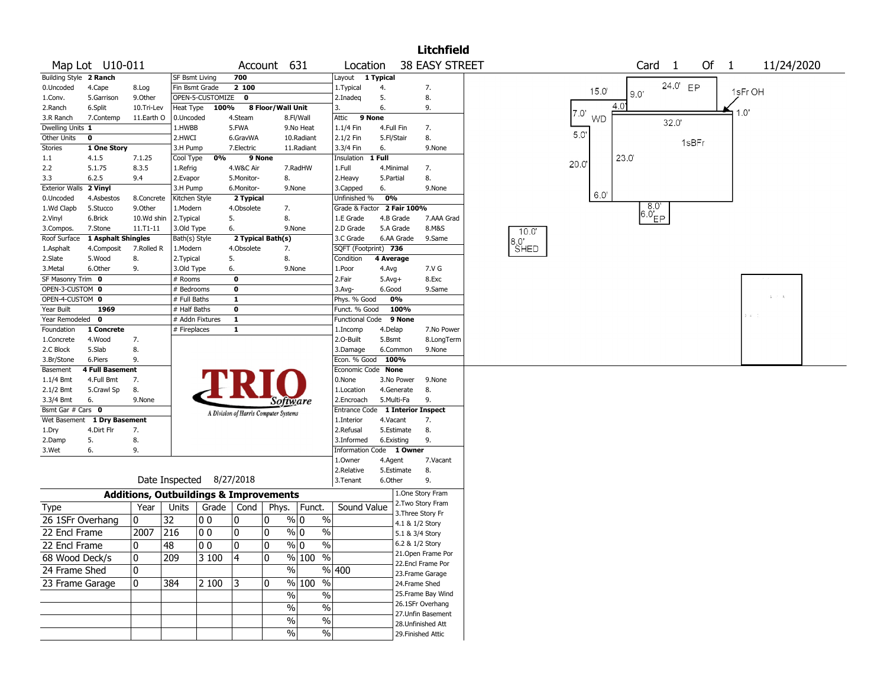|                         |                             |                                                   |                           |                    |                         |                                       |                                |                            |                        |                                        | <b>Litchfield</b> |              |                   |       |             |          |                    |             |            |
|-------------------------|-----------------------------|---------------------------------------------------|---------------------------|--------------------|-------------------------|---------------------------------------|--------------------------------|----------------------------|------------------------|----------------------------------------|-------------------|--------------|-------------------|-------|-------------|----------|--------------------|-------------|------------|
|                         | Map Lot U10-011             |                                                   |                           |                    |                         | Account                               | 631                            | Location                   |                        | <b>38 EASY STREET</b>                  |                   |              |                   |       | Card        | -1       | Of<br>$\mathbf{1}$ |             | 11/24/2020 |
| Building Style 2 Ranch  |                             |                                                   | <b>SF Bsmt Living</b>     |                    | 700                     |                                       |                                | Layout 1 Typical           |                        |                                        |                   |              |                   |       |             |          |                    |             |            |
| 0.Uncoded               | 4.Cape                      | 8.Log                                             | Fin Bsmt Grade            |                    | 2 100                   |                                       |                                | 1. Typical                 | 4.                     | 7.                                     |                   |              | 15.0'             |       |             | 24.0' EP |                    | 1sFr OH     |            |
| 1.Conv.                 | 5.Garrison                  | 9.Other                                           |                           | OPEN-5-CUSTOMIZE 0 |                         |                                       |                                | 2.Inadeg                   | 5.                     | 8.                                     |                   |              |                   | 9.0'  |             |          |                    |             |            |
| 2.Ranch                 | 6.Split                     | 10.Tri-Lev                                        | Heat Type                 | 100%               |                         | 8 Floor/Wall Unit                     |                                |                            | 6.                     | 9.                                     |                   |              | 7.0"              | 4.0   |             |          |                    | 1.0"        |            |
| 3.R Ranch               | 7.Contemp                   | 11.Earth O                                        | 0.Uncoded                 |                    | 4.Steam                 |                                       | 8.Fl/Wall                      | Attic                      | 9 None                 |                                        |                   |              | <b>WD</b>         |       | 32.0        |          |                    |             |            |
| Dwelling Units 1        |                             |                                                   | 1.HWBB                    |                    | 5.FWA                   |                                       | 9.No Heat                      | 1.1/4 Fin                  | 4.Full Fin             | 7.                                     |                   |              | 5.0'              |       |             |          |                    |             |            |
| Other Units             | $\mathbf 0$                 |                                                   | 2.HWCI                    |                    | 6.GravWA                |                                       | 10.Radiant                     | 2.1/2 Fin                  | 5.Fl/Stair             | 8.                                     |                   |              |                   |       |             | 1sBFr    |                    |             |            |
| <b>Stories</b>          | 1 One Story                 |                                                   | 3.H Pump                  |                    | 7.Electric              |                                       | 11.Radiant                     | 3.3/4 Fin                  | 6.                     |                                        | 9.None            |              |                   |       |             |          |                    |             |            |
| 1.1                     | 4.1.5                       | 7.1.25                                            | Cool Type                 | 0%                 |                         | 9 None                                |                                | Insulation                 | 1 Full                 |                                        |                   |              | 20.0 <sup>°</sup> | 23.0' |             |          |                    |             |            |
| 2.2                     | 5.1.75                      | 8.3.5                                             | 1.Refrig                  |                    | 4.W&C Air               |                                       | 7.RadHW                        | 1.Full                     | 4.Minimal              | 7.                                     |                   |              |                   |       |             |          |                    |             |            |
| 3.3                     | 6.2.5                       | 9.4                                               | 2.Evapor                  |                    | 5.Monitor-              | 8.                                    |                                | 2.Heavy                    | 5.Partial              | 8.                                     |                   |              |                   |       |             |          |                    |             |            |
| Exterior Walls 2 Vinyl  | 4.Asbestos                  | 8.Concrete                                        | 3.H Pump                  |                    | 6.Monitor-              |                                       | 9.None                         | 3.Capped<br>Unfinished %   | 6.<br>0%               |                                        | 9.None            |              | 6.0'              |       |             |          |                    |             |            |
| 0.Uncoded<br>1.Wd Clapb | 5.Stucco                    | 9.0ther                                           | Kitchen Style<br>1.Modern |                    | 2 Typical<br>4.Obsolete | 7.                                    |                                | Grade & Factor 2 Fair 100% |                        |                                        |                   |              |                   |       | $8.0^\circ$ |          |                    |             |            |
| 2.Vinyl                 | 6.Brick                     | 10.Wd shin                                        | 2.Typical                 |                    | 5.                      | 8.                                    |                                | 1.E Grade                  | 4.B Grade              |                                        | 7.AAA Grad        |              |                   |       | $16.0^{16}$ |          |                    |             |            |
| 3.Compos.               | 7.Stone                     | 11.T1-11                                          | 3.Old Type                |                    | 6.                      |                                       | 9.None                         | 2.D Grade                  | 5.A Grade              |                                        | 8.M&S             |              |                   |       |             |          |                    |             |            |
| Roof Surface            | 1 Asphalt Shingles          |                                                   | Bath(s) Style             |                    |                         | 2 Typical Bath(s)                     |                                | 3.C Grade                  | 6.AA Grade             |                                        | 9.Same            | 10.0"        |                   |       |             |          |                    |             |            |
| 1.Asphalt               | 4.Composit                  | 7.Rolled R                                        | 1.Modern                  |                    | 4.Obsolete              | 7.                                    |                                | SQFT (Footprint) 736       |                        |                                        |                   | 8.0'<br>SHED |                   |       |             |          |                    |             |            |
| 2.Slate                 | 5.Wood                      | 8.                                                | 2.Typical                 |                    | 5.                      | 8.                                    |                                | Condition                  | 4 Average              |                                        |                   |              |                   |       |             |          |                    |             |            |
| 3.Metal                 | 6.Other                     | 9.                                                | 3.Old Type                |                    | 6.                      |                                       | 9.None                         | 1.Poor                     | 4.Avg                  |                                        | 7.V G             |              |                   |       |             |          |                    |             |            |
| SF Masonry Trim 0       |                             |                                                   | # Rooms                   |                    | $\mathbf 0$             |                                       |                                | 2.Fair                     | $5.Avg+$               |                                        | 8.Exc             |              |                   |       |             |          |                    |             |            |
| OPEN-3-CUSTOM 0         |                             |                                                   | # Bedrooms                |                    | 0                       |                                       |                                | 3.Avg-                     | 6.Good                 |                                        | 9.Same            |              |                   |       |             |          |                    |             |            |
| OPEN-4-CUSTOM 0         |                             |                                                   | # Full Baths              |                    | $\mathbf{1}$            |                                       |                                | Phys. % Good               | 0%                     |                                        |                   |              |                   |       |             |          |                    | $1 - 1 - 1$ |            |
| Year Built              | 1969                        |                                                   | # Half Baths              |                    | 0                       |                                       |                                | Funct. % Good              |                        | 100%                                   |                   |              |                   |       |             |          |                    |             |            |
| Year Remodeled          | $\mathbf 0$                 |                                                   |                           | # Addn Fixtures    | $\mathbf{1}$            |                                       |                                | Functional Code            |                        | 9 None                                 |                   |              |                   |       |             |          |                    | bi ali      |            |
| Foundation              | 1 Concrete                  |                                                   | # Fireplaces              |                    | $\mathbf{1}$            |                                       |                                | 1.Incomp                   | 4.Delap                |                                        | 7.No Power        |              |                   |       |             |          |                    |             |            |
| 1.Concrete              | 4.Wood                      | 7.                                                |                           |                    |                         |                                       |                                | 2.O-Built                  | 5.Bsmt                 |                                        | 8.LongTerm        |              |                   |       |             |          |                    |             |            |
| 2.C Block               | 5.Slab                      | 8.                                                |                           |                    |                         |                                       |                                | 3.Damage                   | 6.Common               |                                        | 9.None            |              |                   |       |             |          |                    |             |            |
| 3.Br/Stone              | 6.Piers                     | 9.                                                |                           |                    |                         |                                       |                                | Econ. % Good 100%          |                        |                                        |                   |              |                   |       |             |          |                    |             |            |
| Basement                | 4 Full Basement             |                                                   |                           |                    |                         |                                       |                                | Economic Code None         |                        |                                        |                   |              |                   |       |             |          |                    |             |            |
| $1.1/4$ Bmt             | 4.Full Bmt                  | 7.                                                |                           |                    |                         |                                       |                                | 0.None                     |                        | 3.No Power                             | 9.None            |              |                   |       |             |          |                    |             |            |
| 2.1/2 Bmt               | 5.Crawl Sp                  | 8.                                                |                           |                    |                         |                                       |                                | 1.Location                 | 4.Generate             | 8.                                     |                   |              |                   |       |             |          |                    |             |            |
| 3.3/4 Bmt               | 6.                          | 9.None                                            |                           |                    |                         | Software                              |                                | 2.Encroach                 | 5.Multi-Fa             | 9.                                     |                   |              |                   |       |             |          |                    |             |            |
| Bsmt Gar # Cars 0       |                             |                                                   |                           |                    |                         | A Division of Harris Computer Systems |                                |                            |                        | Entrance Code 1 Interior Inspect       |                   |              |                   |       |             |          |                    |             |            |
|                         | Wet Basement 1 Dry Basement |                                                   |                           |                    |                         |                                       |                                | 1.Interior                 | 4.Vacant<br>5.Estimate | 7.<br>8.                               |                   |              |                   |       |             |          |                    |             |            |
| 1.Dry<br>2.Damp         | 4.Dirt Flr<br>5.            | 7.<br>8.                                          |                           |                    |                         |                                       |                                | 2.Refusal<br>3.Informed    | 6.Existing             | 9.                                     |                   |              |                   |       |             |          |                    |             |            |
| 3.Wet                   | 6.                          | 9.                                                |                           |                    |                         |                                       |                                | Information Code 1 Owner   |                        |                                        |                   |              |                   |       |             |          |                    |             |            |
|                         |                             |                                                   |                           |                    |                         |                                       |                                | 1.Owner                    | 4.Agent                |                                        | 7.Vacant          |              |                   |       |             |          |                    |             |            |
|                         |                             |                                                   |                           |                    |                         |                                       |                                | 2.Relative                 | 5.Estimate             | 8.                                     |                   |              |                   |       |             |          |                    |             |            |
|                         |                             |                                                   | Date Inspected 8/27/2018  |                    |                         |                                       |                                | 3.Tenant                   | 6.Other                | 9.                                     |                   |              |                   |       |             |          |                    |             |            |
|                         |                             | <b>Additions, Outbuildings &amp; Improvements</b> |                           |                    |                         |                                       |                                |                            |                        | 1.One Story Fram                       |                   |              |                   |       |             |          |                    |             |            |
| Type                    |                             | Year                                              | Units                     | Grade              | Cond                    |                                       | Phys. Funct.                   | Sound Value                |                        | 2. Two Story Fram                      |                   |              |                   |       |             |          |                    |             |            |
| 26 1SFr Overhang        |                             | 0                                                 | 32                        | 00                 | 10                      | 10                                    | $\%$ 0<br>$\%$                 |                            |                        | 3. Three Story Fr                      |                   |              |                   |       |             |          |                    |             |            |
|                         |                             |                                                   |                           |                    |                         |                                       |                                |                            |                        | 4.1 & 1/2 Story                        |                   |              |                   |       |             |          |                    |             |            |
| 22 Encl Frame           |                             | 2007                                              | 216                       | 00                 | 0                       | 10                                    | $\%$ 0<br>$\frac{0}{0}$        |                            |                        | 5.1 & 3/4 Story                        |                   |              |                   |       |             |          |                    |             |            |
| 22 Encl Frame           |                             | 0                                                 | 48                        | $ 00\rangle$       | 0                       | 0                                     | $\frac{9}{0}$<br>$\frac{1}{2}$ |                            |                        | 6.2 & 1/2 Story                        |                   |              |                   |       |             |          |                    |             |            |
| 68 Wood Deck/s          |                             | 10                                                | 209                       | 3 100              | 14                      | 10                                    | % 100 %                        |                            |                        | 21.Open Frame Por<br>22.Encl Frame Por |                   |              |                   |       |             |          |                    |             |            |
| 24 Frame Shed           |                             | 0                                                 |                           |                    |                         | $\sqrt{6}$                            |                                | % 400                      |                        | 23. Frame Garage                       |                   |              |                   |       |             |          |                    |             |            |
| 23 Frame Garage         |                             | 10                                                | 384                       | 2 100              | 13                      | 10                                    | % 100 %                        |                            |                        | 24.Frame Shed                          |                   |              |                   |       |             |          |                    |             |            |
|                         |                             |                                                   |                           |                    |                         | $\frac{0}{0}$                         | $\%$                           |                            |                        | 25. Frame Bay Wind                     |                   |              |                   |       |             |          |                    |             |            |
|                         |                             |                                                   |                           |                    |                         |                                       |                                |                            |                        | 26.1SFr Overhang                       |                   |              |                   |       |             |          |                    |             |            |
|                         |                             |                                                   |                           |                    |                         | $\sqrt{6}$                            | $\frac{9}{6}$                  |                            |                        | 27.Unfin Basement                      |                   |              |                   |       |             |          |                    |             |            |
|                         |                             |                                                   |                           |                    |                         | $\%$                                  | $\sqrt{6}$                     |                            |                        | 28. Unfinished Att                     |                   |              |                   |       |             |          |                    |             |            |
|                         |                             |                                                   |                           |                    |                         | $\%$                                  | %                              |                            |                        | 29. Finished Attic                     |                   |              |                   |       |             |          |                    |             |            |
|                         |                             |                                                   |                           |                    |                         |                                       |                                |                            |                        |                                        |                   |              |                   |       |             |          |                    |             |            |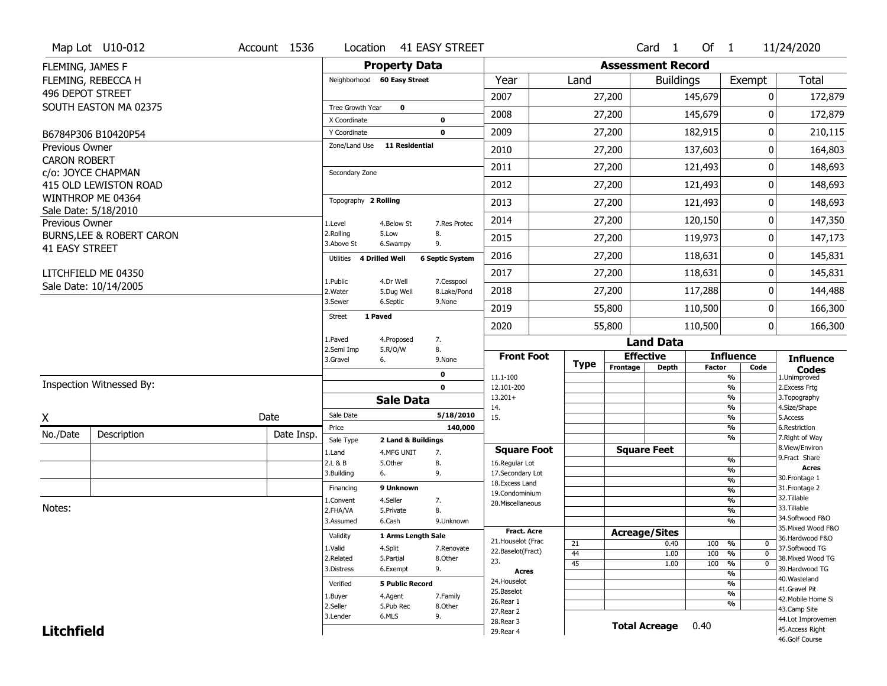|                       | Map Lot U10-012                      | Account 1536 | Location                           |                           | 41 EASY STREET            |                                      |             |                          | Card 1               | Of $1$        |                                | 11/24/2020                          |
|-----------------------|--------------------------------------|--------------|------------------------------------|---------------------------|---------------------------|--------------------------------------|-------------|--------------------------|----------------------|---------------|--------------------------------|-------------------------------------|
| FLEMING, JAMES F      |                                      |              |                                    | <b>Property Data</b>      |                           |                                      |             | <b>Assessment Record</b> |                      |               |                                |                                     |
|                       | FLEMING, REBECCA H                   |              | Neighborhood 60 Easy Street        |                           |                           | Year                                 | Land        |                          | <b>Buildings</b>     |               | Exempt                         | <b>Total</b>                        |
| 496 DEPOT STREET      |                                      |              |                                    |                           |                           | 2007                                 |             | 27,200                   |                      | 145,679       | 0                              | 172,879                             |
|                       | SOUTH EASTON MA 02375                |              | Tree Growth Year                   | $\mathbf 0$               |                           |                                      |             |                          |                      |               |                                |                                     |
|                       |                                      |              | X Coordinate                       |                           | 0                         | 2008                                 |             | 27,200                   |                      | 145,679       | 0                              | 172,879                             |
|                       | B6784P306 B10420P54                  |              | Y Coordinate                       |                           | $\mathbf 0$               | 2009                                 |             | 27,200                   |                      | 182,915       | 0                              | 210,115                             |
| Previous Owner        |                                      |              | Zone/Land Use                      | 11 Residential            |                           | 2010                                 |             | 27,200                   |                      | 137,603       | $\Omega$                       | 164,803                             |
| <b>CARON ROBERT</b>   | c/o: JOYCE CHAPMAN                   |              | Secondary Zone                     |                           |                           | 2011                                 |             | 27,200                   |                      | 121,493       | 0                              | 148,693                             |
|                       | 415 OLD LEWISTON ROAD                |              |                                    |                           |                           | 2012                                 |             | 27,200                   |                      | 121,493       | 0                              | 148,693                             |
|                       | WINTHROP ME 04364                    |              | Topography 2 Rolling               |                           |                           | 2013                                 |             | 27,200                   |                      | 121,493       | 0                              | 148,693                             |
| Previous Owner        | Sale Date: 5/18/2010                 |              | 1.Level                            | 4.Below St                | 7.Res Protec              | 2014                                 |             | 27,200                   |                      | 120,150       | 0                              | 147,350                             |
|                       | <b>BURNS, LEE &amp; ROBERT CARON</b> |              | 2.Rolling<br>3.Above St            | 5.Low<br>6.Swampy         | 8.<br>9.                  | 2015                                 |             | 27,200                   |                      | 119,973       | 0                              | 147,173                             |
| <b>41 EASY STREET</b> |                                      |              | <b>4 Drilled Well</b><br>Utilities |                           | <b>6 Septic System</b>    | 2016                                 |             | 27,200                   |                      | 118,631       | 0                              | 145,831                             |
|                       | LITCHFIELD ME 04350                  |              |                                    |                           |                           | 2017                                 |             | 27,200                   |                      | 118,631       | 0                              | 145,831                             |
|                       | Sale Date: 10/14/2005                |              | 1.Public<br>2. Water               | 4.Dr Well<br>5.Dug Well   | 7.Cesspool<br>8.Lake/Pond | 2018                                 |             | 27,200                   |                      | 117,288       | 0                              | 144,488                             |
|                       |                                      |              | 3.Sewer                            | 6.Septic                  | 9.None                    | 2019                                 |             | 55,800                   |                      | 110,500       | 0                              | 166,300                             |
|                       |                                      |              | 1 Paved<br>Street                  |                           |                           | 2020                                 |             | 55,800                   |                      | 110,500       | 0                              | 166,300                             |
|                       |                                      |              | 1.Paved                            | 4.Proposed                | 7.                        |                                      |             |                          | <b>Land Data</b>     |               |                                |                                     |
|                       |                                      |              | 2.Semi Imp<br>3.Gravel             | 5.R/O/W<br>6.             | 8.<br>9.None              | <b>Front Foot</b>                    | <b>Type</b> |                          | <b>Effective</b>     |               | <b>Influence</b>               | <b>Influence</b>                    |
|                       |                                      |              |                                    |                           | 0                         | 11.1-100                             |             | Frontage                 | <b>Depth</b>         | <b>Factor</b> | Code<br>%                      | <b>Codes</b><br>1.Unimproved        |
|                       | Inspection Witnessed By:             |              |                                    |                           | $\mathbf 0$               | 12.101-200                           |             |                          |                      |               | $\frac{9}{6}$                  | 2.Excess Frtg                       |
|                       |                                      |              |                                    | <b>Sale Data</b>          |                           | $13.201+$<br>14.                     |             |                          |                      |               | %<br>%                         | 3. Topography<br>4.Size/Shape       |
| X                     |                                      | Date         | Sale Date                          |                           | 5/18/2010                 | 15.                                  |             |                          |                      |               | $\frac{9}{6}$                  | 5.Access                            |
| No./Date              | Description                          | Date Insp.   | Price                              |                           | 140,000                   |                                      |             |                          |                      |               | %                              | 6.Restriction                       |
|                       |                                      |              | Sale Type                          | 2 Land & Buildings        |                           |                                      |             |                          |                      |               | %                              | 7. Right of Way<br>8.View/Environ   |
|                       |                                      |              | 1.Land<br>2.L & B                  | 4.MFG UNIT<br>5.Other     | 7.<br>8.                  | <b>Square Foot</b><br>16.Regular Lot |             |                          | <b>Square Feet</b>   |               | $\frac{9}{6}$                  | 9. Fract Share                      |
|                       |                                      |              | 3.Building                         | 6.                        | 9.                        | 17.Secondary Lot                     |             |                          |                      |               | $\frac{9}{6}$                  | <b>Acres</b>                        |
|                       |                                      |              | Financing                          | 9 Unknown                 |                           | 18.Excess Land                       |             |                          |                      |               | $\frac{9}{6}$                  | 30. Frontage 1<br>31. Frontage 2    |
|                       |                                      |              | 1.Convent                          | 4.Seller                  | 7.                        | 19.Condominium                       |             |                          |                      |               | $\frac{9}{6}$<br>$\frac{9}{6}$ | 32. Tillable                        |
| Notes:                |                                      |              | 2.FHA/VA                           | 5.Private                 | 8.                        | 20.Miscellaneous                     |             |                          |                      |               | $\frac{9}{6}$                  | 33.Tillable                         |
|                       |                                      |              | 3.Assumed                          | 6.Cash                    | 9.Unknown                 |                                      |             |                          |                      |               | $\overline{\frac{9}{6}}$       | 34.Softwood F&O                     |
|                       |                                      |              | Validity                           | <b>1 Arms Lenath Sale</b> |                           | <b>Fract, Acre</b>                   |             |                          | <b>Acreage/Sites</b> |               |                                | 35. Mixed Wood F&O                  |
|                       |                                      |              |                                    |                           |                           | 21. Houselot (Frac                   | 21          |                          | 0.40                 | 100           | %<br>0                         | 36.Hardwood F&O                     |
|                       |                                      |              | 1.Valid<br>2.Related               | 4.Split<br>5.Partial      | 7.Renovate<br>8.Other     | 22.Baselot(Fract)                    | 44          |                          | 1.00                 | 100           | $\frac{9}{6}$<br>$\mathbf 0$   | 37.Softwood TG<br>38. Mixed Wood TG |
|                       |                                      |              | 3.Distress                         | 6.Exempt                  | 9.                        | 23.                                  | 45          |                          | 1.00                 | 100           | %<br>$\mathbf 0$               | 39.Hardwood TG                      |
|                       |                                      |              |                                    |                           |                           | <b>Acres</b><br>24. Houselot         |             |                          |                      |               | $\frac{9}{6}$                  | 40. Wasteland                       |
|                       |                                      |              | Verified                           | <b>5 Public Record</b>    |                           | 25.Baselot                           |             |                          |                      |               | $\frac{9}{6}$<br>$\frac{9}{6}$ | 41.Gravel Pit                       |
|                       |                                      |              | 1.Buyer                            | 4.Agent                   | 7.Family                  | 26.Rear 1                            |             |                          |                      |               | %                              | 42. Mobile Home Si                  |
|                       |                                      |              | 2.Seller                           | 5.Pub Rec                 | 8.Other                   | 27.Rear 2                            |             |                          |                      |               |                                | 43.Camp Site                        |
|                       |                                      |              | 3.Lender                           | 6.MLS                     | 9.                        | 28. Rear 3                           |             |                          | <b>Total Acreage</b> | 0.40          |                                | 44.Lot Improvemen                   |
| <b>Litchfield</b>     |                                      |              |                                    |                           |                           | 29. Rear 4                           |             |                          |                      |               |                                | 45.Access Right<br>46.Golf Course   |